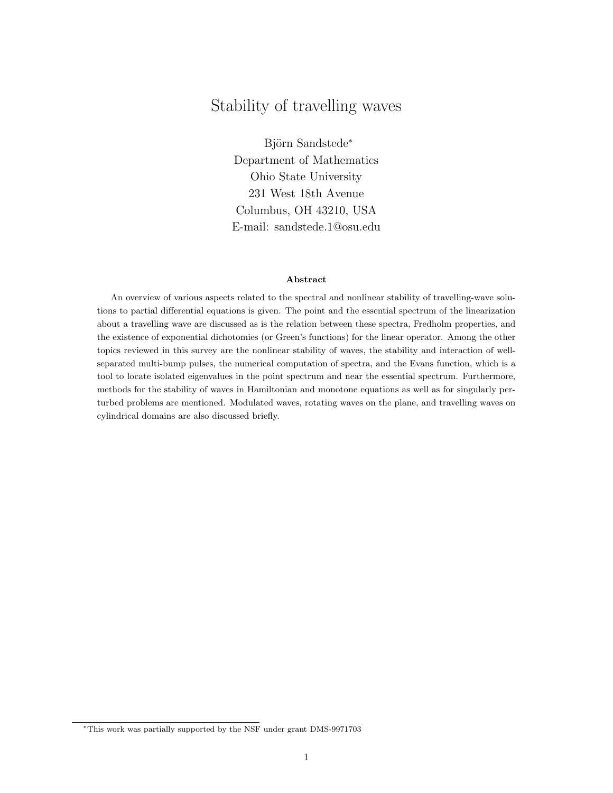# Stability of travelling waves

Björn Sandstede<sup>\*</sup> Department of Mathematics Ohio State University 231 West 18th Avenue Columbus, OH 43210, USA E-mail: sandstede.1@osu.edu

#### Abstract

An overview of various aspects related to the spectral and nonlinear stability of travelling-wave solutions to partial differential equations is given. The point and the essential spectrum of the linearization about a travelling wave are discussed as is the relation between these spectra, Fredholm properties, and the existence of exponential dichotomies (or Green's functions) for the linear operator. Among the other topics reviewed in this survey are the nonlinear stability of waves, the stability and interaction of wellseparated multi-bump pulses, the numerical computation of spectra, and the Evans function, which is a tool to locate isolated eigenvalues in the point spectrum and near the essential spectrum. Furthermore, methods for the stability of waves in Hamiltonian and monotone equations as well as for singularly perturbed problems are mentioned. Modulated waves, rotating waves on the plane, and travelling waves on cylindrical domains are also discussed briefly.

<sup>∗</sup>This work was partially supported by the NSF under grant DMS-9971703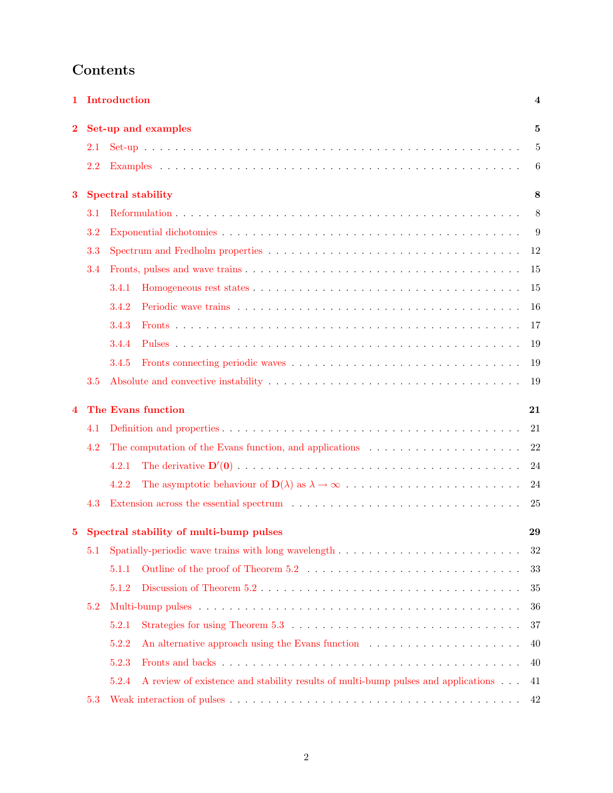# Contents

| 1        | Introduction<br>4  |                                                                                                                                                                                                                                                            |    |  |  |  |  |
|----------|--------------------|------------------------------------------------------------------------------------------------------------------------------------------------------------------------------------------------------------------------------------------------------------|----|--|--|--|--|
| $\bf{2}$ |                    | Set-up and examples                                                                                                                                                                                                                                        |    |  |  |  |  |
|          | 2.1                |                                                                                                                                                                                                                                                            | 5  |  |  |  |  |
|          | 2.2                |                                                                                                                                                                                                                                                            | 6  |  |  |  |  |
| 3        |                    | <b>Spectral stability</b><br>8                                                                                                                                                                                                                             |    |  |  |  |  |
|          | 3.1                |                                                                                                                                                                                                                                                            | 8  |  |  |  |  |
|          | 3.2                |                                                                                                                                                                                                                                                            | 9  |  |  |  |  |
|          | 3.3                |                                                                                                                                                                                                                                                            | 12 |  |  |  |  |
|          | 3.4                |                                                                                                                                                                                                                                                            | 15 |  |  |  |  |
|          |                    | 3.4.1                                                                                                                                                                                                                                                      | 15 |  |  |  |  |
|          |                    | 3.4.2                                                                                                                                                                                                                                                      | 16 |  |  |  |  |
|          |                    | 3.4.3                                                                                                                                                                                                                                                      | 17 |  |  |  |  |
|          |                    | 3.4.4                                                                                                                                                                                                                                                      | 19 |  |  |  |  |
|          |                    | 3.4.5                                                                                                                                                                                                                                                      | 19 |  |  |  |  |
|          | 3.5                |                                                                                                                                                                                                                                                            | 19 |  |  |  |  |
| 4        | The Evans function |                                                                                                                                                                                                                                                            |    |  |  |  |  |
|          | 4.1                |                                                                                                                                                                                                                                                            | 21 |  |  |  |  |
|          | 4.2                | The computation of the Evans function, and applications                                                                                                                                                                                                    | 22 |  |  |  |  |
|          |                    | 4.2.1                                                                                                                                                                                                                                                      | 24 |  |  |  |  |
|          |                    | 4.2.2                                                                                                                                                                                                                                                      | 24 |  |  |  |  |
|          | 4.3                | Extension across the essential spectrum (a) and (b) and (b) and (b) and (b) and (b) are the set of $\alpha$ in the set of $\alpha$ in the set of $\alpha$ in the set of $\alpha$ in the set of $\alpha$ in the set of $\alpha$ in the set of $\alpha$ in t | 25 |  |  |  |  |
| 5        |                    | Spectral stability of multi-bump pulses                                                                                                                                                                                                                    | 29 |  |  |  |  |
|          | 5.1                | Spatially-periodic wave trains with long wavelength                                                                                                                                                                                                        | 32 |  |  |  |  |
|          |                    | 5.1.1                                                                                                                                                                                                                                                      | 33 |  |  |  |  |
|          |                    | 5.1.2                                                                                                                                                                                                                                                      | 35 |  |  |  |  |
|          | 5.2                |                                                                                                                                                                                                                                                            | 36 |  |  |  |  |
|          |                    | 5.2.1                                                                                                                                                                                                                                                      | 37 |  |  |  |  |
|          |                    | 5.2.2<br>An alternative approach using the Evans function                                                                                                                                                                                                  | 40 |  |  |  |  |
|          |                    | 5.2.3                                                                                                                                                                                                                                                      | 40 |  |  |  |  |
|          |                    | A review of existence and stability results of multi-bump pulses and applications<br>5.2.4                                                                                                                                                                 | 41 |  |  |  |  |
|          | 5.3                |                                                                                                                                                                                                                                                            | 42 |  |  |  |  |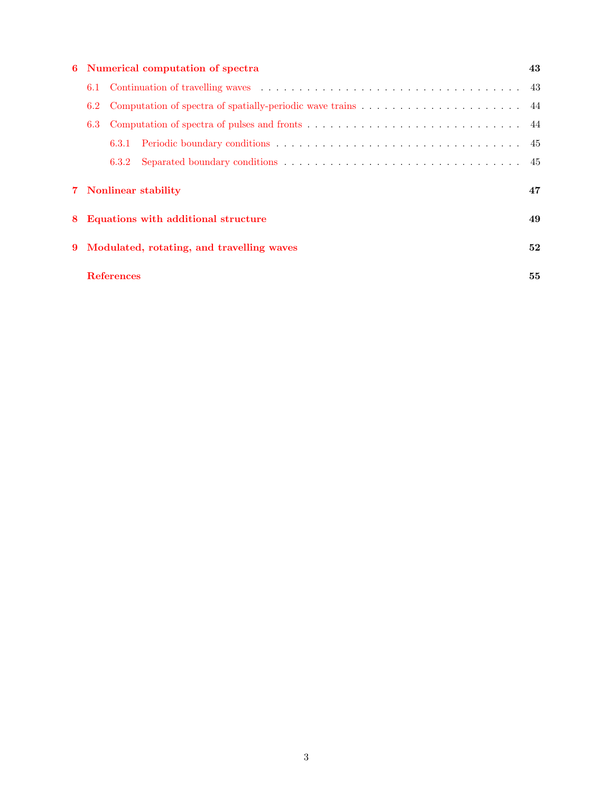| 6 Numerical computation of spectra             |       |                                            |  |  |
|------------------------------------------------|-------|--------------------------------------------|--|--|
| 6.1                                            |       |                                            |  |  |
| 6.2<br>6.3                                     |       |                                            |  |  |
|                                                |       |                                            |  |  |
|                                                | 6.3.2 |                                            |  |  |
|                                                |       | 47                                         |  |  |
| Equations with additional structure<br>8       |       |                                            |  |  |
| Modulated, rotating, and travelling waves<br>9 |       |                                            |  |  |
|                                                |       | 55                                         |  |  |
|                                                |       | 7 Nonlinear stability<br><b>References</b> |  |  |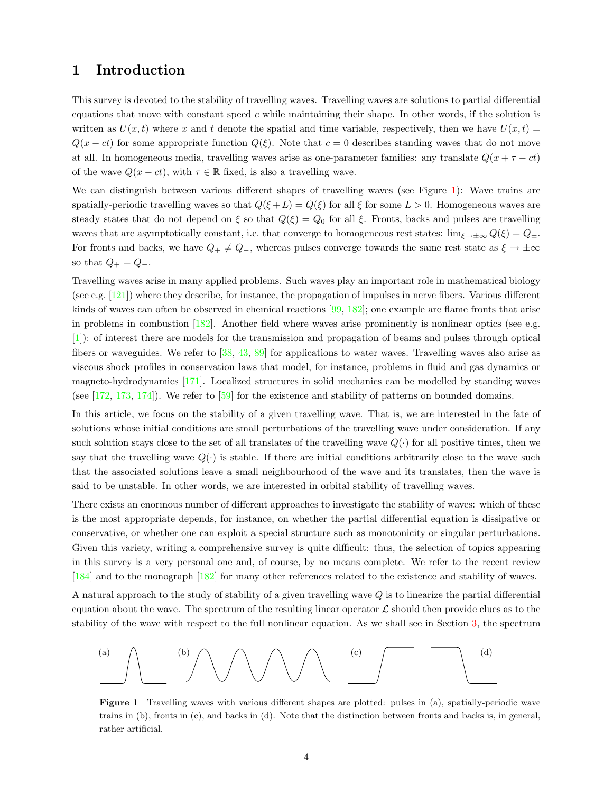# <span id="page-3-0"></span>1 Introduction

This survey is devoted to the stability of travelling waves. Travelling waves are solutions to partial differential equations that move with constant speed  $c$  while maintaining their shape. In other words, if the solution is written as  $U(x,t)$  where x and t denote the spatial and time variable, respectively, then we have  $U(x,t)$  =  $Q(x - ct)$  for some appropriate function  $Q(\xi)$ . Note that  $c = 0$  describes standing waves that do not move at all. In homogeneous media, travelling waves arise as one-parameter families: any translate  $Q(x + \tau - ct)$ of the wave  $Q(x-ct)$ , with  $\tau \in \mathbb{R}$  fixed, is also a travelling wave.

We can distinguish between various different shapes of travelling waves (see Figure [1\)](#page-3-1): Wave trains are spatially-periodic travelling waves so that  $Q(\xi + L) = Q(\xi)$  for all  $\xi$  for some  $L > 0$ . Homogeneous waves are steady states that do not depend on  $\xi$  so that  $Q(\xi) = Q_0$  for all  $\xi$ . Fronts, backs and pulses are travelling waves that are asymptotically constant, i.e. that converge to homogeneous rest states:  $\lim_{\xi \to \pm \infty} Q(\xi) = Q_{\pm}$ . For fronts and backs, we have  $Q_+ \neq Q_-$ , whereas pulses converge towards the same rest state as  $\xi \to \pm \infty$ so that  $Q_+ = Q_-$ .

Travelling waves arise in many applied problems. Such waves play an important role in mathematical biology (see e.g. [\[121](#page-59-0)]) where they describe, for instance, the propagation of impulses in nerve fibers. Various different kinds of waves can often be observed in chemical reactions [\[99](#page-58-0), [182](#page-61-0)]; one example are flame fronts that arise in problems in combustion [\[182](#page-61-0)]. Another field where waves arise prominently is nonlinear optics (see e.g. [[1\]](#page-54-0)): of interest there are models for the transmission and propagation of beams and pulses through optical fibers or waveguides. We refer to[[38,](#page-55-0) [43,](#page-55-1) [89](#page-57-0)] for applications to water waves. Travelling waves also arise as viscous shock profiles in conservation laws that model, for instance, problems in fluid and gas dynamics or magneto-hydrodynamics[[171\]](#page-61-1). Localized structures in solid mechanics can be modelled by standing waves (see[[172,](#page-61-2) [173,](#page-61-3) [174\]](#page-61-4)). We refer to[[59\]](#page-56-0) for the existence and stability of patterns on bounded domains.

In this article, we focus on the stability of a given travelling wave. That is, we are interested in the fate of solutions whose initial conditions are small perturbations of the travelling wave under consideration. If any such solution stays close to the set of all translates of the travelling wave  $Q(\cdot)$  for all positive times, then we say that the travelling wave  $Q(\cdot)$  is stable. If there are initial conditions arbitrarily close to the wave such that the associated solutions leave a small neighbourhood of the wave and its translates, then the wave is said to be unstable. In other words, we are interested in orbital stability of travelling waves.

There exists an enormous number of different approaches to investigate the stability of waves: which of these is the most appropriate depends, for instance, on whether the partial differential equation is dissipative or conservative, or whether one can exploit a special structure such as monotonicity or singular perturbations. Given this variety, writing a comprehensive survey is quite difficult: thus, the selection of topics appearing in this survey is a very personal one and, of course, by no means complete. We refer to the recent review [[184\]](#page-61-5) and to the monograph [\[182](#page-61-0)] for many other references related to the existence and stability of waves.

A natural approach to the study of stability of a given travelling wave Q is to linearize the partial differential equation about the wave. The spectrum of the resulting linear operator  $\mathcal L$  should then provide clues as to the stability of the wave with respect to the full nonlinear equation. As we shall see in Section [3](#page-7-0), the spectrum



<span id="page-3-1"></span>Figure 1 Travelling waves with various different shapes are plotted: pulses in (a), spatially-periodic wave trains in (b), fronts in (c), and backs in (d). Note that the distinction between fronts and backs is, in general, rather artificial.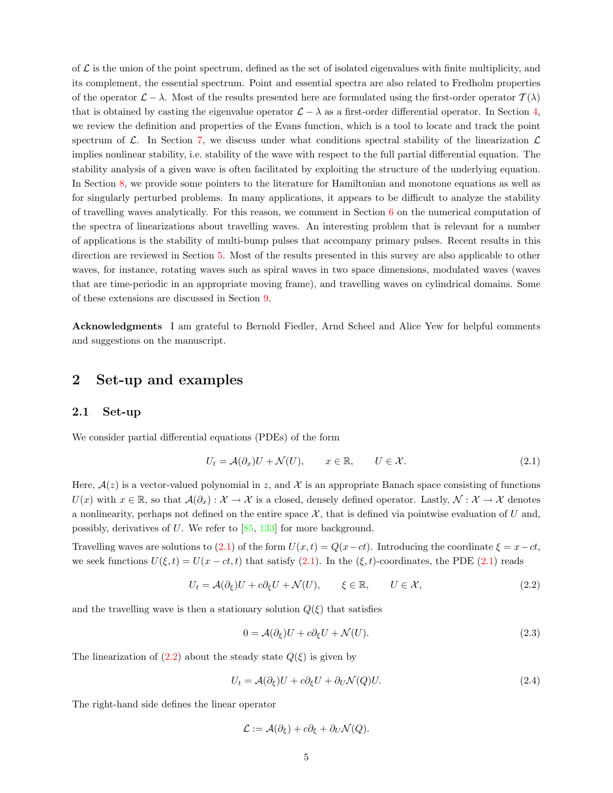of  $\mathcal L$  is the union of the point spectrum, defined as the set of isolated eigenvalues with finite multiplicity, and its complement, the essential spectrum. Point and essential spectra are also related to Fredholm properties of the operator  $\mathcal{L} - \lambda$ . Most of the results presented here are formulated using the first-order operator  $\mathcal{T}(\lambda)$ that is obtained by casting the eigenvalue operator  $\mathcal{L} - \lambda$  as a first-order differential operator. In Section [4](#page-20-0), we review the definition and properties of the Evans function, which is a tool to locate and track the point spectrum of  $\mathcal{L}$ . In Section [7](#page-46-0), we discuss under what conditions spectral stability of the linearization  $\mathcal{L}$ implies nonlinear stability, i.e. stability of the wave with respect to the full partial differential equation. The stability analysis of a given wave is often facilitated by exploiting the structure of the underlying equation. In Section [8](#page-48-0), we provide some pointers to the literature for Hamiltonian and monotone equations as well as for singularly perturbed problems. In many applications, it appears to be difficult to analyze the stability of travelling waves analytically. For this reason, we comment in Section  $6$  on the numerical computation of the spectra of linearizations about travelling waves. An interesting problem that is relevant for a number of applications is the stability of multi-bump pulses that accompany primary pulses. Recent results in this direction are reviewed in Section [5](#page-28-0). Most of the results presented in this survey are also applicable to other waves, for instance, rotating waves such as spiral waves in two space dimensions, modulated waves (waves that are time-periodic in an appropriate moving frame), and travelling waves on cylindrical domains. Some of these extensions are discussed in Section [9](#page-51-0).

Acknowledgments I am grateful to Bernold Fiedler, Arnd Scheel and Alice Yew for helpful comments and suggestions on the manuscript.

# <span id="page-4-0"></span>2 Set-up and examples

### <span id="page-4-1"></span>2.1 Set-up

We consider partial differential equations (PDEs) of the form

<span id="page-4-2"></span>
$$
U_t = \mathcal{A}(\partial_x)U + \mathcal{N}(U), \qquad x \in \mathbb{R}, \qquad U \in \mathcal{X}.
$$
 (2.1)

Here,  $A(z)$  is a vector-valued polynomial in z, and X is an appropriate Banach space consisting of functions  $U(x)$  with  $x \in \mathbb{R}$ , so that  $\mathcal{A}(\partial_x): \mathcal{X} \to \mathcal{X}$  is a closed, densely defined operator. Lastly,  $\mathcal{N}: \mathcal{X} \to \mathcal{X}$  denotes a nonlinearity, perhaps not defined on the entire space  $\mathcal{X}$ , that is defined via pointwise evaluation of U and, possibly, derivatives of U. We refer to  $[85, 133]$  $[85, 133]$  $[85, 133]$  for more background.

Travelling waves are solutions to [\(2.1](#page-4-2)) of the form  $U(x,t) = Q(x-ct)$ . Introducing the coordinate  $\xi = x-ct$ , weseek functions  $U(\xi, t) = U(x - ct, t)$  that satisfy [\(2.1\)](#page-4-2). In the  $(\xi, t)$ -coordinates, the PDE ([2.1](#page-4-2)) reads

<span id="page-4-3"></span>
$$
U_t = \mathcal{A}(\partial_{\xi})U + c\partial_{\xi}U + \mathcal{N}(U), \qquad \xi \in \mathbb{R}, \qquad U \in \mathcal{X}, \tag{2.2}
$$

and the travelling wave is then a stationary solution  $Q(\xi)$  that satisfies

<span id="page-4-5"></span>
$$
0 = \mathcal{A}(\partial_{\xi})U + c\partial_{\xi}U + \mathcal{N}(U). \tag{2.3}
$$

Thelinearization of  $(2.2)$  $(2.2)$  $(2.2)$  about the steady state  $Q(\xi)$  is given by

<span id="page-4-4"></span>
$$
U_t = \mathcal{A}(\partial_{\xi})U + c\partial_{\xi}U + \partial_{U}\mathcal{N}(Q)U.
$$
\n(2.4)

The right-hand side defines the linear operator

$$
\mathcal{L} := \mathcal{A}(\partial_{\xi}) + c\partial_{\xi} + \partial_{U}\mathcal{N}(Q).
$$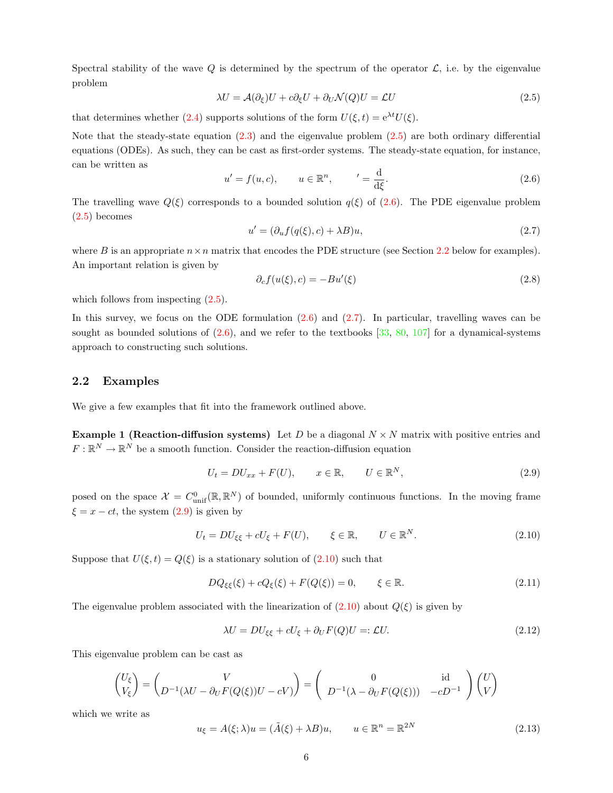Spectral stability of the wave Q is determined by the spectrum of the operator  $\mathcal{L}$ , i.e. by the eigenvalue problem

<span id="page-5-1"></span>
$$
\lambda U = \mathcal{A}(\partial_{\xi})U + c\partial_{\xi}U + \partial_{U}\mathcal{N}(Q)U = \mathcal{L}U
$$
\n(2.5)

that determines whether [\(2.4\)](#page-4-4) supports solutions of the form  $U(\xi, t) = e^{\lambda t}U(\xi)$ .

Note that the steady-state equation [\(2.3\)](#page-4-5) and the eigenvalue problem([2.5\)](#page-5-1) are both ordinary differential equations (ODEs). As such, they can be cast as first-order systems. The steady-state equation, for instance, can be written as

<span id="page-5-2"></span>
$$
u' = f(u, c), \qquad u \in \mathbb{R}^n, \qquad' = \frac{\mathrm{d}}{\mathrm{d}\xi}.
$$
\n
$$
(2.6)
$$

The travelling wave  $Q(\xi)$  corresponds to a bounded solution  $q(\xi)$  of [\(2.6\)](#page-5-2). The PDE eigenvalue problem ([2.5\)](#page-5-1) becomes

<span id="page-5-3"></span>
$$
u' = (\partial_u f(q(\xi), c) + \lambda B)u,
$$
\n(2.7)

where B is an appropriate  $n \times n$  matrix that encodes the PDE structure (see Section [2.2](#page-5-0) below for examples). An important relation is given by

<span id="page-5-9"></span>
$$
\partial_c f(u(\xi), c) = -Bu'(\xi) \tag{2.8}
$$

which follows from inspecting  $(2.5)$ .

In this survey, we focus on the ODE formulation([2.6](#page-5-2)) and([2.7\)](#page-5-3). In particular, travelling waves can be soughtas bounded solutions of  $(2.6)$  $(2.6)$  $(2.6)$ , and we refer to the textbooks  $[33, 80, 107]$  $[33, 80, 107]$  $[33, 80, 107]$  $[33, 80, 107]$  $[33, 80, 107]$  $[33, 80, 107]$  $[33, 80, 107]$  for a dynamical-systems approach to constructing such solutions.

## <span id="page-5-0"></span>2.2 Examples

We give a few examples that fit into the framework outlined above.

**Example 1 (Reaction-diffusion systems)** Let D be a diagonal  $N \times N$  matrix with positive entries and  $F: \mathbb{R}^N \to \mathbb{R}^N$  be a smooth function. Consider the reaction-diffusion equation

<span id="page-5-4"></span>
$$
U_t = DU_{xx} + F(U), \qquad x \in \mathbb{R}, \qquad U \in \mathbb{R}^N, \tag{2.9}
$$

posed on the space  $\mathcal{X} = C^0_{\text{unif}}(\mathbb{R}, \mathbb{R}^N)$  of bounded, uniformly continuous functions. In the moving frame  $\xi = x - ct$ , the system [\(2.9\)](#page-5-4) is given by

<span id="page-5-5"></span>
$$
U_t = DU_{\xi\xi} + cU_{\xi} + F(U), \qquad \xi \in \mathbb{R}, \qquad U \in \mathbb{R}^N. \tag{2.10}
$$

Supposethat  $U(\xi, t) = Q(\xi)$  is a stationary solution of  $(2.10)$  $(2.10)$  such that

<span id="page-5-8"></span>
$$
DQ_{\xi\xi}(\xi) + cQ_{\xi}(\xi) + F(Q(\xi)) = 0, \qquad \xi \in \mathbb{R}.
$$
\n(2.11)

The eigenvalue problem associated with the linearization of  $(2.10)$  about  $Q(\xi)$  is given by

<span id="page-5-6"></span>
$$
\lambda U = DU_{\xi\xi} + cU_{\xi} + \partial_U F(Q)U =: \mathcal{L}U.
$$
\n(2.12)

This eigenvalue problem can be cast as

$$
\begin{pmatrix} U_{\xi} \\ V_{\xi} \end{pmatrix} = \begin{pmatrix} V \\ D^{-1}(\lambda U - \partial_U F(Q(\xi))U - cV) \end{pmatrix} = \begin{pmatrix} 0 & \text{id} \\ D^{-1}(\lambda - \partial_U F(Q(\xi))) & -cD^{-1} \end{pmatrix} \begin{pmatrix} U \\ V \end{pmatrix}
$$

which we write as

<span id="page-5-7"></span>
$$
u_{\xi} = A(\xi; \lambda)u = (\tilde{A}(\xi) + \lambda B)u, \qquad u \in \mathbb{R}^n = \mathbb{R}^{2N}
$$
\n(2.13)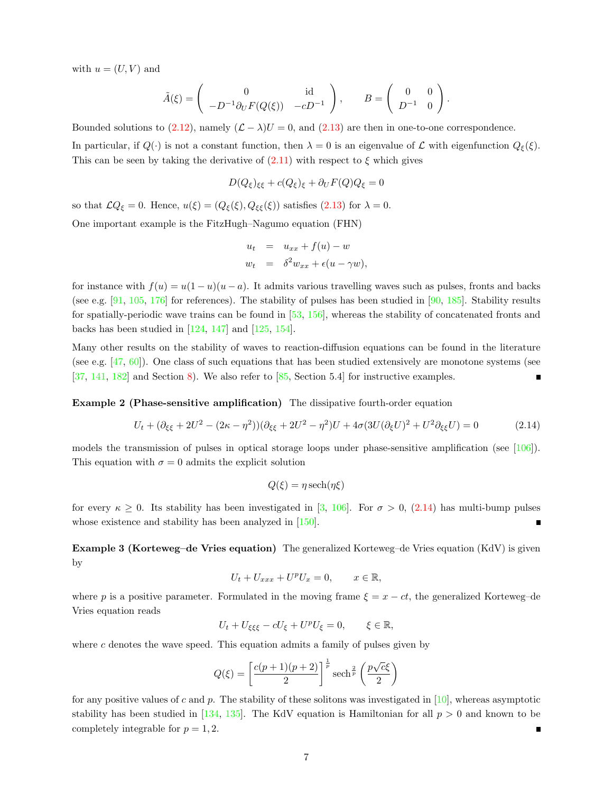with  $u = (U, V)$  and

$$
\tilde{A}(\xi) = \begin{pmatrix} 0 & \mathrm{id} \\ -D^{-1}\partial_U F(Q(\xi)) & -cD^{-1} \end{pmatrix}, \qquad B = \begin{pmatrix} 0 & 0 \\ D^{-1} & 0 \end{pmatrix}.
$$

Boundedsolutions to ([2.12](#page-5-6)), namely  $(L - \lambda)U = 0$ , and ([2.13\)](#page-5-7) are then in one-to-one correspondence.

In particular, if  $Q(\cdot)$  is not a constant function, then  $\lambda = 0$  is an eigenvalue of L with eigenfunction  $Q_{\xi}(\xi)$ . Thiscan be seen by taking the derivative of  $(2.11)$  $(2.11)$  with respect to  $\xi$  which gives

$$
D(Q_{\xi})_{\xi\xi} + c(Q_{\xi})_{\xi} + \partial_U F(Q)Q_{\xi} = 0
$$

sothat  $\mathcal{L}Q_{\xi} = 0$ . Hence,  $u(\xi) = (Q_{\xi}(\xi), Q_{\xi\xi}(\xi))$  satisfies  $(2.13)$  $(2.13)$  for  $\lambda = 0$ . One important example is the FitzHugh–Nagumo equation (FHN)

$$
u_t = u_{xx} + f(u) - w
$$
  

$$
w_t = \delta^2 w_{xx} + \epsilon(u - \gamma w),
$$

for instance with  $f(u) = u(1-u)(u-a)$ . It admits various travelling waves such as pulses, fronts and backs (seee.g. [[91,](#page-57-3) [105,](#page-58-2) [176\]](#page-61-6) for references). The stability of pulses has been studied in [\[90](#page-57-4), [185](#page-61-7)]. Stability results for spatially-periodic wave trains can be found in [\[53](#page-56-1), [156](#page-60-0)], whereas the stability of concatenated fronts and backshas been studied in  $[124, 147]$  $[124, 147]$  $[124, 147]$  $[124, 147]$  and  $[125, 154]$  $[125, 154]$  $[125, 154]$  $[125, 154]$ .

Many other results on the stability of waves to reaction-diffusion equations can be found in the literature (see e.g.[[47,](#page-56-2) [60\]](#page-56-3)). One class of such equations that has been studied extensively are monotone systems (see [[37,](#page-55-3) [141,](#page-59-4) [182\]](#page-61-0) and Section [8](#page-48-0)). We also refer to [\[85](#page-57-1), Section 5.4] for instructive examples.

Example 2 (Phase-sensitive amplification) The dissipative fourth-order equation

<span id="page-6-0"></span>
$$
U_t + (\partial_{\xi\xi} + 2U^2 - (2\kappa - \eta^2))(\partial_{\xi\xi} + 2U^2 - \eta^2)U + 4\sigma(3U(\partial_{\xi}U)^2 + U^2\partial_{\xi\xi}U) = 0
$$
\n(2.14)

models the transmission of pulses in optical storage loops under phase-sensitive amplification (see[[106\]](#page-58-3)). This equation with  $\sigma = 0$  admits the explicit solution

$$
Q(\xi) = \eta \operatorname{sech}(\eta \xi)
$$

forevery  $\kappa \geq 0$ . Its stability has been investigated in [\[3](#page-54-1), [106](#page-58-3)]. For  $\sigma > 0$ , ([2.14](#page-6-0)) has multi-bump pulses whose existence and stability has been analyzed in[[150\]](#page-60-3).

Example 3 (Korteweg–de Vries equation) The generalized Korteweg–de Vries equation (KdV) is given by

$$
U_t + U_{xxx} + U^p U_x = 0, \qquad x \in \mathbb{R},
$$

where p is a positive parameter. Formulated in the moving frame  $\xi = x - ct$ , the generalized Korteweg–de Vries equation reads

$$
U_t + U_{\xi\xi\xi} - cU_{\xi} + U^p U_{\xi} = 0, \qquad \xi \in \mathbb{R},
$$

where  $c$  denotes the wave speed. This equation admits a family of pulses given by

$$
Q(\xi) = \left[\frac{c(p+1)(p+2)}{2}\right]^{\frac{1}{p}} \operatorname{sech}^{\frac{2}{p}}\left(\frac{p\sqrt{c}\xi}{2}\right)
$$

for any positive values of c and p. The stability of these solitons was investigated in  $[10]$ , whereas asymptotic stabilityhas been studied in [[134,](#page-59-5) [135](#page-59-6)]. The KdV equation is Hamiltonian for all  $p > 0$  and known to be completely integrable for  $p = 1, 2$ . Г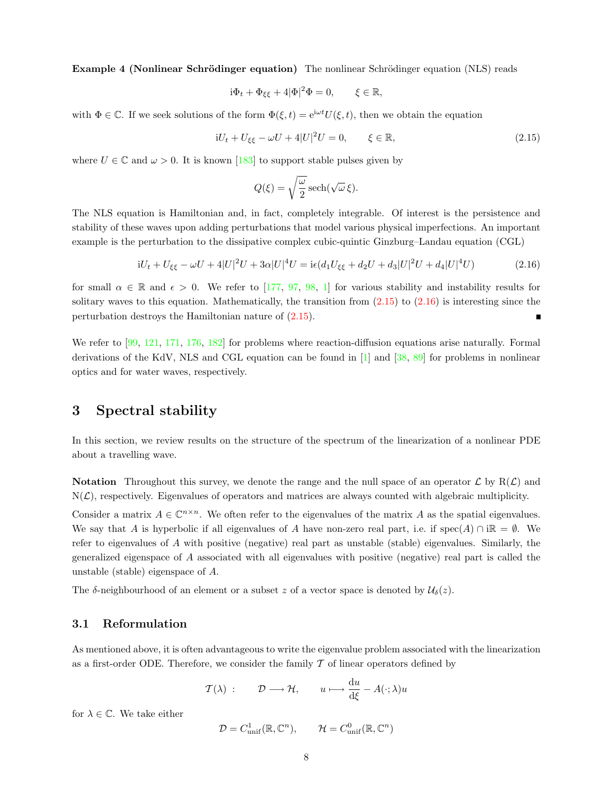Example 4 (Nonlinear Schrödinger equation) The nonlinear Schrödinger equation (NLS) reads

$$
i\Phi_t + \Phi_{\xi\xi} + 4|\Phi|^2 \Phi = 0, \qquad \xi \in \mathbb{R},
$$

with  $\Phi \in \mathbb{C}$ . If we seek solutions of the form  $\Phi(\xi, t) = e^{i\omega t} U(\xi, t)$ , then we obtain the equation

<span id="page-7-2"></span>
$$
iU_t + U_{\xi\xi} - \omega U + 4|U|^2 U = 0, \qquad \xi \in \mathbb{R}, \tag{2.15}
$$

where $U \in \mathbb{C}$  and  $\omega > 0$ . It is known [[183\]](#page-61-8) to support stable pulses given by

$$
Q(\xi) = \sqrt{\frac{\omega}{2}} \operatorname{sech}(\sqrt{\omega}\,\xi).
$$

The NLS equation is Hamiltonian and, in fact, completely integrable. Of interest is the persistence and stability of these waves upon adding perturbations that model various physical imperfections. An important example is the perturbation to the dissipative complex cubic-quintic Ginzburg–Landau equation (CGL)

<span id="page-7-3"></span>
$$
iU_t + U_{\xi\xi} - \omega U + 4|U|^2 U + 3\alpha |U|^4 U = i\epsilon (d_1 U_{\xi\xi} + d_2 U + d_3 |U|^2 U + d_4 |U|^4 U)
$$
\n(2.16)

forsmall  $\alpha \in \mathbb{R}$  and  $\epsilon > 0$ . We refer to [[177,](#page-61-9) [97](#page-58-4), [98](#page-58-5), [1](#page-54-0)] for various stability and instability results for solitary waves to this equation. Mathematically, the transition from  $(2.15)$  to  $(2.16)$  is interesting since the perturbation destroys the Hamiltonian nature of([2.15](#page-7-2)).  $\blacksquare$ 

Werefer to  $[99, 121, 171, 176, 182]$  $[99, 121, 171, 176, 182]$  $[99, 121, 171, 176, 182]$  $[99, 121, 171, 176, 182]$  $[99, 121, 171, 176, 182]$  $[99, 121, 171, 176, 182]$  $[99, 121, 171, 176, 182]$  $[99, 121, 171, 176, 182]$  $[99, 121, 171, 176, 182]$  $[99, 121, 171, 176, 182]$  $[99, 121, 171, 176, 182]$  for problems where reaction-diffusion equations arise naturally. Formal derivations of the KdV, NLS and CGL equation can be found in[[1\]](#page-54-0) and [\[38](#page-55-0), [89\]](#page-57-0) for problems in nonlinear optics and for water waves, respectively.

# <span id="page-7-0"></span>3 Spectral stability

In this section, we review results on the structure of the spectrum of the linearization of a nonlinear PDE about a travelling wave.

**Notation** Throughout this survey, we denote the range and the null space of an operator  $\mathcal{L}$  by  $R(\mathcal{L})$  and  $N(\mathcal{L})$ , respectively. Eigenvalues of operators and matrices are always counted with algebraic multiplicity.

Consider a matrix  $A \in \mathbb{C}^{n \times n}$ . We often refer to the eigenvalues of the matrix A as the spatial eigenvalues. We say that A is hyperbolic if all eigenvalues of A have non-zero real part, i.e. if spec(A) ∩ i $\mathbb{R} = \emptyset$ . We refer to eigenvalues of A with positive (negative) real part as unstable (stable) eigenvalues. Similarly, the generalized eigenspace of A associated with all eigenvalues with positive (negative) real part is called the unstable (stable) eigenspace of A.

The  $\delta$ -neighbourhood of an element or a subset z of a vector space is denoted by  $\mathcal{U}_{\delta}(z)$ .

### <span id="page-7-1"></span>3.1 Reformulation

As mentioned above, it is often advantageous to write the eigenvalue problem associated with the linearization as a first-order ODE. Therefore, we consider the family  $\mathcal T$  of linear operators defined by

$$
\mathcal{T}(\lambda) : \qquad \mathcal{D} \longrightarrow \mathcal{H}, \qquad u \longmapsto \frac{\mathrm{d}u}{\mathrm{d}\xi} - A(\cdot; \lambda)u
$$

for  $\lambda \in \mathbb{C}$ . We take either

$$
\mathcal{D} = C^1_{\text{unif}}(\mathbb{R}, \mathbb{C}^n), \qquad \mathcal{H} = C^0_{\text{unif}}(\mathbb{R}, \mathbb{C}^n)
$$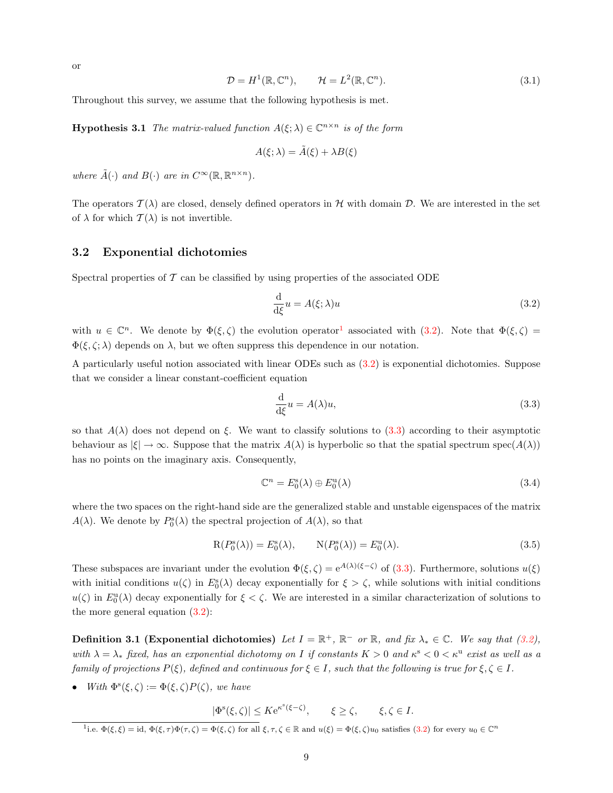<span id="page-8-7"></span>
$$
\mathcal{D} = H^1(\mathbb{R}, \mathbb{C}^n), \qquad \mathcal{H} = L^2(\mathbb{R}, \mathbb{C}^n). \tag{3.1}
$$

Throughout this survey, we assume that the following hypothesis is met.

**Hypothesis 3.1** The matrix-valued function  $A(\xi; \lambda) \in \mathbb{C}^{n \times n}$  is of the form

$$
A(\xi; \lambda) = \tilde{A}(\xi) + \lambda B(\xi)
$$

where  $\tilde{A}(\cdot)$  and  $B(\cdot)$  are in  $C^{\infty}(\mathbb{R}, \mathbb{R}^{n \times n})$ .

The operators  $\mathcal{T}(\lambda)$  are closed, densely defined operators in H with domain D. We are interested in the set of  $\lambda$  for which  $\mathcal{T}(\lambda)$  is not invertible.

### <span id="page-8-0"></span>3.2 Exponential dichotomies

Spectral properties of  $\mathcal T$  can be classified by using properties of the associated ODE

<span id="page-8-2"></span>
$$
\frac{\mathrm{d}}{\mathrm{d}\xi}u = A(\xi; \lambda)u\tag{3.2}
$$

with $u \in \mathbb{C}^n$ . We denote by  $\Phi(\xi, \zeta)$  the evolution operator<sup>[1](#page-8-1)</sup> associated with ([3.2\)](#page-8-2). Note that  $\Phi(\xi, \zeta)$  =  $\Phi(\xi, \zeta; \lambda)$  depends on  $\lambda$ , but we often suppress this dependence in our notation.

A particularly useful notion associated with linear ODEs such as [\(3.2](#page-8-2)) is exponential dichotomies. Suppose that we consider a linear constant-coefficient equation

<span id="page-8-3"></span>
$$
\frac{\mathrm{d}}{\mathrm{d}\xi}u = A(\lambda)u,\tag{3.3}
$$

so that  $A(\lambda)$  does not depend on ξ. We want to classify solutions to [\(3.3](#page-8-3)) according to their asymptotic behaviour as  $|\xi| \to \infty$ . Suppose that the matrix  $A(\lambda)$  is hyperbolic so that the spatial spectrum spec $(A(\lambda))$ has no points on the imaginary axis. Consequently,

<span id="page-8-5"></span>
$$
\mathbb{C}^n = E_0^{\rm s}(\lambda) \oplus E_0^{\rm u}(\lambda) \tag{3.4}
$$

where the two spaces on the right-hand side are the generalized stable and unstable eigenspaces of the matrix  $A(\lambda)$ . We denote by  $P_0^s(\lambda)$  the spectral projection of  $A(\lambda)$ , so that

<span id="page-8-4"></span>
$$
R(P_0^s(\lambda)) = E_0^s(\lambda), \qquad N(P_0^s(\lambda)) = E_0^u(\lambda). \tag{3.5}
$$

Thesesubspaces are invariant under the evolution  $\Phi(\xi, \zeta) = e^{A(\lambda)(\xi-\zeta)}$  of ([3.3\)](#page-8-3). Furthermore, solutions  $u(\xi)$ with initial conditions  $u(\zeta)$  in  $E_0^s(\lambda)$  decay exponentially for  $\xi > \zeta$ , while solutions with initial conditions  $u(\zeta)$  in  $E_0^{\text{u}}(\lambda)$  decay exponentially for  $\xi < \zeta$ . We are interested in a similar characterization of solutions to the more general equation([3.2\)](#page-8-2):

<span id="page-8-6"></span>**Definition3.1 (Exponential dichotomies)** Let  $I = \mathbb{R}^+$ ,  $\mathbb{R}^-$  or  $\mathbb{R}$ , and fix  $\lambda_* \in \mathbb{C}$ . We say that ([3.2\)](#page-8-2), with  $\lambda = \lambda_*$  fixed, has an exponential dichotomy on I if constants  $K > 0$  and  $\kappa^s < 0 < \kappa^u$  exist as well as a family of projections  $P(\xi)$ , defined and continuous for  $\xi \in I$ , such that the following is true for  $\xi, \zeta \in I$ .

• With  $\Phi^s(\xi,\zeta) := \Phi(\xi,\zeta)P(\zeta)$ , we have

 $|\Phi^s(\xi,\zeta)| \leq K e^{\kappa^s(\xi-\zeta)}, \qquad \xi \geq \zeta, \qquad \xi,\zeta \in I.$ 

<span id="page-8-1"></span><sup>&</sup>lt;sup>1</sup>i.e.  $\Phi(\xi, \xi) = id$ ,  $\Phi(\xi, \tau) \Phi(\tau, \zeta) = \Phi(\xi, \zeta)$  for all  $\xi, \tau, \zeta \in \mathbb{R}$  and  $u(\xi) = \Phi(\xi, \zeta)u_0$  satisfies [\(3.2\)](#page-8-2) for every  $u_0 \in \mathbb{C}^n$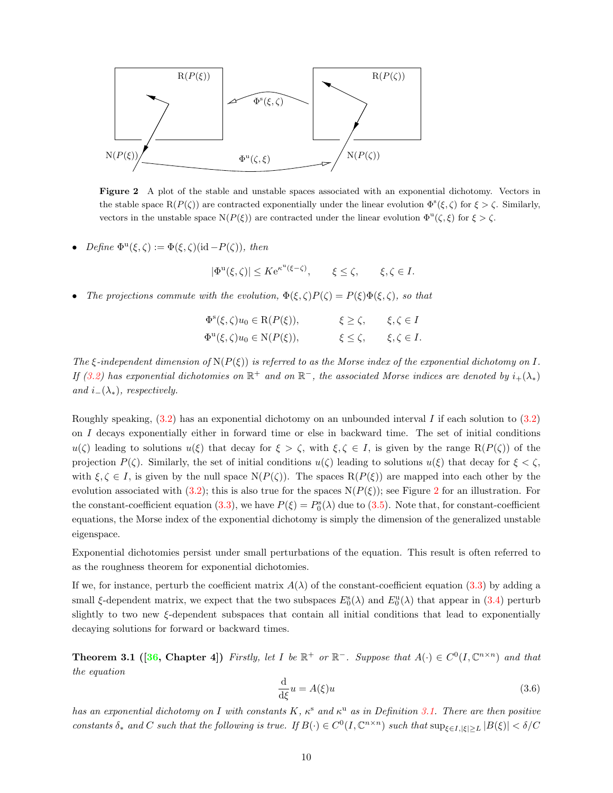

Figure 2 A plot of the stable and unstable spaces associated with an exponential dichotomy. Vectors in the stable space  $R(P(\zeta))$  are contracted exponentially under the linear evolution  $\Phi^s(\xi,\zeta)$  for  $\xi > \zeta$ . Similarly, vectors in the unstable space  $N(P(\xi))$  are contracted under the linear evolution  $\Phi^u(\zeta,\xi)$  for  $\xi > \zeta$ .

- Define  $\Phi^{\mathrm{u}}(\xi,\zeta) := \Phi(\xi,\zeta)(\mathrm{id} P(\zeta)),$  then
	- $|\Phi^{\mathrm{u}}(\xi,\zeta)| \leq K e^{\kappa^{\mathrm{u}}(\xi-\zeta)}, \qquad \xi \leq \zeta, \qquad \xi,\zeta \in I.$
- The projections commute with the evolution,  $\Phi(\xi, \zeta) P(\zeta) = P(\xi) \Phi(\xi, \zeta)$ , so that

<span id="page-9-0"></span>

| $\Phi^{\rm s}(\xi,\zeta)u_0 \in {\rm R}(P(\xi)),$       | $\xi \ge \zeta$ , $\xi, \zeta \in I$    |
|---------------------------------------------------------|-----------------------------------------|
| $\Phi^{\mathrm{u}}(\xi,\zeta)u_0\in\mathrm{N}(P(\xi)),$ | $\xi \leq \zeta$ , $\xi, \zeta \in I$ . |

The  $\xi$ -independent dimension of  $N(P(\xi))$  is referred to as the Morse index of the exponential dichotomy on I. If([3.2\)](#page-8-2) has exponential dichotomies on  $\mathbb{R}^+$  and on  $\mathbb{R}^-$ , the associated Morse indices are denoted by  $i_+(\lambda_*)$ and  $i_-(\lambda_*)$ , respectively.

Roughlyspeaking,  $(3.2)$  $(3.2)$  $(3.2)$  has an exponential dichotomy on an unbounded interval I if each solution to  $(3.2)$ on I decays exponentially either in forward time or else in backward time. The set of initial conditions  $u(\zeta)$  leading to solutions  $u(\xi)$  that decay for  $\xi > \zeta$ , with  $\xi, \zeta \in I$ , is given by the range  $R(P(\zeta))$  of the projection  $P(\zeta)$ . Similarly, the set of initial conditions  $u(\zeta)$  leading to solutions  $u(\xi)$  that decay for  $\xi < \zeta$ , with  $\xi, \zeta \in I$ , is given by the null space  $N(P(\zeta))$ . The spaces  $R(P(\xi))$  are mapped into each other by the evolutionassociated with ([3.2\)](#page-8-2); this is also true for the spaces  $N(P(\xi))$ ; see Figure [2](#page-9-0) for an illustration. For the constant-coefficient equation [\(3.3](#page-8-3)), we have  $P(\xi) = P_0^s(\lambda)$  due to [\(3.5](#page-8-4)). Note that, for constant-coefficient equations, the Morse index of the exponential dichotomy is simply the dimension of the generalized unstable eigenspace.

Exponential dichotomies persist under small perturbations of the equation. This result is often referred to as the roughness theorem for exponential dichotomies.

If we, for instance, perturb the coefficient matrix  $A(\lambda)$  of the constant-coefficient equation [\(3.3](#page-8-3)) by adding a small  $\xi$ -dependent matrix, we expect that the two subspaces  $E_0^s(\lambda)$  and  $E_0^u(\lambda)$  that appear in [\(3.4\)](#page-8-5) perturb slightly to two new  $\xi$ -dependent subspaces that contain all initial conditions that lead to exponentially decaying solutions for forward or backward times.

<span id="page-9-2"></span>**Theorem 3.1** ([[36](#page-55-4), Chapter 4]) Firstly, let I be  $\mathbb{R}^+$  or  $\mathbb{R}^-$ . Suppose that  $A(\cdot) \in C^0(I, \mathbb{C}^{n \times n})$  and that the equation

<span id="page-9-1"></span>
$$
\frac{\mathrm{d}}{\mathrm{d}\xi}u = A(\xi)u\tag{3.6}
$$

has an exponential dichotomy on I with constants  $K$ ,  $\kappa^s$  and  $\kappa^u$  as in Definition [3.1.](#page-8-6) There are then positive constants  $\delta_*$  and C such that the following is true. If  $B(\cdot) \in C^0(I, \mathbb{C}^{n \times n})$  such that  $\sup_{\xi \in I, |\xi| \geq L} |B(\xi)| < \delta/C$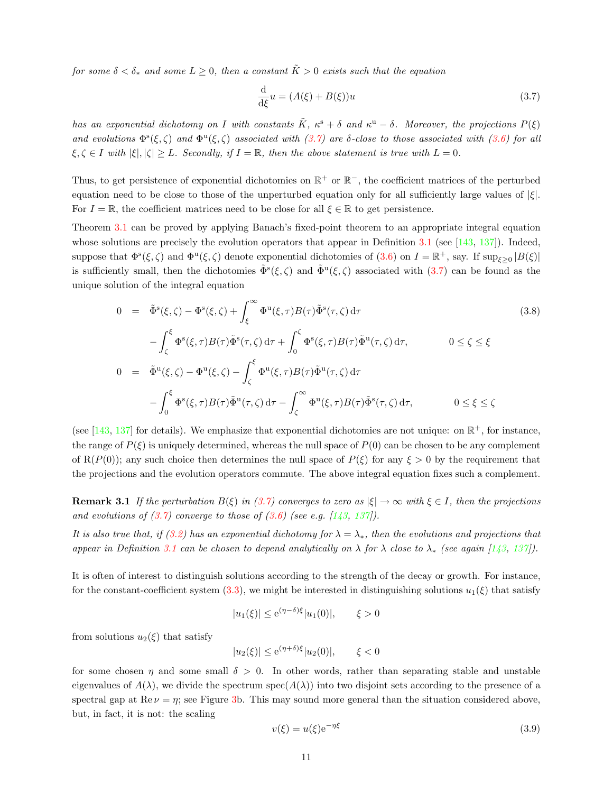for some  $\delta < \delta_*$  and some  $L \geq 0$ , then a constant  $\tilde{K} > 0$  exists such that the equation

<span id="page-10-0"></span>
$$
\frac{\mathrm{d}}{\mathrm{d}\xi}u = (A(\xi) + B(\xi))u\tag{3.7}
$$

has an exponential dichotomy on I with constants  $\tilde{K}$ ,  $\kappa^s + \delta$  and  $\kappa^u - \delta$ . Moreover, the projections  $P(\xi)$ andevolutions  $\Phi^s(\xi,\zeta)$  and  $\Phi^u(\xi,\zeta)$  associated with  $(3.7)$  $(3.7)$  are  $\delta$ -close to those associated with  $(3.6)$  $(3.6)$  for all  $\xi, \zeta \in I$  with  $|\xi|, |\zeta| \geq L$ . Secondly, if  $I = \mathbb{R}$ , then the above statement is true with  $L = 0$ .

Thus, to get persistence of exponential dichotomies on  $\mathbb{R}^+$  or  $\mathbb{R}^-$ , the coefficient matrices of the perturbed equation need to be close to those of the unperturbed equation only for all sufficiently large values of  $|\xi|$ . For  $I = \mathbb{R}$ , the coefficient matrices need to be close for all  $\xi \in \mathbb{R}$  to get persistence.

Theorem [3.1](#page-9-2) can be proved by applying Banach's fixed-point theorem to an appropriate integral equation whose solutions are precisely the evolution operators that appear in Definition [3.1](#page-8-6)(see [[143,](#page-60-4) [137\]](#page-59-7)). Indeed, supposethat  $\Phi^s(\xi,\zeta)$  and  $\Phi^u(\xi,\zeta)$  denote exponential dichotomies of  $(3.6)$  $(3.6)$  on  $I = \mathbb{R}^+$ , say. If  $\sup_{\xi \geq 0} |B(\xi)|$ issufficiently small, then the dichotomies  $\tilde{\Phi}^s(\xi,\zeta)$  and  $\tilde{\Phi}^u(\xi,\zeta)$  associated with  $(3.7)$  $(3.7)$  $(3.7)$  can be found as the unique solution of the integral equation

<span id="page-10-3"></span>
$$
0 = \tilde{\Phi}^{s}(\xi,\zeta) - \Phi^{s}(\xi,\zeta) + \int_{\xi}^{\infty} \Phi^{u}(\xi,\tau)B(\tau)\tilde{\Phi}^{s}(\tau,\zeta) d\tau
$$
\n
$$
- \int_{\xi}^{\xi} \Phi^{s}(\xi,\tau)B(\tau)\tilde{\Phi}^{s}(\tau,\zeta) d\tau + \int_{\xi}^{\zeta} \Phi^{s}(\xi,\tau)B(\tau)\tilde{\Phi}^{u}(\tau,\zeta) d\tau, \qquad 0 \le \zeta \le \xi
$$
\n(3.8)

$$
J_{\zeta} \qquad J_0 \qquad \qquad J_1 \qquad J_2 \qquad J_3 \qquad J_4
$$
  
\n
$$
0 = \tilde{\Phi}^{\mathrm{u}}(\xi, \zeta) - \Phi^{\mathrm{u}}(\xi, \zeta) - \int_{\zeta}^{\xi} \Phi^{\mathrm{u}}(\xi, \tau) B(\tau) \tilde{\Phi}^{\mathrm{u}}(\tau, \zeta) d\tau
$$
  
\n
$$
- \int_0^{\xi} \Phi^{\mathrm{s}}(\xi, \tau) B(\tau) \tilde{\Phi}^{\mathrm{u}}(\tau, \zeta) d\tau - \int_{\zeta}^{\infty} \Phi^{\mathrm{u}}(\xi, \tau) B(\tau) \tilde{\Phi}^{\mathrm{s}}(\tau, \zeta) d\tau, \qquad 0 \le \xi \le \zeta
$$

(see [\[143](#page-60-4), [137](#page-59-7)] for details). We emphasize that exponential dichotomies are not unique: on  $\mathbb{R}^+$ , for instance, the range of  $P(\xi)$  is uniquely determined, whereas the null space of  $P(0)$  can be chosen to be any complement of R(P(0)); any such choice then determines the null space of  $P(\xi)$  for any  $\xi > 0$  by the requirement that the projections and the evolution operators commute. The above integral equation fixes such a complement.

<span id="page-10-2"></span>**Remark 3.1** If the perturbation  $B(\xi)$  in [\(3.7](#page-10-0)) converges to zero as  $|\xi| \to \infty$  with  $\xi \in I$ , then the projections andevolutions of  $(3.7)$  $(3.7)$  $(3.7)$  converge to those of  $(3.6)$  $(3.6)$  (see e.g.  $[143, 137]$  $[143, 137]$  $[143, 137]$  $[143, 137]$ ).

Itis also true that, if ([3.2](#page-8-2)) has an exponential dichotomy for  $\lambda = \lambda_*$ , then the evolutions and projections that appear in Definition [3.1](#page-8-6) can be chosen to depend analytically on  $\lambda$  for  $\lambda$  close to  $\lambda_*$  (see again [\[143,](#page-60-4) [137](#page-59-7)]).

It is often of interest to distinguish solutions according to the strength of the decay or growth. For instance, for the constant-coefficient system [\(3.3](#page-8-3)), we might be interested in distinguishing solutions  $u_1(\xi)$  that satisfy

$$
|u_1(\xi)| \le e^{(\eta - \delta)\xi} |u_1(0)|, \qquad \xi > 0
$$

from solutions  $u_2(\xi)$  that satisfy

$$
|u_2(\xi)| \le e^{(\eta+\delta)\xi} |u_2(0)|, \qquad \xi < 0
$$

for some chosen  $\eta$  and some small  $\delta > 0$ . In other words, rather than separating stable and unstable eigenvalues of  $A(\lambda)$ , we divide the spectrum spec $(A(\lambda))$  into two disjoint sets according to the presence of a spectral gap at  $\text{Re}\,\nu = \eta$ ; see Figure [3b](#page-11-1). This may sound more general than the situation considered above, but, in fact, it is not: the scaling

<span id="page-10-1"></span>
$$
v(\xi) = u(\xi)e^{-\eta\xi} \tag{3.9}
$$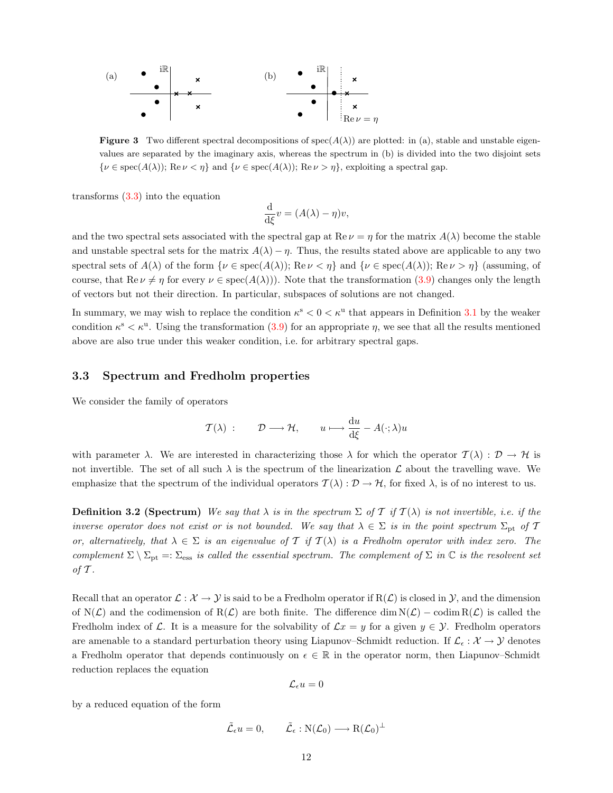

**Figure 3** Two different spectral decompositions of  $spec(A(\lambda))$  are plotted: in (a), stable and unstable eigenvalues are separated by the imaginary axis, whereas the spectrum in (b) is divided into the two disjoint sets  $\{\nu \in \text{spec}(A(\lambda))\colon \text{Re}\,\nu < \eta\}$  and  $\{\nu \in \text{spec}(A(\lambda))\colon \text{Re}\,\nu > \eta\}$ , exploiting a spectral gap.

transforms([3.3](#page-8-3)) into the equation

<span id="page-11-1"></span>
$$
\frac{\mathrm{d}}{\mathrm{d}\xi}v = (A(\lambda) - \eta)v,
$$

and the two spectral sets associated with the spectral gap at  $\text{Re}\,\nu = \eta$  for the matrix  $A(\lambda)$  become the stable and unstable spectral sets for the matrix  $A(\lambda) - \eta$ . Thus, the results stated above are applicable to any two spectral sets of  $A(\lambda)$  of the form  $\{\nu \in \text{spec}(A(\lambda))\colon \text{Re}\,\nu < \eta\}$  and  $\{\nu \in \text{spec}(A(\lambda))\colon \text{Re}\,\nu > \eta\}$  (assuming, of course,that  $\text{Re}\,\nu \neq \eta$  for every  $\nu \in \text{spec}(A(\lambda))$ . Note that the transformation ([3.9\)](#page-10-1) changes only the length of vectors but not their direction. In particular, subspaces of solutions are not changed.

In summary, we may wish to replace the condition  $\kappa^s < 0 < \kappa^u$  that appears in Definition [3.1](#page-8-6) by the weaker condition  $\kappa^s < \kappa^u$ . Using the transformation [\(3.9\)](#page-10-1) for an appropriate  $\eta$ , we see that all the results mentioned above are also true under this weaker condition, i.e. for arbitrary spectral gaps.

### <span id="page-11-0"></span>3.3 Spectrum and Fredholm properties

We consider the family of operators

$$
\mathcal{T}(\lambda) : \qquad \mathcal{D} \longrightarrow \mathcal{H}, \qquad u \longmapsto \frac{\mathrm{d}u}{\mathrm{d}\xi} - A(\cdot; \lambda)u
$$

with parameter  $\lambda$ . We are interested in characterizing those  $\lambda$  for which the operator  $\mathcal{T}(\lambda) : \mathcal{D} \to \mathcal{H}$  is not invertible. The set of all such  $\lambda$  is the spectrum of the linearization  $\mathcal L$  about the travelling wave. We emphasize that the spectrum of the individual operators  $\mathcal{T}(\lambda): \mathcal{D} \to \mathcal{H}$ , for fixed  $\lambda$ , is of no interest to us.

**Definition 3.2 (Spectrum)** We say that  $\lambda$  is in the spectrum  $\Sigma$  of T if  $T(\lambda)$  is not invertible, i.e. if the inverse operator does not exist or is not bounded. We say that  $\lambda \in \Sigma$  is in the point spectrum  $\Sigma_{\rm pt}$  of T or, alternatively, that  $\lambda \in \Sigma$  is an eigenvalue of T if  $T(\lambda)$  is a Fredholm operator with index zero. The complement  $\Sigma \setminus \Sigma_{\text{pt}} =: \Sigma_{\text{ess}}$  is called the essential spectrum. The complement of  $\Sigma$  in  $\mathbb C$  is the resolvent set of  $\mathcal T$ .

Recall that an operator  $\mathcal{L}: \mathcal{X} \to \mathcal{Y}$  is said to be a Fredholm operator if  $R(\mathcal{L})$  is closed in  $\mathcal{Y}$ , and the dimension of  $N(\mathcal{L})$  and the codimension of  $R(\mathcal{L})$  are both finite. The difference dim  $N(\mathcal{L})$  – codim  $R(\mathcal{L})$  is called the Fredholm index of L. It is a measure for the solvability of  $\mathcal{L}x = y$  for a given  $y \in \mathcal{Y}$ . Fredholm operators are amenable to a standard perturbation theory using Liapunov–Schmidt reduction. If  $\mathcal{L}_{\epsilon} : \mathcal{X} \to \mathcal{Y}$  denotes a Fredholm operator that depends continuously on  $\epsilon \in \mathbb{R}$  in the operator norm, then Liapunov–Schmidt reduction replaces the equation

$$
\mathcal{L}_\epsilon u=0
$$

by a reduced equation of the form

$$
\tilde{\mathcal{L}}_{\epsilon}u = 0, \qquad \tilde{\mathcal{L}}_{\epsilon} : \mathrm{N}(\mathcal{L}_0) \longrightarrow \mathrm{R}(\mathcal{L}_0)^{\perp}
$$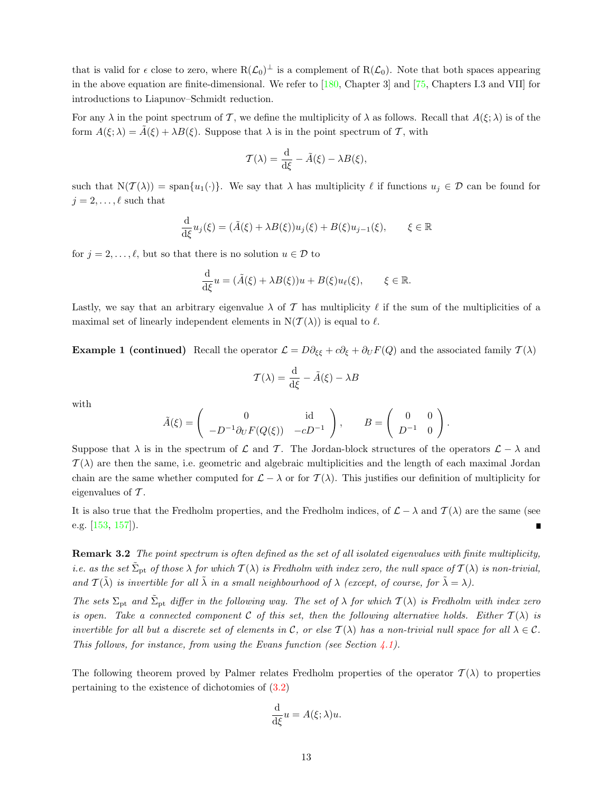that is valid for  $\epsilon$  close to zero, where  $R(\mathcal{L}_0)^{\perp}$  is a complement of  $R(\mathcal{L}_0)$ . Note that both spaces appearing in the above equation are finite-dimensional. We refer to  $[180,$  Chapter 3] and  $[75,$  Chapters I.3 and VII] for introductions to Liapunov–Schmidt reduction.

For any  $\lambda$  in the point spectrum of T, we define the multiplicity of  $\lambda$  as follows. Recall that  $A(\xi; \lambda)$  is of the form  $A(\xi; \lambda) = \tilde{A}(\xi) + \lambda B(\xi)$ . Suppose that  $\lambda$  is in the point spectrum of T, with

$$
\mathcal{T}(\lambda) = \frac{\mathrm{d}}{\mathrm{d}\xi} - \tilde{A}(\xi) - \lambda B(\xi),
$$

such that  $N(\mathcal{T}(\lambda)) = \text{span}\{u_1(\cdot)\}\.$  We say that  $\lambda$  has multiplicity  $\ell$  if functions  $u_j \in \mathcal{D}$  can be found for  $j = 2, \ldots, \ell$  such that

$$
\frac{\mathrm{d}}{\mathrm{d}\xi}u_j(\xi) = (\tilde{A}(\xi) + \lambda B(\xi))u_j(\xi) + B(\xi)u_{j-1}(\xi), \qquad \xi \in \mathbb{R}
$$

for  $j = 2, \ldots, \ell$ , but so that there is no solution  $u \in \mathcal{D}$  to

$$
\frac{\mathrm{d}}{\mathrm{d}\xi}u = (\tilde{A}(\xi) + \lambda B(\xi))u + B(\xi)u_{\ell}(\xi), \qquad \xi \in \mathbb{R}.
$$

Lastly, we say that an arbitrary eigenvalue  $\lambda$  of T has multiplicity  $\ell$  if the sum of the multiplicities of a maximal set of linearly independent elements in  $N(\mathcal{T}(\lambda))$  is equal to  $\ell$ .

**Example 1 (continued)** Recall the operator  $\mathcal{L} = D\partial_{\xi\xi} + c\partial_{\xi} + \partial_{U}F(Q)$  and the associated family  $\mathcal{T}(\lambda)$ 

$$
\mathcal{T}(\lambda) = \frac{\mathrm{d}}{\mathrm{d}\xi} - \tilde{A}(\xi) - \lambda B
$$

with

$$
\tilde{A}(\xi) = \begin{pmatrix} 0 & \text{id} \\ -D^{-1}\partial_U F(Q(\xi)) & -cD^{-1} \end{pmatrix}, \qquad B = \begin{pmatrix} 0 & 0 \\ D^{-1} & 0 \end{pmatrix}.
$$

Suppose that  $\lambda$  is in the spectrum of L and T. The Jordan-block structures of the operators  $\mathcal{L} - \lambda$  and  $\mathcal{T}(\lambda)$  are then the same, i.e. geometric and algebraic multiplicities and the length of each maximal Jordan chain are the same whether computed for  $\mathcal{L} - \lambda$  or for  $\mathcal{T}(\lambda)$ . This justifies our definition of multiplicity for eigenvalues of  $\mathcal T$ .

It is also true that the Fredholm properties, and the Fredholm indices, of  $\mathcal{L} - \lambda$  and  $\mathcal{T}(\lambda)$  are the same (see e.g. [\[153,](#page-60-5) [157](#page-60-6)]).

<span id="page-12-1"></span>Remark 3.2 The point spectrum is often defined as the set of all isolated eigenvalues with finite multiplicity, i.e. as the set  $\tilde{\Sigma}_{\rm pt}$  of those  $\lambda$  for which  $T(\lambda)$  is Fredholm with index zero, the null space of  $T(\lambda)$  is non-trivial, and  $\mathcal{T}(\tilde{\lambda})$  is invertible for all  $\tilde{\lambda}$  in a small neighbourhood of  $\lambda$  (except, of course, for  $\tilde{\lambda} = \lambda$ ).

The sets  $\Sigma_{\rm pt}$  and  $\tilde{\Sigma}_{\rm pt}$  differ in the following way. The set of  $\lambda$  for which  $\mathcal{T}(\lambda)$  is Fredholm with index zero is open. Take a connected component C of this set, then the following alternative holds. Either  $T(\lambda)$  is invertible for all but a discrete set of elements in C, or else  $T(\lambda)$  has a non-trivial null space for all  $\lambda \in \mathcal{C}$ . This follows, for instance, from using the Evans function (see Section  $\angle 4.1$ ).

<span id="page-12-0"></span>The following theorem proved by Palmer relates Fredholm properties of the operator  $\mathcal{T}(\lambda)$  to properties pertainingto the existence of dichotomies of  $(3.2)$  $(3.2)$ 

$$
\frac{\mathrm{d}}{\mathrm{d}\xi}u = A(\xi; \lambda)u.
$$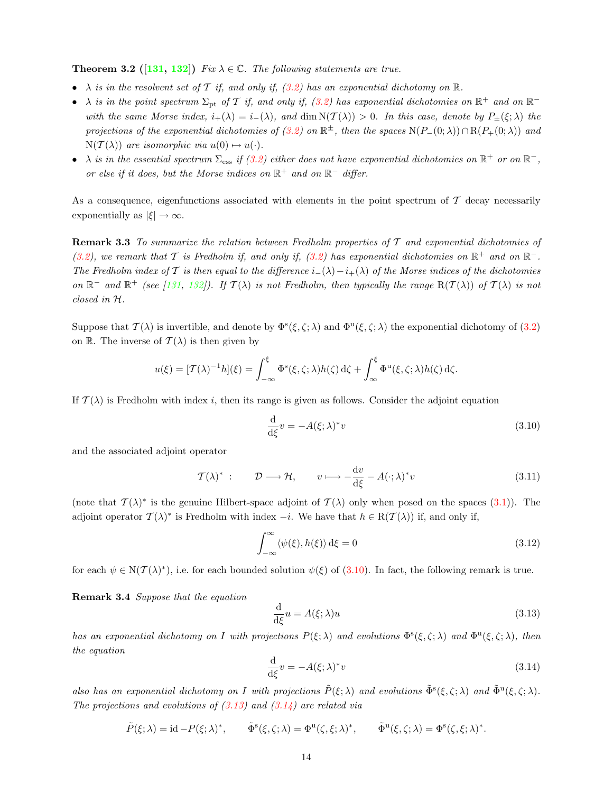**Theorem 3.2** ([[131,](#page-59-8) [132](#page-59-9)]) Fix  $\lambda \in \mathbb{C}$ . The following statements are true.

- $\lambda$  is in the resolvent set of T if, and only if, [\(3.2\)](#page-8-2) has an exponential dichotomy on  $\mathbb{R}$ .
- • $\lambda$  is in the point spectrum  $\Sigma_{\rm pt}$  of T if, and only if, ([3.2\)](#page-8-2) has exponential dichotomies on  $\mathbb{R}^+$  and on  $\mathbb{R}^$ with the same Morse index,  $i_{+}(\lambda) = i_{-}(\lambda)$ , and  $\dim N(\mathcal{T}(\lambda)) > 0$ . In this case, denote by  $P_{\pm}(\xi;\lambda)$  the projections of the exponential dichotomies of  $(3.2)$  on  $\mathbb{R}^{\pm}$ , then the spaces  $N(P_{-}(0;\lambda)) \cap R(P_{+}(0;\lambda))$  and  $N(\mathcal{T}(\lambda))$  are isomorphic via  $u(0) \mapsto u(\cdot)$ .
- $\lambda$  is in the essential spectrum  $\Sigma_{\rm ess}$  if [\(3.2](#page-8-2)) either does not have exponential dichotomies on  $\mathbb{R}^+$  or on  $\mathbb{R}^-$ , or else if it does, but the Morse indices on  $\mathbb{R}^+$  and on  $\mathbb{R}^-$  differ.

As a consequence, eigenfunctions associated with elements in the point spectrum of  $\mathcal T$  decay necessarily exponentially as  $|\xi| \to \infty$ .

**Remark 3.3** To summarize the relation between Fredholm properties of  $T$  and exponential dichotomies of [\(3.2](#page-8-2)), we remark that T is Fredholm if, and only if, [\(3.2](#page-8-2)) has exponential dichotomies on  $\mathbb{R}^+$  and on  $\mathbb{R}^-$ . The Fredholm index of T is then equal to the difference  $i_-(\lambda)-i_+(\lambda)$  of the Morse indices of the dichotomies on $\mathbb{R}^-$  and  $\mathbb{R}^+$  (see [[131,](#page-59-8) [132](#page-59-9)]). If  $\mathcal{T}(\lambda)$  is not Fredholm, then typically the range  $R(\mathcal{T}(\lambda))$  of  $\mathcal{T}(\lambda)$  is not closed in H.

Suppose that  $\mathcal{T}(\lambda)$  is invertible, and denote by  $\Phi^s(\xi,\zeta;\lambda)$  and  $\Phi^u(\xi,\zeta;\lambda)$  the exponential dichotomy of  $(3.2)$ on R. The inverse of  $\mathcal{T}(\lambda)$  is then given by

$$
u(\xi) = [\mathcal{T}(\lambda)^{-1}h](\xi) = \int_{-\infty}^{\xi} \Phi^{s}(\xi, \zeta; \lambda)h(\zeta) d\zeta + \int_{\infty}^{\xi} \Phi^{u}(\xi, \zeta; \lambda)h(\zeta) d\zeta.
$$

If  $\mathcal{T}(\lambda)$  is Fredholm with index i, then its range is given as follows. Consider the adjoint equation

<span id="page-13-0"></span>
$$
\frac{\mathrm{d}}{\mathrm{d}\xi}v = -A(\xi;\lambda)^*v\tag{3.10}
$$

and the associated adjoint operator

$$
\mathcal{T}(\lambda)^{*}: \qquad \mathcal{D} \longrightarrow \mathcal{H}, \qquad v \longmapsto -\frac{\mathrm{d}v}{\mathrm{d}\xi} - A(\cdot;\lambda)^{*}v \tag{3.11}
$$

(notethat  $\mathcal{T}(\lambda)^*$  is the genuine Hilbert-space adjoint of  $\mathcal{T}(\lambda)$  only when posed on the spaces ([3.1](#page-8-7))). The adjoint operator  $\mathcal{T}(\lambda)^*$  is Fredholm with index  $-i$ . We have that  $h \in \mathrm{R}(\mathcal{T}(\lambda))$  if, and only if,

<span id="page-13-4"></span>
$$
\int_{-\infty}^{\infty} \langle \psi(\xi), h(\xi) \rangle \,d\xi = 0 \tag{3.12}
$$

<span id="page-13-3"></span>for each  $\psi \in N(\mathcal{T}(\lambda)^*)$ , i.e. for each bounded solution  $\psi(\xi)$  of [\(3.10\)](#page-13-0). In fact, the following remark is true.

Remark 3.4 Suppose that the equation

<span id="page-13-1"></span>
$$
\frac{\mathrm{d}}{\mathrm{d}\xi}u = A(\xi; \lambda)u\tag{3.13}
$$

has an exponential dichotomy on I with projections  $P(\xi; \lambda)$  and evolutions  $\Phi^s(\xi, \zeta; \lambda)$  and  $\Phi^u(\xi, \zeta; \lambda)$ , then the equation

<span id="page-13-2"></span>
$$
\frac{\mathrm{d}}{\mathrm{d}\xi}v = -A(\xi;\lambda)^*v\tag{3.14}
$$

also has an exponential dichotomy on I with projections  $\tilde{P}(\xi;\lambda)$  and evolutions  $\tilde{\Phi}^s(\xi,\zeta;\lambda)$  and  $\tilde{\Phi}^u(\xi,\zeta;\lambda)$ . Theprojections and evolutions of  $(3.13)$  $(3.13)$  and  $(3.14)$  are related via

$$
\tilde{P}(\xi;\lambda)=\mathrm{id}-P(\xi;\lambda)^*,\qquad \tilde{\Phi}^{\mathrm{s}}(\xi,\zeta;\lambda)=\Phi^{\mathrm{u}}(\zeta,\xi;\lambda)^*,\qquad \tilde{\Phi}^{\mathrm{u}}(\xi,\zeta;\lambda)=\Phi^{\mathrm{s}}(\zeta,\xi;\lambda)^*.
$$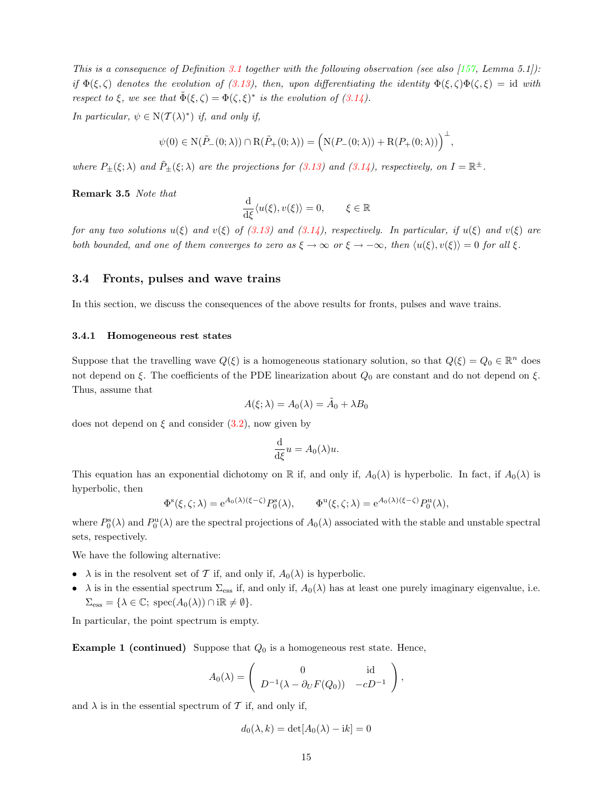This is a consequence of Definition [3.1](#page-8-6) together with the following observation (see also [\[157,](#page-60-6) Lemma 5.1]): if  $\Phi(\xi,\zeta)$  denotes the evolution of [\(3.13\)](#page-13-1), then, upon differentiating the identity  $\Phi(\xi,\zeta)\Phi(\zeta,\xi) = id$  with respect to  $\xi$ , we see that  $\tilde{\Phi}(\xi,\zeta) = \Phi(\zeta,\xi)^*$  is the evolution of  $(3.14)$ .

In particular,  $\psi \in N(\mathcal{T}(\lambda)^*)$  if, and only if,

$$
\psi(0) \in \mathcal{N}(\tilde{P}_{-}(0;\lambda)) \cap \mathcal{R}(\tilde{P}_{+}(0;\lambda)) = \Big(\mathcal{N}(P_{-}(0;\lambda)) + \mathcal{R}(P_{+}(0;\lambda))\Big)^{\perp},
$$

where $P_{\pm}(\xi;\lambda)$  and  $\tilde{P}_{\pm}(\xi;\lambda)$  are the projections for [\(3.13\)](#page-13-1) and ([3.14\)](#page-13-2), respectively, on  $I=\mathbb{R}^{\pm}$ .

<span id="page-14-2"></span>Remark 3.5 Note that

$$
\frac{\mathrm{d}}{\mathrm{d}\xi}\langle u(\xi), v(\xi)\rangle = 0, \qquad \xi \in \mathbb{R}
$$

forany two solutions  $u(\xi)$  and  $v(\xi)$  of ([3.13\)](#page-13-1) and [\(3.14\)](#page-13-2), respectively. In particular, if  $u(\xi)$  and  $v(\xi)$  are both bounded, and one of them converges to zero as  $\xi \to \infty$  or  $\xi \to -\infty$ , then  $\langle u(\xi), v(\xi) \rangle = 0$  for all  $\xi$ .

#### <span id="page-14-0"></span>3.4 Fronts, pulses and wave trains

In this section, we discuss the consequences of the above results for fronts, pulses and wave trains.

#### <span id="page-14-1"></span>3.4.1 Homogeneous rest states

Suppose that the travelling wave  $Q(\xi)$  is a homogeneous stationary solution, so that  $Q(\xi) = Q_0 \in \mathbb{R}^n$  does not depend on ξ. The coefficients of the PDE linearization about  $Q_0$  are constant and do not depend on ξ. Thus, assume that

$$
A(\xi; \lambda) = A_0(\lambda) = \tilde{A}_0 + \lambda B_0
$$

doesnot depend on  $\xi$  and consider ([3.2\)](#page-8-2), now given by

$$
\frac{\mathrm{d}}{\mathrm{d}\xi}u = A_0(\lambda)u.
$$

This equation has an exponential dichotomy on R if, and only if,  $A_0(\lambda)$  is hyperbolic. In fact, if  $A_0(\lambda)$  is hyperbolic, then

$$
\Phi^s(\xi,\zeta;\lambda) = e^{A_0(\lambda)(\xi-\zeta)} P_0^s(\lambda), \qquad \Phi^u(\xi,\zeta;\lambda) = e^{A_0(\lambda)(\xi-\zeta)} P_0^u(\lambda),
$$

where  $P_0^s(\lambda)$  and  $P_0^u(\lambda)$  are the spectral projections of  $A_0(\lambda)$  associated with the stable and unstable spectral sets, respectively.

We have the following alternative:

- $\lambda$  is in the resolvent set of T if, and only if,  $A_0(\lambda)$  is hyperbolic.
- $\lambda$  is in the essential spectrum  $\Sigma_{\rm ess}$  if, and only if,  $A_0(\lambda)$  has at least one purely imaginary eigenvalue, i.e.  $\Sigma_{\text{ess}} = {\lambda \in \mathbb{C}}; \text{spec}(A_0(\lambda)) \cap \text{im} \neq \emptyset.$

In particular, the point spectrum is empty.

**Example 1 (continued)** Suppose that  $Q_0$  is a homogeneous rest state. Hence,

$$
A_0(\lambda) = \begin{pmatrix} 0 & \text{id} \\ D^{-1}(\lambda - \partial_U F(Q_0)) & -cD^{-1} \end{pmatrix},
$$

and  $\lambda$  is in the essential spectrum of T if, and only if,

$$
d_0(\lambda, k) = \det[A_0(\lambda) - ik] = 0
$$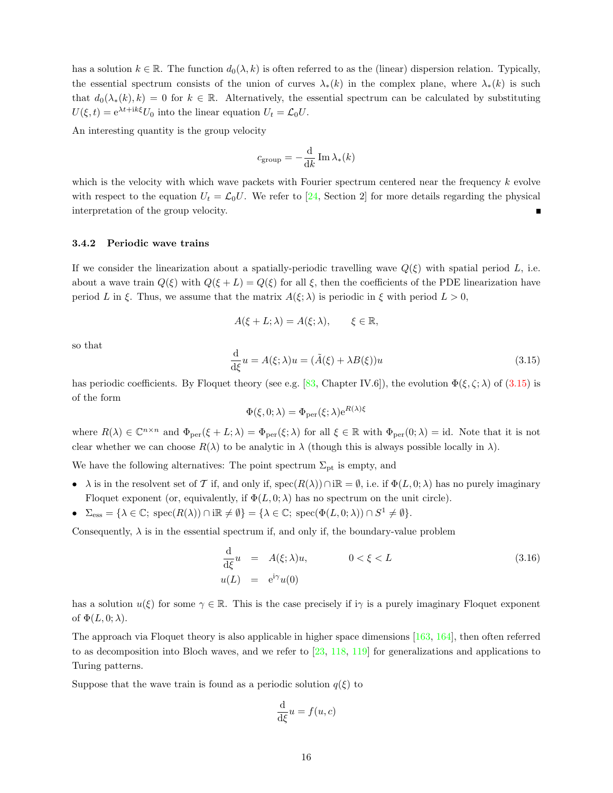has a solution  $k \in \mathbb{R}$ . The function  $d_0(\lambda, k)$  is often referred to as the (linear) dispersion relation. Typically, the essential spectrum consists of the union of curves  $\lambda_*(k)$  in the complex plane, where  $\lambda_*(k)$  is such that  $d_0(\lambda_*(k), k) = 0$  for  $k \in \mathbb{R}$ . Alternatively, the essential spectrum can be calculated by substituting  $U(\xi, t) = e^{\lambda t + i k \xi} U_0$  into the linear equation  $U_t = \mathcal{L}_0 U$ .

An interesting quantity is the group velocity

$$
c_{\rm group} = -\frac{\mathrm{d}}{\mathrm{d}k} \operatorname{Im} \lambda_*(k)
$$

which is the velocity with which wave packets with Fourier spectrum centered near the frequency k evolve withrespect to the equation  $U_t = \mathcal{L}_0 U$ . We refer to [[24,](#page-55-5) Section 2] for more details regarding the physical interpretation of the group velocity.

#### <span id="page-15-0"></span>3.4.2 Periodic wave trains

If we consider the linearization about a spatially-periodic travelling wave  $Q(\xi)$  with spatial period L, i.e. about a wave train  $Q(\xi)$  with  $Q(\xi + L) = Q(\xi)$  for all  $\xi$ , then the coefficients of the PDE linearization have period L in ξ. Thus, we assume that the matrix  $A(\xi; \lambda)$  is periodic in  $\xi$  with period  $L > 0$ ,

$$
A(\xi + L; \lambda) = A(\xi; \lambda), \qquad \xi \in \mathbb{R},
$$

so that

<span id="page-15-1"></span>
$$
\frac{\mathrm{d}}{\mathrm{d}\xi}u = A(\xi; \lambda)u = (\tilde{A}(\xi) + \lambda B(\xi))u \tag{3.15}
$$

has periodic coefficients. By Floquet theory (see e.g. [\[83](#page-57-6),Chapter IV.6]), the evolution  $\Phi(\xi, \zeta; \lambda)$  of ([3.15](#page-15-1)) is of the form

$$
\Phi(\xi, 0; \lambda) = \Phi_{\text{per}}(\xi; \lambda) e^{R(\lambda)\xi}
$$

where  $R(\lambda) \in \mathbb{C}^{n \times n}$  and  $\Phi_{\text{per}}(\xi + L; \lambda) = \Phi_{\text{per}}(\xi; \lambda)$  for all  $\xi \in \mathbb{R}$  with  $\Phi_{\text{per}}(0; \lambda) = id$ . Note that it is not clear whether we can choose  $R(\lambda)$  to be analytic in  $\lambda$  (though this is always possible locally in  $\lambda$ ).

We have the following alternatives: The point spectrum  $\Sigma_{\rm pt}$  is empty, and

- $\lambda$  is in the resolvent set of T if, and only if, spec $(R(\lambda)) \cap i\mathbb{R} = \emptyset$ , i.e. if  $\Phi(L, 0; \lambda)$  has no purely imaginary Floquet exponent (or, equivalently, if  $\Phi(L, 0; \lambda)$  has no spectrum on the unit circle).
- $\Sigma_{\text{ess}} = {\lambda \in \mathbb{C}}; \text{ spec}(R(\lambda)) \cap \text{im} \neq \emptyset$  =  ${\lambda \in \mathbb{C}}; \text{ spec}(\Phi(L, 0; \lambda)) \cap S^1 \neq \emptyset$ .

Consequently,  $\lambda$  is in the essential spectrum if, and only if, the boundary-value problem

<span id="page-15-2"></span>
$$
\frac{\mathrm{d}}{\mathrm{d}\xi}u = A(\xi; \lambda)u, \qquad 0 < \xi < L \tag{3.16}
$$
\n
$$
u(L) = e^{i\gamma}u(0)
$$

has a solution  $u(\xi)$  for some  $\gamma \in \mathbb{R}$ . This is the case precisely if  $i\gamma$  is a purely imaginary Floquet exponent of  $\Phi(L, 0; \lambda)$ .

The approach via Floquet theory is also applicable in higher space dimensions [\[163](#page-60-7), [164\]](#page-60-8), then often referred to as decomposition into Bloch waves, and we refer to[[23,](#page-55-6) [118,](#page-59-10) [119\]](#page-59-11) for generalizations and applications to Turing patterns.

Suppose that the wave train is found as a periodic solution  $q(\xi)$  to

$$
\frac{\mathrm{d}}{\mathrm{d}\xi}u = f(u, c)
$$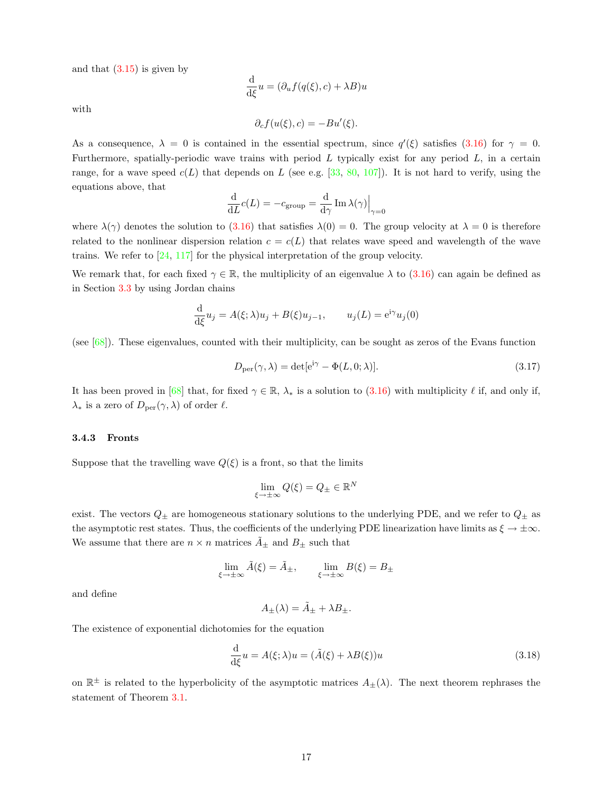andthat  $(3.15)$  $(3.15)$  is given by

$$
\frac{\mathrm{d}}{\mathrm{d}\xi}u = (\partial_u f(q(\xi), c) + \lambda B)u
$$

with

$$
\partial_c f(u(\xi), c) = -Bu'(\xi).
$$

As a consequence,  $\lambda = 0$  is contained in the essential spectrum, since  $q'(\xi)$  satisfies [\(3.16\)](#page-15-2) for  $\gamma = 0$ . Furthermore, spatially-periodic wave trains with period  $L$  typically exist for any period  $L$ , in a certain range, for a wave speed  $c(L)$  that depends on L (see e.g. [\[33](#page-55-2), [80,](#page-57-2) [107](#page-58-1)]). It is not hard to verify, using the equations above, that

$$
\frac{\mathrm{d}}{\mathrm{d}L}c(L) = -c_{\text{group}} = \frac{\mathrm{d}}{\mathrm{d}\gamma}\operatorname{Im}\lambda(\gamma)\Big|_{\gamma=0}
$$

where  $\lambda(\gamma)$  denotes the solution to  $(3.16)$  that satisfies  $\lambda(0) = 0$ . The group velocity at  $\lambda = 0$  is therefore related to the nonlinear dispersion relation  $c = c(L)$  that relates wave speed and wavelength of the wave trains. We refer to [\[24](#page-55-5), [117](#page-59-12)] for the physical interpretation of the group velocity.

We remark that, for each fixed  $\gamma \in \mathbb{R}$ , the multiplicity of an eigenvalue  $\lambda$  to [\(3.16](#page-15-2)) can again be defined as in Section [3.3](#page-11-0) by using Jordan chains

$$
\frac{\mathrm{d}}{\mathrm{d}\xi}u_j = A(\xi; \lambda)u_j + B(\xi)u_{j-1}, \qquad u_j(L) = e^{\mathrm{i}\gamma}u_j(0)
$$

(see[[68\]](#page-57-7)). These eigenvalues, counted with their multiplicity, can be sought as zeros of the Evans function

<span id="page-16-3"></span>
$$
D_{\text{per}}(\gamma, \lambda) = \det[e^{i\gamma} - \Phi(L, 0; \lambda)]. \tag{3.17}
$$

It has been proved in [\[68](#page-57-7)] that, for fixed  $\gamma \in \mathbb{R}$ ,  $\lambda_*$  is a solution to [\(3.16\)](#page-15-2) with multiplicity  $\ell$  if, and only if,  $\lambda_*$  is a zero of  $D_{\text{per}}(\gamma, \lambda)$  of order  $\ell$ .

#### <span id="page-16-0"></span>3.4.3 Fronts

Suppose that the travelling wave  $Q(\xi)$  is a front, so that the limits

$$
\lim_{\xi\to\pm\infty}Q(\xi)=Q_\pm\in\mathbb{R}^N
$$

exist. The vectors  $Q_{\pm}$  are homogeneous stationary solutions to the underlying PDE, and we refer to  $Q_{\pm}$  as the asymptotic rest states. Thus, the coefficients of the underlying PDE linearization have limits as  $\xi \to \pm \infty$ . We assume that there are  $n \times n$  matrices  $A_{\pm}$  and  $B_{\pm}$  such that

$$
\lim_{\xi \to \pm \infty} \tilde{A}(\xi) = \tilde{A}_{\pm}, \qquad \lim_{\xi \to \pm \infty} B(\xi) = B_{\pm}
$$

and define

$$
A_{\pm}(\lambda) = \tilde{A}_{\pm} + \lambda B_{\pm}.
$$

The existence of exponential dichotomies for the equation

<span id="page-16-1"></span>
$$
\frac{\mathrm{d}}{\mathrm{d}\xi}u = A(\xi; \lambda)u = (\tilde{A}(\xi) + \lambda B(\xi))u \tag{3.18}
$$

<span id="page-16-2"></span>on  $\mathbb{R}^{\pm}$  is related to the hyperbolicity of the asymptotic matrices  $A_{\pm}(\lambda)$ . The next theorem rephrases the statement of Theorem [3.1](#page-9-2).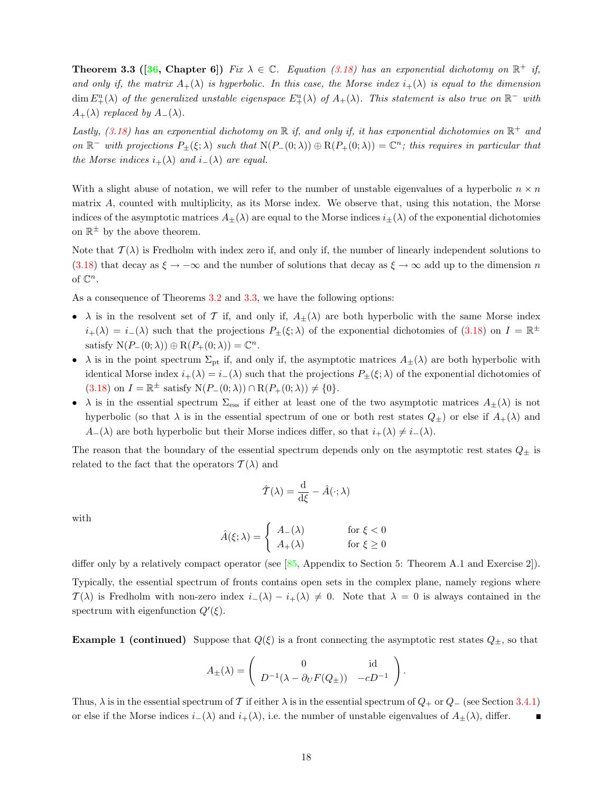**Theorem 3.3 ([[36](#page-55-4), Chapter 6])** Fix  $\lambda \in \mathbb{C}$ . Equation [\(3.18](#page-16-1)) has an exponential dichotomy on  $\mathbb{R}^+$  if, and only if, the matrix  $A_+(\lambda)$  is hyperbolic. In this case, the Morse index  $i_+(\lambda)$  is equal to the dimension  $\dim E_{+}^{\mathrm{u}}(\lambda)$  of the generalized unstable eigenspace  $E_{+}^{\mathrm{u}}(\lambda)$  of  $A_{+}(\lambda)$ . This statement is also true on  $\mathbb{R}^-$  with  $A_{+}(\lambda)$  replaced by  $A_{-}(\lambda)$ .

Lastly, [\(3.18\)](#page-16-1) has an exponential dichotomy on  $\mathbb R$  if, and only if, it has exponential dichotomies on  $\mathbb R^+$  and on  $\mathbb{R}^-$  with projections  $P_{\pm}(\xi;\lambda)$  such that  $N(P_{-}(0;\lambda)) \oplus R(P_{+}(0;\lambda)) = \mathbb{C}^n$ ; this requires in particular that the Morse indices  $i_{+}(\lambda)$  and  $i_{-}(\lambda)$  are equal.

With a slight abuse of notation, we will refer to the number of unstable eigenvalues of a hyperbolic  $n \times n$ matrix A, counted with multiplicity, as its Morse index. We observe that, using this notation, the Morse indices of the asymptotic matrices  $A_{\pm}(\lambda)$  are equal to the Morse indices  $i_{\pm}(\lambda)$  of the exponential dichotomies on  $\mathbb{R}^{\pm}$  by the above theorem.

Note that  $\mathcal{T}(\lambda)$  is Fredholm with index zero if, and only if, the number of linearly independent solutions to ([3.18\)](#page-16-1) that decay as  $\xi \to -\infty$  and the number of solutions that decay as  $\xi \to \infty$  add up to the dimension n of  $\mathbb{C}^n$ .

As a consequence of Theorems [3.2](#page-12-0) and [3.3,](#page-16-2) we have the following options:

- $\lambda$  is in the resolvent set of T if, and only if,  $A_{\pm}(\lambda)$  are both hyperbolic with the same Morse index  $i_+(\lambda) = i_-(\lambda)$  such that the projections  $P_{\pm}(\xi;\lambda)$  of the exponential dichotomies of [\(3.18](#page-16-1)) on  $I = \mathbb{R}^{\pm}$ satisfy  $N(P_-(0; \lambda)) \oplus R(P_+(0; \lambda)) = \mathbb{C}^n$ .
- $\lambda$  is in the point spectrum  $\Sigma_{\rm pt}$  if, and only if, the asymptotic matrices  $A_{\pm}(\lambda)$  are both hyperbolic with identical Morse index  $i_{+}(\lambda) = i_{-}(\lambda)$  such that the projections  $P_{\pm}(\xi;\lambda)$  of the exponential dichotomies of  $(3.18)$  on  $I = \mathbb{R}^{\pm}$  satisfy  $N(P_{-}(0; \lambda)) \cap R(P_{+}(0; \lambda)) \neq \{0\}.$
- $\lambda$  is in the essential spectrum  $\Sigma_{\rm ess}$  if either at least one of the two asymptotic matrices  $A_{\pm}(\lambda)$  is not hyperbolic (so that  $\lambda$  is in the essential spectrum of one or both rest states  $Q_{\pm}$ ) or else if  $A_{+}(\lambda)$  and  $A_{-}(\lambda)$  are both hyperbolic but their Morse indices differ, so that  $i_{+}(\lambda) \neq i_{-}(\lambda)$ .

The reason that the boundary of the essential spectrum depends only on the asymptotic rest states  $Q_{\pm}$  is related to the fact that the operators  $\mathcal{T}(\lambda)$  and

$$
\hat{T}(\lambda) = \frac{\mathrm{d}}{\mathrm{d}\xi} - \hat{A}(\cdot; \lambda)
$$

with

$$
\hat{A}(\xi; \lambda) = \begin{cases} A_{-}(\lambda) & \text{for } \xi < 0\\ A_{+}(\lambda) & \text{for } \xi \ge 0 \end{cases}
$$

differ only by a relatively compact operator (see[[85,](#page-57-1) Appendix to Section 5: Theorem A.1 and Exercise 2]). Typically, the essential spectrum of fronts contains open sets in the complex plane, namely regions where  $\mathcal{T}(\lambda)$  is Fredholm with non-zero index  $i_-(\lambda) - i_+(\lambda) \neq 0$ . Note that  $\lambda = 0$  is always contained in the spectrum with eigenfunction  $Q'(\xi)$ .

**Example 1 (continued)** Suppose that  $Q(\xi)$  is a front connecting the asymptotic rest states  $Q_{\pm}$ , so that

$$
A_{\pm}(\lambda) = \begin{pmatrix} 0 & \text{id} \\ D^{-1}(\lambda - \partial_U F(Q_{\pm})) & -cD^{-1} \end{pmatrix}.
$$

Thus,  $\lambda$  is in the essential spectrum of T if either  $\lambda$  is in the essential spectrum of  $Q_+$  or  $Q_-$  (see Section [3.4.1](#page-14-1)) or else if the Morse indices  $i_-(\lambda)$  and  $i_+(\lambda)$ , i.e. the number of unstable eigenvalues of  $A_{\pm}(\lambda)$ , differ.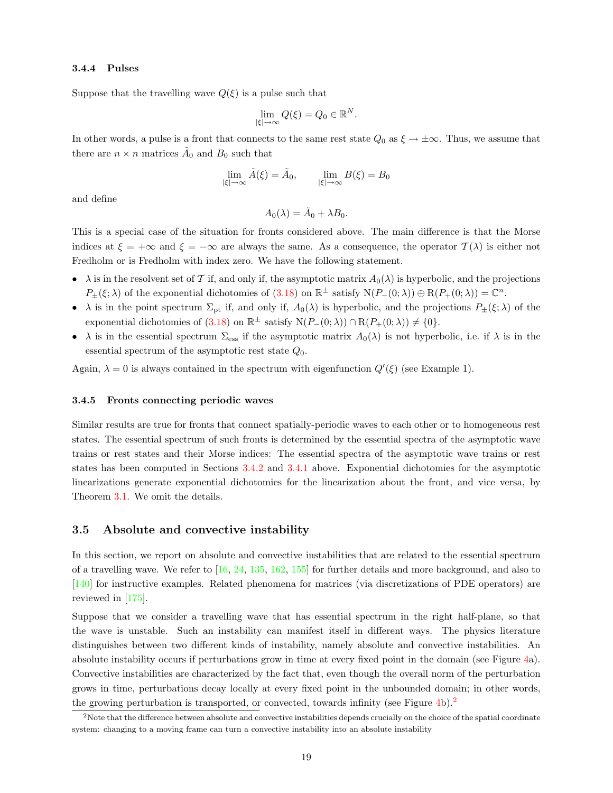#### <span id="page-18-0"></span>3.4.4 Pulses

Suppose that the travelling wave  $Q(\xi)$  is a pulse such that

$$
\lim_{|\xi| \to \infty} Q(\xi) = Q_0 \in \mathbb{R}^N.
$$

In other words, a pulse is a front that connects to the same rest state  $Q_0$  as  $\xi \to \pm \infty$ . Thus, we assume that there are  $n \times n$  matrices  $\tilde{A}_0$  and  $B_0$  such that

$$
\lim_{|\xi| \to \infty} \tilde{A}(\xi) = \tilde{A}_0, \qquad \lim_{|\xi| \to \infty} B(\xi) = B_0
$$

and define

$$
A_0(\lambda) = \tilde{A}_0 + \lambda B_0.
$$

This is a special case of the situation for fronts considered above. The main difference is that the Morse indices at  $\xi = +\infty$  and  $\xi = -\infty$  are always the same. As a consequence, the operator  $T(\lambda)$  is either not Fredholm or is Fredholm with index zero. We have the following statement.

- $\lambda$  is in the resolvent set of T if, and only if, the asymptotic matrix  $A_0(\lambda)$  is hyperbolic, and the projections  $P_{\pm}(\xi;\lambda)$  of the exponential dichotomies of  $(3.18)$  on  $\mathbb{R}^{\pm}$  satisfy  $N(P_{-}(0;\lambda)) \oplus R(P_{+}(0;\lambda)) = \mathbb{C}^{n}$ .
- $\lambda$  is in the point spectrum  $\Sigma_{pt}$  if, and only if,  $A_0(\lambda)$  is hyperbolic, and the projections  $P_{\pm}(\xi;\lambda)$  of the exponential dichotomies of [\(3.18](#page-16-1)) on  $\mathbb{R}^{\pm}$  satisfy  $N(P_{-}(0;\lambda)) \cap R(P_{+}(0;\lambda)) \neq \{0\}.$
- $\lambda$  is in the essential spectrum  $\Sigma_{\rm ess}$  if the asymptotic matrix  $A_0(\lambda)$  is not hyperbolic, i.e. if  $\lambda$  is in the essential spectrum of the asymptotic rest state  $Q_0$ .

Again,  $\lambda = 0$  is always contained in the spectrum with eigenfunction  $Q'(\xi)$  (see Example 1).

#### <span id="page-18-1"></span>3.4.5 Fronts connecting periodic waves

Similar results are true for fronts that connect spatially-periodic waves to each other or to homogeneous rest states. The essential spectrum of such fronts is determined by the essential spectra of the asymptotic wave trains or rest states and their Morse indices: The essential spectra of the asymptotic wave trains or rest states has been computed in Sections [3.4.2](#page-15-0) and [3.4.1](#page-14-1) above. Exponential dichotomies for the asymptotic linearizations generate exponential dichotomies for the linearization about the front, and vice versa, by Theorem [3.1.](#page-9-2) We omit the details.

### <span id="page-18-2"></span>3.5 Absolute and convective instability

In this section, we report on absolute and convective instabilities that are related to the essential spectrum of a travelling wave. We refer to[[16,](#page-54-3) [24,](#page-55-5) [135](#page-59-6), [162](#page-60-9), [155](#page-60-10)] for further details and more background, and also to [[140\]](#page-59-13) for instructive examples. Related phenomena for matrices (via discretizations of PDE operators) are reviewed in [\[175](#page-61-11)].

Suppose that we consider a travelling wave that has essential spectrum in the right half-plane, so that the wave is unstable. Such an instability can manifest itself in different ways. The physics literature distinguishes between two different kinds of instability, namely absolute and convective instabilities. An absolute instability occurs if perturbations grow in time at every fixed point in the domain (see Figure [4](#page-19-0)a). Convective instabilities are characterized by the fact that, even though the overall norm of the perturbation grows in time, perturbations decay locally at every fixed point in the unbounded domain; in other words, the growing perturbation is transported, or convected, towards infinity (see Figure [4](#page-19-0)b).<sup>[2](#page-18-3)</sup>

<span id="page-18-3"></span><sup>&</sup>lt;sup>2</sup>Note that the difference between absolute and convective instabilities depends crucially on the choice of the spatial coordinate system: changing to a moving frame can turn a convective instability into an absolute instability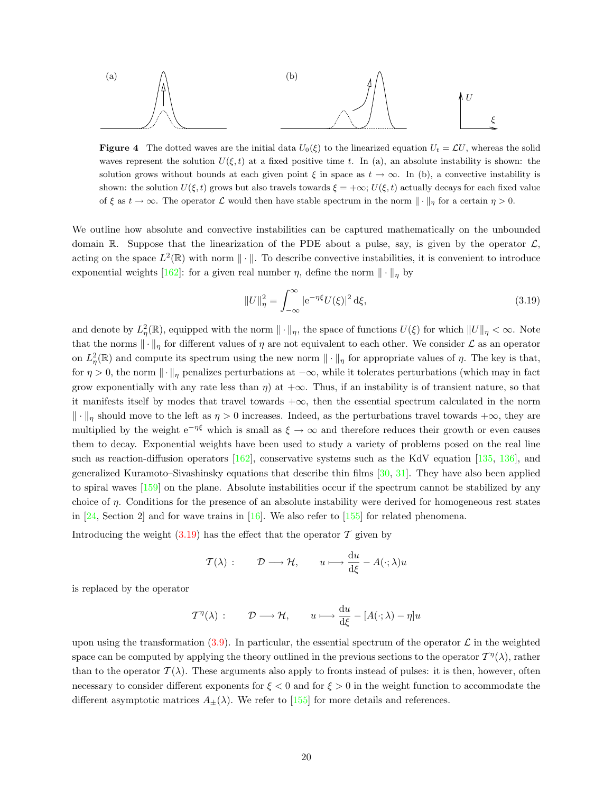

**Figure 4** The dotted waves are the initial data  $U_0(\xi)$  to the linearized equation  $U_t = \mathcal{L}U$ , whereas the solid waves represent the solution  $U(\xi, t)$  at a fixed positive time t. In (a), an absolute instability is shown: the solution grows without bounds at each given point  $\xi$  in space as  $t \to \infty$ . In (b), a convective instability is shown: the solution  $U(\xi, t)$  grows but also travels towards  $\xi = +\infty$ ;  $U(\xi, t)$  actually decays for each fixed value of  $\xi$  as  $t \to \infty$ . The operator  $\mathcal L$  would then have stable spectrum in the norm  $\|\cdot\|_n$  for a certain  $\eta > 0$ .

We outline how absolute and convective instabilities can be captured mathematically on the unbounded domain R. Suppose that the linearization of the PDE about a pulse, say, is given by the operator  $\mathcal{L}$ , acting on the space  $L^2(\mathbb{R})$  with norm  $\|\cdot\|$ . To describe convective instabilities, it is convenient to introduce exponentialweights [[162\]](#page-60-9): for a given real number  $\eta$ , define the norm  $\|\cdot\|_n$  by

<span id="page-19-1"></span><span id="page-19-0"></span>
$$
||U||_{\eta}^{2} = \int_{-\infty}^{\infty} |e^{-\eta\xi}U(\xi)|^{2} d\xi,
$$
\n(3.19)

and denote by  $L^2_{\eta}(\mathbb{R})$ , equipped with the norm  $\|\cdot\|_{\eta}$ , the space of functions  $U(\xi)$  for which  $||U||_{\eta} < \infty$ . Note that the norms  $\|\cdot\|_n$  for different values of  $\eta$  are not equivalent to each other. We consider  $\mathcal L$  as an operator on  $L^2_{\eta}(\mathbb{R})$  and compute its spectrum using the new norm  $\|\cdot\|_{\eta}$  for appropriate values of  $\eta$ . The key is that, for  $\eta > 0$ , the norm  $\|\cdot\|_{\eta}$  penalizes perturbations at  $-\infty$ , while it tolerates perturbations (which may in fact grow exponentially with any rate less than  $\eta$ ) at  $+\infty$ . Thus, if an instability is of transient nature, so that it manifests itself by modes that travel towards  $+\infty$ , then the essential spectrum calculated in the norm  $\|\cdot\|_n$  should move to the left as  $\eta > 0$  increases. Indeed, as the perturbations travel towards + $\infty$ , they are multiplied by the weight  $e^{-\eta\xi}$  which is small as  $\xi \to \infty$  and therefore reduces their growth or even causes them to decay. Exponential weights have been used to study a variety of problems posed on the real line suchas reaction-diffusion operators  $[162]$  $[162]$ , conservative systems such as the KdV equation  $[135, 136]$  $[135, 136]$  $[135, 136]$ , and generalized Kuramoto–Sivashinsky equations that describe thin films [\[30](#page-55-7), [31\]](#page-55-8). They have also been applied to spiral waves[[159\]](#page-60-11) on the plane. Absolute instabilities occur if the spectrum cannot be stabilized by any choice of  $\eta$ . Conditions for the presence of an absolute instability were derived for homogeneous rest states in  $[24, Section 2]$  and for wave trains in  $[16]$ . We also refer to  $[155]$  for related phenomena.

Introducingthe weight  $(3.19)$  $(3.19)$  $(3.19)$  has the effect that the operator  $\mathcal T$  given by

$$
\mathcal{T}(\lambda) : \qquad \mathcal{D} \longrightarrow \mathcal{H}, \qquad u \longmapsto \frac{\mathrm{d}u}{\mathrm{d}\xi} - A(\cdot; \lambda)u
$$

is replaced by the operator

$$
T^{\eta}(\lambda): \qquad \mathcal{D} \longrightarrow \mathcal{H}, \qquad u \longmapsto \frac{du}{d\xi} - [A(\cdot;\lambda) - \eta]u
$$

upon using the transformation [\(3.9](#page-10-1)). In particular, the essential spectrum of the operator  $\mathcal L$  in the weighted space can be computed by applying the theory outlined in the previous sections to the operator  $T^{\eta}(\lambda)$ , rather than to the operator  $\mathcal{T}(\lambda)$ . These arguments also apply to fronts instead of pulses: it is then, however, often necessary to consider different exponents for  $\xi < 0$  and for  $\xi > 0$  in the weight function to accommodate the differentasymptotic matrices  $A_+(\lambda)$ . We refer to [[155\]](#page-60-10) for more details and references.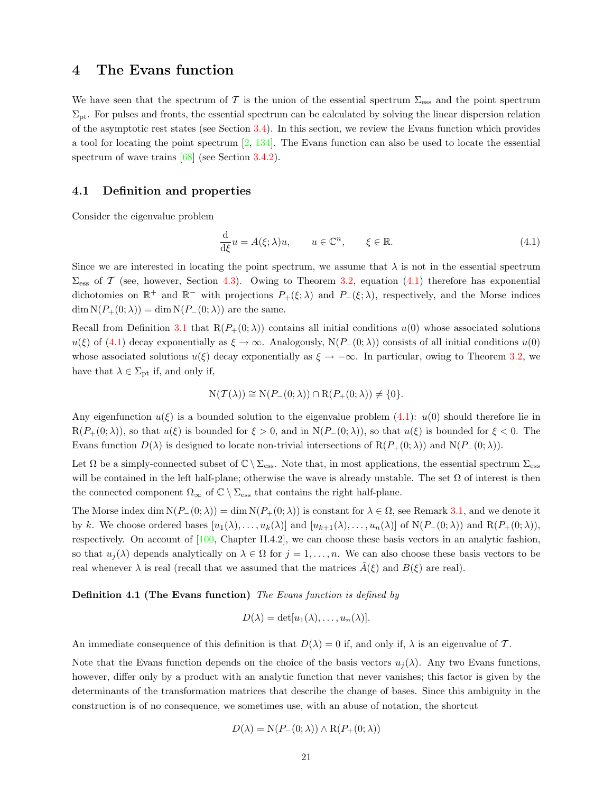# <span id="page-20-0"></span>4 The Evans function

We have seen that the spectrum of T is the union of the essential spectrum  $\Sigma_{\rm ess}$  and the point spectrum  $\Sigma_{\rm pt}$ . For pulses and fronts, the essential spectrum can be calculated by solving the linear dispersion relation of the asymptotic rest states (see Section [3.4](#page-14-0)). In this section, we review the Evans function which provides a tool for locating the point spectrum [\[2](#page-54-4), [134](#page-59-5)]. The Evans function can also be used to locate the essential spectrum of wave trains [\[68](#page-57-7)] (see Section [3.4.2\)](#page-15-0).

### <span id="page-20-1"></span>4.1 Definition and properties

Consider the eigenvalue problem

<span id="page-20-2"></span>
$$
\frac{\mathrm{d}}{\mathrm{d}\xi}u = A(\xi; \lambda)u, \qquad u \in \mathbb{C}^n, \qquad \xi \in \mathbb{R}.\tag{4.1}
$$

Since we are interested in locating the point spectrum, we assume that  $\lambda$  is not in the essential spectrum  $\Sigma_{\rm ess}$  of T (see, however, Section [4.3](#page-24-0)). Owing to Theorem [3.2,](#page-12-0) equation [\(4.1](#page-20-2)) therefore has exponential dichotomies on  $\mathbb{R}^+$  and  $\mathbb{R}^-$  with projections  $P_+(\xi;\lambda)$  and  $P_-(\xi;\lambda)$ , respectively, and the Morse indices  $\dim N(P_+(0;\lambda)) = \dim N(P_-(0;\lambda))$  are the same.

Recall from Definition [3.1](#page-8-6) that  $R(P_+(0;\lambda))$  contains all initial conditions  $u(0)$  whose associated solutions  $u(\xi)$  of [\(4.1\)](#page-20-2) decay exponentially as  $\xi \to \infty$ . Analogously, N(P<sub>−</sub>(0;  $\lambda$ )) consists of all initial conditions  $u(0)$ whose associated solutions  $u(\xi)$  decay exponentially as  $\xi \to -\infty$ . In particular, owing to Theorem [3.2](#page-12-0), we have that  $\lambda \in \Sigma_{pt}$  if, and only if,

$$
N(\mathcal{T}(\lambda)) \cong N(P_{-}(0;\lambda)) \cap R(P_{+}(0;\lambda)) \neq \{0\}.
$$

Anyeigenfunction  $u(\xi)$  is a bounded solution to the eigenvalue problem ([4.1\)](#page-20-2):  $u(0)$  should therefore lie in  $R(P_+(0; \lambda))$ , so that  $u(\xi)$  is bounded for  $\xi > 0$ , and in  $N(P_-(0; \lambda))$ , so that  $u(\xi)$  is bounded for  $\xi < 0$ . The Evans function  $D(\lambda)$  is designed to locate non-trivial intersections of  $R(P_{+}(0;\lambda))$  and  $N(P_{-}(0;\lambda))$ .

Let  $\Omega$  be a simply-connected subset of  $\mathbb{C} \setminus \Sigma_{\text{ess}}$ . Note that, in most applications, the essential spectrum  $\Sigma_{\text{ess}}$ will be contained in the left half-plane; otherwise the wave is already unstable. The set  $\Omega$  of interest is then the connected component  $\Omega_{\infty}$  of  $\mathbb{C}\setminus\Sigma_{\text{ess}}$  that contains the right half-plane.

The Morse index dim  $N(P_-(0; \lambda)) = \dim N(P_+(0; \lambda))$  is constant for  $\lambda \in \Omega$ , see Remark [3.1,](#page-10-2) and we denote it by k. We choose ordered bases  $[u_1(\lambda), \ldots, u_k(\lambda)]$  and  $[u_{k+1}(\lambda), \ldots, u_n(\lambda)]$  of  $N(P_-(0;\lambda))$  and  $R(P_+(0;\lambda))$ , respectively. On account of[[100,](#page-58-6) Chapter II.4.2], we can choose these basis vectors in an analytic fashion, so that  $u_i(\lambda)$  depends analytically on  $\lambda \in \Omega$  for  $j = 1, \ldots, n$ . We can also choose these basis vectors to be real whenever  $\lambda$  is real (recall that we assumed that the matrices  $A(\xi)$  and  $B(\xi)$  are real).

#### Definition 4.1 (The Evans function) The Evans function is defined by

$$
D(\lambda) = \det[u_1(\lambda), \ldots, u_n(\lambda)].
$$

An immediate consequence of this definition is that  $D(\lambda) = 0$  if, and only if,  $\lambda$  is an eigenvalue of T.

Note that the Evans function depends on the choice of the basis vectors  $u_i(\lambda)$ . Any two Evans functions, however, differ only by a product with an analytic function that never vanishes; this factor is given by the determinants of the transformation matrices that describe the change of bases. Since this ambiguity in the construction is of no consequence, we sometimes use, with an abuse of notation, the shortcut

$$
D(\lambda) = \mathcal{N}(P_-(0;\lambda)) \wedge \mathcal{R}(P_+(0;\lambda))
$$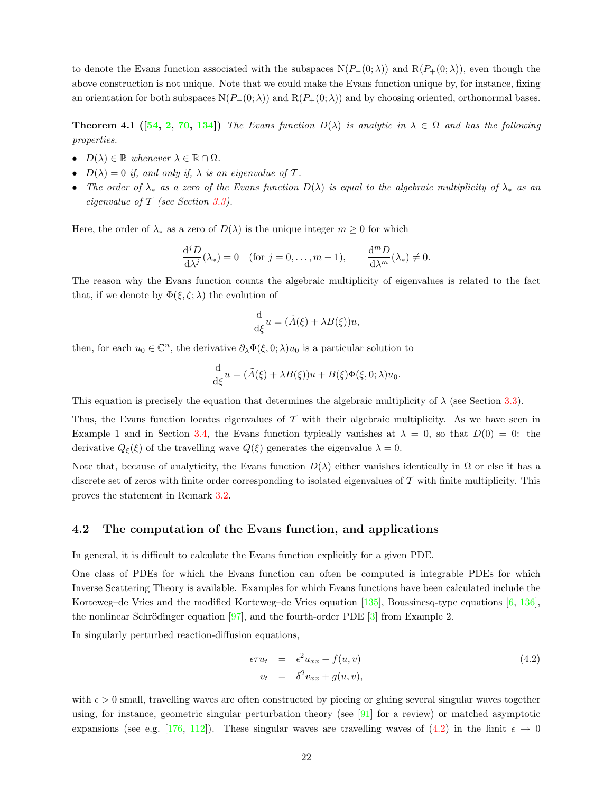to denote the Evans function associated with the subspaces  $N(P_-(0;\lambda))$  and  $R(P_+(0;\lambda))$ , even though the above construction is not unique. Note that we could make the Evans function unique by, for instance, fixing an orientation for both subspaces  $N(P_-(0; \lambda))$  and  $R(P_+(0; \lambda))$  and by choosing oriented, orthonormal bases.

**Theorem 4.1** ([[54](#page-56-4), [2,](#page-54-4) [70](#page-57-8), [134\]](#page-59-5)) The Evans function  $D(\lambda)$  is analytic in  $\lambda \in \Omega$  and has the following properties.

- $D(\lambda) \in \mathbb{R}$  whenever  $\lambda \in \mathbb{R} \cap \Omega$ .
- $D(\lambda) = 0$  if, and only if,  $\lambda$  is an eigenvalue of T.
- The order of  $\lambda_*$  as a zero of the Evans function  $D(\lambda)$  is equal to the algebraic multiplicity of  $\lambda_*$  as an eigenvalue of  $\mathcal T$  (see Section [3.3](#page-11-0)).

Here, the order of  $\lambda_*$  as a zero of  $D(\lambda)$  is the unique integer  $m \geq 0$  for which

$$
\frac{\mathrm{d}^j D}{\mathrm{d}\lambda^j}(\lambda_*)=0 \quad \text{(for } j=0,\ldots,m-1), \qquad \frac{\mathrm{d}^m D}{\mathrm{d}\lambda^m}(\lambda_*)\neq 0.
$$

The reason why the Evans function counts the algebraic multiplicity of eigenvalues is related to the fact that, if we denote by  $\Phi(\xi, \zeta; \lambda)$  the evolution of

$$
\frac{\mathrm{d}}{\mathrm{d}\xi}u = (\tilde{A}(\xi) + \lambda B(\xi))u,
$$

then, for each  $u_0 \in \mathbb{C}^n$ , the derivative  $\partial_{\lambda} \Phi(\xi, 0; \lambda) u_0$  is a particular solution to

$$
\frac{\mathrm{d}}{\mathrm{d}\xi}u = (\tilde{A}(\xi) + \lambda B(\xi))u + B(\xi)\Phi(\xi, 0; \lambda)u_0.
$$

This equation is precisely the equation that determines the algebraic multiplicity of  $\lambda$  (see Section [3.3\)](#page-11-0).

Thus, the Evans function locates eigenvalues of  $\mathcal T$  with their algebraic multiplicity. As we have seen in Example 1 and in Section [3.4,](#page-14-0) the Evans function typically vanishes at  $\lambda = 0$ , so that  $D(0) = 0$ : the derivative  $Q_{\xi}(\xi)$  of the travelling wave  $Q(\xi)$  generates the eigenvalue  $\lambda = 0$ .

Note that, because of analyticity, the Evans function  $D(\lambda)$  either vanishes identically in  $\Omega$  or else it has a discrete set of zeros with finite order corresponding to isolated eigenvalues of  $\mathcal T$  with finite multiplicity. This proves the statement in Remark [3.2](#page-12-1).

# <span id="page-21-0"></span>4.2 The computation of the Evans function, and applications

In general, it is difficult to calculate the Evans function explicitly for a given PDE.

One class of PDEs for which the Evans function can often be computed is integrable PDEs for which Inverse Scattering Theory is available. Examples for which Evans functions have been calculated include the Korteweg–de Vries and the modified Korteweg–de Vries equation [\[135](#page-59-6)], Boussinesq-type equations [\[6](#page-54-5), [136](#page-59-14)], thenonlinear Schrödinger equation [[97\]](#page-58-4), and the fourth-order PDE [[3\]](#page-54-1) from Example 2.

In singularly perturbed reaction-diffusion equations,

<span id="page-21-1"></span>
$$
\epsilon \tau u_t = \epsilon^2 u_{xx} + f(u, v) \n v_t = \delta^2 v_{xx} + g(u, v),
$$
\n(4.2)

with  $\epsilon > 0$  small, travelling waves are often constructed by piecing or gluing several singular waves together using, for instance, geometric singular perturbation theory (see  $[91]$  for a review) or matched asymptotic expansions(see e.g. [[176,](#page-61-6) [112\]](#page-58-7)). These singular waves are travelling waves of [\(4.2](#page-21-1)) in the limit  $\epsilon \to 0$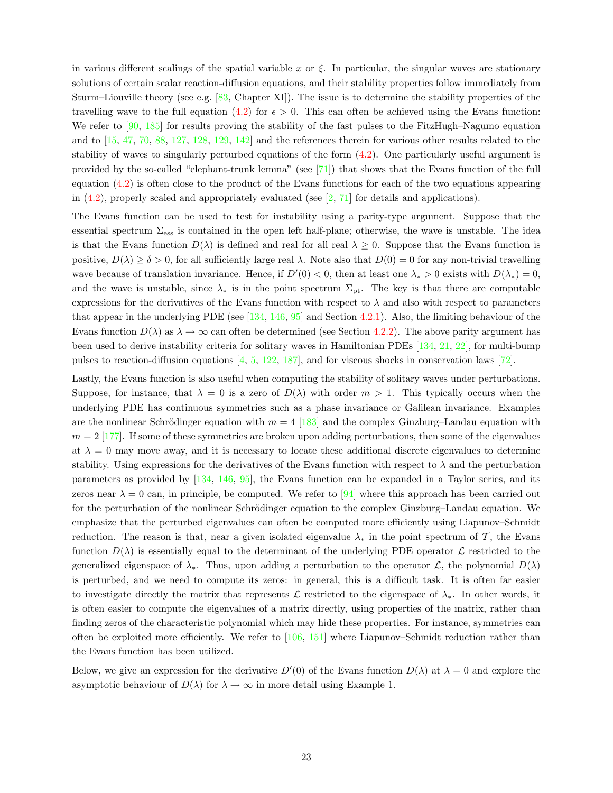in various different scalings of the spatial variable x or  $\xi$ . In particular, the singular waves are stationary solutions of certain scalar reaction-diffusion equations, and their stability properties follow immediately from Sturm–Liouville theory (see e.g.[[83,](#page-57-6) Chapter XI]). The issue is to determine the stability properties of the travelling wave to the full equation [\(4.2\)](#page-21-1) for  $\epsilon > 0$ . This can often be achieved using the Evans function: We refer to [\[90](#page-57-4), [185\]](#page-61-7) for results proving the stability of the fast pulses to the FitzHugh–Nagumo equation and to[[15,](#page-54-6) [47,](#page-56-2) [70,](#page-57-8) [88](#page-57-9), [127](#page-59-15), [128,](#page-59-16) [129,](#page-59-17) [142\]](#page-60-12) and the references therein for various other results related to the stability of waves to singularly perturbed equations of the form([4.2\)](#page-21-1). One particularly useful argument is provided by the so-called "elephant-trunk lemma" (see  $[71]$ ) that shows that the Evans function of the full equation([4.2\)](#page-21-1) is often close to the product of the Evans functions for each of the two equations appearing in $(4.2)$  $(4.2)$  $(4.2)$ , properly scaled and appropriately evaluated (see  $\left[2, 71\right]$  $\left[2, 71\right]$  $\left[2, 71\right]$  for details and applications).

The Evans function can be used to test for instability using a parity-type argument. Suppose that the essential spectrum  $\Sigma_{\rm ess}$  is contained in the open left half-plane; otherwise, the wave is unstable. The idea is that the Evans function  $D(\lambda)$  is defined and real for all real  $\lambda \geq 0$ . Suppose that the Evans function is positive,  $D(\lambda) \ge \delta > 0$ , for all sufficiently large real  $\lambda$ . Note also that  $D(0) = 0$  for any non-trivial travelling wave because of translation invariance. Hence, if  $D'(0) < 0$ , then at least one  $\lambda_* > 0$  exists with  $D(\lambda_*) = 0$ , and the wave is unstable, since  $\lambda_*$  is in the point spectrum  $\Sigma_{\rm pt}$ . The key is that there are computable expressions for the derivatives of the Evans function with respect to  $\lambda$  and also with respect to parameters that appear in the underlying PDE (see  $[134, 146, 95]$  $[134, 146, 95]$  $[134, 146, 95]$  $[134, 146, 95]$  and Section [4.2.1](#page-23-0)). Also, the limiting behaviour of the Evans function  $D(\lambda)$  as  $\lambda \to \infty$  can often be determined (see Section [4.2.2](#page-23-1)). The above parity argument has been used to derive instability criteria for solitary waves in Hamiltonian PDEs [\[134](#page-59-5), [21](#page-55-9), [22](#page-55-10)], for multi-bump pulses to reaction-diffusion equations [\[4](#page-54-7), [5](#page-54-8), [122](#page-59-18), [187\]](#page-61-12), and for viscous shocks in conservation laws [\[72](#page-57-11)].

Lastly, the Evans function is also useful when computing the stability of solitary waves under perturbations. Suppose, for instance, that  $\lambda = 0$  is a zero of  $D(\lambda)$  with order  $m > 1$ . This typically occurs when the underlying PDE has continuous symmetries such as a phase invariance or Galilean invariance. Examples are the nonlinear Schrödinger equation with  $m = 4$  [\[183](#page-61-8)] and the complex Ginzburg–Landau equation with  $m = 2$  [\[177](#page-61-9)]. If some of these symmetries are broken upon adding perturbations, then some of the eigenvalues at  $\lambda = 0$  may move away, and it is necessary to locate these additional discrete eigenvalues to determine stability. Using expressions for the derivatives of the Evans function with respect to  $\lambda$  and the perturbation parameters as provided by [\[134](#page-59-5), [146,](#page-60-13) [95\]](#page-58-8), the Evans function can be expanded in a Taylor series, and its zeros near  $\lambda = 0$  can, in principle, be computed. We refer to [\[94](#page-58-9)] where this approach has been carried out for the perturbation of the nonlinear Schrödinger equation to the complex Ginzburg–Landau equation. We emphasize that the perturbed eigenvalues can often be computed more efficiently using Liapunov–Schmidt reduction. The reason is that, near a given isolated eigenvalue  $\lambda_*$  in the point spectrum of T, the Evans function  $D(\lambda)$  is essentially equal to the determinant of the underlying PDE operator  $\mathcal L$  restricted to the generalized eigenspace of  $\lambda_*$ . Thus, upon adding a perturbation to the operator  $\mathcal{L}$ , the polynomial  $D(\lambda)$ is perturbed, and we need to compute its zeros: in general, this is a difficult task. It is often far easier to investigate directly the matrix that represents  $\mathcal L$  restricted to the eigenspace of  $\lambda_*$ . In other words, it is often easier to compute the eigenvalues of a matrix directly, using properties of the matrix, rather than finding zeros of the characteristic polynomial which may hide these properties. For instance, symmetries can often be exploited more efficiently. We refer to [\[106](#page-58-3), [151\]](#page-60-14) where Liapunov–Schmidt reduction rather than the Evans function has been utilized.

Below, we give an expression for the derivative  $D'(0)$  of the Evans function  $D(\lambda)$  at  $\lambda = 0$  and explore the asymptotic behaviour of  $D(\lambda)$  for  $\lambda \to \infty$  in more detail using Example 1.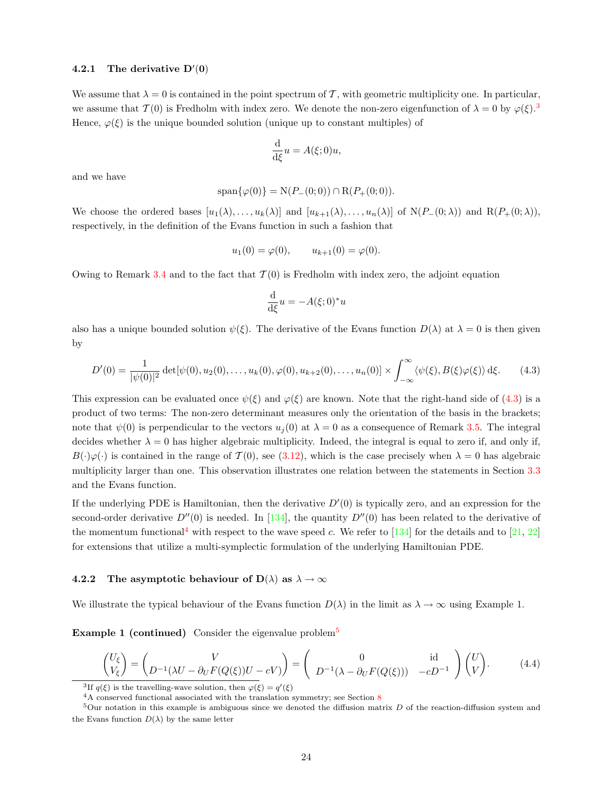# <span id="page-23-0"></span>4.2.1 The derivative  $D'(0)$

We assume that  $\lambda = 0$  is contained in the point spectrum of T, with geometric multiplicity one. In particular, we assume that  $\mathcal{T}(0)$  is Fredholm with index zero. We denote the non-zero eigenfunction of  $\lambda = 0$  by  $\varphi(\xi)$ .<sup>[3](#page-23-2)</sup> Hence,  $\varphi(\xi)$  is the unique bounded solution (unique up to constant multiples) of

$$
\frac{\mathrm{d}}{\mathrm{d}\xi}u = A(\xi; 0)u,
$$

and we have

$$
span{\varphi(0)} = N(P_-(0;0)) \cap R(P_+(0;0)).
$$

We choose the ordered bases  $[u_1(\lambda), \ldots, u_k(\lambda)]$  and  $[u_{k+1}(\lambda), \ldots, u_n(\lambda)]$  of N $(P_-(0;\lambda))$  and R $(P_+(0;\lambda))$ , respectively, in the definition of the Evans function in such a fashion that

$$
u_1(0) = \varphi(0), \qquad u_{k+1}(0) = \varphi(0).
$$

Owing to Remark [3.4](#page-13-3) and to the fact that  $\mathcal{T}(0)$  is Fredholm with index zero, the adjoint equation

$$
\frac{\mathrm{d}}{\mathrm{d}\xi}u = -A(\xi;0)^*u
$$

also has a unique bounded solution  $\psi(\xi)$ . The derivative of the Evans function  $D(\lambda)$  at  $\lambda = 0$  is then given by

<span id="page-23-3"></span>
$$
D'(0) = \frac{1}{|\psi(0)|^2} \det[\psi(0), u_2(0), \dots, u_k(0), \varphi(0), u_{k+2}(0), \dots, u_n(0)] \times \int_{-\infty}^{\infty} \langle \psi(\xi), B(\xi)\varphi(\xi) \rangle d\xi.
$$
 (4.3)

This expression can be evaluated once  $\psi(\xi)$  and  $\varphi(\xi)$  are known. Note that the right-hand side of [\(4.3\)](#page-23-3) is a product of two terms: The non-zero determinant measures only the orientation of the basis in the brackets; note that  $\psi(0)$  is perpendicular to the vectors  $u_i(0)$  at  $\lambda = 0$  as a consequence of Remark [3.5](#page-14-2). The integral decides whether  $\lambda = 0$  has higher algebraic multiplicity. Indeed, the integral is equal to zero if, and only if,  $B(\cdot)\varphi(\cdot)$  is contained in the range of  $\mathcal{T}(0)$ , see [\(3.12\)](#page-13-4), which is the case precisely when  $\lambda = 0$  has algebraic multiplicity larger than one. This observation illustrates one relation between the statements in Section [3.3](#page-11-0) and the Evans function.

If the underlying PDE is Hamiltonian, then the derivative  $D'(0)$  is typically zero, and an expression for the second-orderderivative  $D''(0)$  is needed. In [[134\]](#page-59-5), the quantity  $D''(0)$  has been related to the derivative of the momentum functional<sup>[4](#page-23-4)</sup>with respect to the wave speed c. We refer to [[134\]](#page-59-5) for the details and to [[21](#page-55-9), [22](#page-55-10)] for extensions that utilize a multi-symplectic formulation of the underlying Hamiltonian PDE.

### <span id="page-23-1"></span>4.2.2 The asymptotic behaviour of  $D(\lambda)$  as  $\lambda \to \infty$

We illustrate the typical behaviour of the Evans function  $D(\lambda)$  in the limit as  $\lambda \to \infty$  using Example 1.

**Example 1 (continued)** Consider the eigenvalue problem<sup>[5](#page-23-5)</sup>

<span id="page-23-6"></span>
$$
\begin{pmatrix} U_{\xi} \\ V_{\xi} \end{pmatrix} = \begin{pmatrix} V \\ D^{-1}(\lambda U - \partial_U F(Q(\xi))U - cV) \end{pmatrix} = \begin{pmatrix} 0 & \text{id} \\ D^{-1}(\lambda - \partial_U F(Q(\xi))) & -cD^{-1} \end{pmatrix} \begin{pmatrix} U \\ V \end{pmatrix}.
$$
 (4.4)

<span id="page-23-2"></span><sup>3</sup>If  $q(\xi)$  is the travelling-wave solution, then  $\varphi(\xi) = q'(\xi)$ 

<span id="page-23-5"></span><span id="page-23-4"></span><sup>4</sup>A conserved functional associated with the translation symmetry; see Section [8](#page-48-0)

 $5$ Our notation in this example is ambiguous since we denoted the diffusion matrix D of the reaction-diffusion system and the Evans function  $D(\lambda)$  by the same letter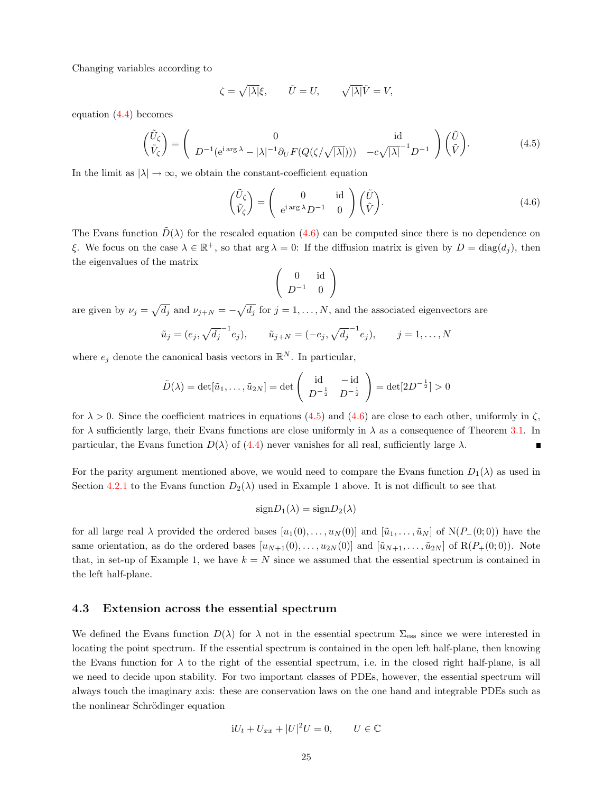Changing variables according to

$$
\zeta = \sqrt{|\lambda|} \xi, \qquad \tilde{U} = U, \qquad \sqrt{|\lambda|} \tilde{V} = V,
$$

equation([4.4](#page-23-6)) becomes

<span id="page-24-2"></span>
$$
\begin{pmatrix}\n\tilde{U}_{\zeta} \\
\tilde{V}_{\zeta}\n\end{pmatrix} = \begin{pmatrix}\n0 & \text{id} \\
D^{-1}(e^{i\arg\lambda} - |\lambda|^{-1}\partial_U F(Q(\zeta/\sqrt{|\lambda|}))) & -c\sqrt{|\lambda|}^{-1}D^{-1}\n\end{pmatrix} \begin{pmatrix}\n\tilde{U} \\
\tilde{V}\n\end{pmatrix}.
$$
\n(4.5)

In the limit as  $|\lambda| \to \infty$ , we obtain the constant-coefficient equation

<span id="page-24-1"></span>
$$
\begin{pmatrix} \tilde{U}_{\zeta} \\ \tilde{V}_{\zeta} \end{pmatrix} = \begin{pmatrix} 0 & \text{id} \\ e^{i \arg \lambda} D^{-1} & 0 \end{pmatrix} \begin{pmatrix} \tilde{U} \\ \tilde{V} \end{pmatrix} . \tag{4.6}
$$

TheEvans function  $\tilde{D}(\lambda)$  for the rescaled equation ([4.6](#page-24-1)) can be computed since there is no dependence on ξ. We focus on the case  $\lambda \in \mathbb{R}^+$ , so that  $\arg \lambda = 0$ : If the diffusion matrix is given by  $D = \text{diag}(d_j)$ , then the eigenvalues of the matrix

$$
\left(\begin{array}{cc}0&\operatorname{id}\\ D^{-1}&0\end{array}\right)
$$

are given by  $\nu_j = \sqrt{d_j}$  and  $\nu_{j+N} = -\sqrt{d_j}$  for  $j = 1, \ldots, N$ , and the associated eigenvectors are

$$
\tilde{u}_j = (e_j, \sqrt{d_j}^{-1} e_j), \qquad \tilde{u}_{j+N} = (-e_j, \sqrt{d_j}^{-1} e_j), \qquad j = 1, ..., N
$$

where  $e_j$  denote the canonical basis vectors in  $\mathbb{R}^N$ . In particular,

$$
\tilde{D}(\lambda) = \det[\tilde{u}_1, ..., \tilde{u}_{2N}] = \det \begin{pmatrix} \text{id} & -\text{id} \\ D^{-\frac{1}{2}} & D^{-\frac{1}{2}} \end{pmatrix} = \det[2D^{-\frac{1}{2}}] > 0
$$

for  $\lambda > 0$ . Since the coefficient matrices in equations [\(4.5\)](#page-24-2) and [\(4.6](#page-24-1)) are close to each other, uniformly in  $\zeta$ , for  $\lambda$  sufficiently large, their Evans functions are close uniformly in  $\lambda$  as a consequence of Theorem [3.1.](#page-9-2) In particular,the Evans function  $D(\lambda)$  of ([4.4\)](#page-23-6) never vanishes for all real, sufficiently large  $\lambda$ . П

For the parity argument mentioned above, we would need to compare the Evans function  $D_1(\lambda)$  as used in Section [4.2.1](#page-23-0) to the Evans function  $D_2(\lambda)$  used in Example 1 above. It is not difficult to see that

$$
signD_1(\lambda) = signD_2(\lambda)
$$

for all large real  $\lambda$  provided the ordered bases  $[u_1(0), \ldots, u_N(0)]$  and  $[\tilde{u}_1, \ldots, \tilde{u}_N]$  of  $N(P_-(0, 0))$  have the same orientation, as do the ordered bases  $[u_{N+1}(0), \ldots, u_{2N}(0)]$  and  $[\tilde{u}_{N+1}, \ldots, \tilde{u}_{2N}]$  of  $R(P_+(0, 0))$ . Note that, in set-up of Example 1, we have  $k = N$  since we assumed that the essential spectrum is contained in the left half-plane.

### <span id="page-24-0"></span>4.3 Extension across the essential spectrum

We defined the Evans function  $D(\lambda)$  for  $\lambda$  not in the essential spectrum  $\Sigma_{\rm ess}$  since we were interested in locating the point spectrum. If the essential spectrum is contained in the open left half-plane, then knowing the Evans function for  $\lambda$  to the right of the essential spectrum, i.e. in the closed right half-plane, is all we need to decide upon stability. For two important classes of PDEs, however, the essential spectrum will always touch the imaginary axis: these are conservation laws on the one hand and integrable PDEs such as the nonlinear Schrödinger equation

$$
iU_t + U_{xx} + |U|^2 U = 0, \qquad U \in \mathbb{C}
$$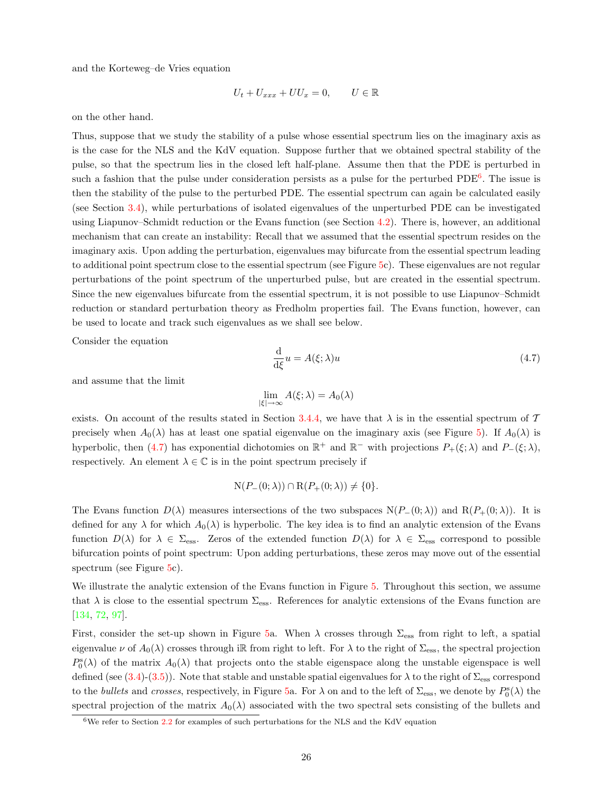and the Korteweg–de Vries equation

$$
U_t + U_{xxx} + UU_x = 0, \qquad U \in \mathbb{R}
$$

on the other hand.

Thus, suppose that we study the stability of a pulse whose essential spectrum lies on the imaginary axis as is the case for the NLS and the KdV equation. Suppose further that we obtained spectral stability of the pulse, so that the spectrum lies in the closed left half-plane. Assume then that the PDE is perturbed in such a fashion that the pulse under consideration persists as a pulse for the perturbed PDE<sup>[6](#page-25-0)</sup>. The issue is then the stability of the pulse to the perturbed PDE. The essential spectrum can again be calculated easily (see Section [3.4\)](#page-14-0), while perturbations of isolated eigenvalues of the unperturbed PDE can be investigated using Liapunov–Schmidt reduction or the Evans function (see Section [4.2\)](#page-21-0). There is, however, an additional mechanism that can create an instability: Recall that we assumed that the essential spectrum resides on the imaginary axis. Upon adding the perturbation, eigenvalues may bifurcate from the essential spectrum leading to additional point spectrum close to the essential spectrum (see Figure [5](#page-26-0)c). These eigenvalues are not regular perturbations of the point spectrum of the unperturbed pulse, but are created in the essential spectrum. Since the new eigenvalues bifurcate from the essential spectrum, it is not possible to use Liapunov–Schmidt reduction or standard perturbation theory as Fredholm properties fail. The Evans function, however, can be used to locate and track such eigenvalues as we shall see below.

Consider the equation

<span id="page-25-1"></span>
$$
\frac{\mathrm{d}}{\mathrm{d}\xi}u = A(\xi; \lambda)u\tag{4.7}
$$

and assume that the limit

$$
\lim_{|\xi|\to\infty} A(\xi;\lambda) = A_0(\lambda)
$$

exists. On account of the results stated in Section [3.4.4](#page-18-0), we have that  $\lambda$  is in the essential spectrum of T precisely when  $A_0(\lambda)$  has at least one spatial eigenvalue on the imaginary axis (see Figure [5\)](#page-26-0). If  $A_0(\lambda)$  is hyperbolic,then ([4.7\)](#page-25-1) has exponential dichotomies on  $\mathbb{R}^+$  and  $\mathbb{R}^-$  with projections  $P_+(\xi; \lambda)$  and  $P_-(\xi; \lambda)$ , respectively. An element  $\lambda \in \mathbb{C}$  is in the point spectrum precisely if

$$
N(P_{-}(0;\lambda)) \cap R(P_{+}(0;\lambda)) \neq \{0\}.
$$

The Evans function  $D(\lambda)$  measures intersections of the two subspaces  $N(P_-(0;\lambda))$  and  $R(P_+(0;\lambda))$ . It is defined for any  $\lambda$  for which  $A_0(\lambda)$  is hyperbolic. The key idea is to find an analytic extension of the Evans function  $D(\lambda)$  for  $\lambda \in \Sigma_{\text{ess}}$ . Zeros of the extended function  $D(\lambda)$  for  $\lambda \in \Sigma_{\text{ess}}$  correspond to possible bifurcation points of point spectrum: Upon adding perturbations, these zeros may move out of the essential spectrum (see Figure [5c](#page-26-0)).

We illustrate the analytic extension of the Evans function in Figure [5.](#page-26-0) Throughout this section, we assume that  $\lambda$  is close to the essential spectrum  $\Sigma_{\rm ess}$ . References for analytic extensions of the Evans function are [[134,](#page-59-5) [72,](#page-57-11) [97\]](#page-58-4).

First, consider the set-up shown in Figure [5a](#page-26-0). When  $\lambda$  crosses through  $\Sigma_{\rm ess}$  from right to left, a spatial eigenvalue  $\nu$  of  $A_0(\lambda)$  crosses through iR from right to left. For  $\lambda$  to the right of  $\Sigma_{\rm ess}$ , the spectral projection  $P_0^s(\lambda)$  of the matrix  $A_0(\lambda)$  that projects onto the stable eigenspace along the unstable eigenspace is well defined (see  $(3.4)-(3.5)$  $(3.4)-(3.5)$ ). Note that stable and unstable spatial eigenvalues for  $\lambda$  to the right of  $\Sigma_{\rm ess}$  correspond to the *bullets* and *crosses*, respectively, in Figure [5](#page-26-0)a. For  $\lambda$  on and to the left of  $\Sigma_{\rm ess}$ , we denote by  $P_0^s(\lambda)$  the spectral projection of the matrix  $A_0(\lambda)$  associated with the two spectral sets consisting of the bullets and

<span id="page-25-0"></span> $6$ We refer to Section [2.2](#page-5-0) for examples of such perturbations for the NLS and the KdV equation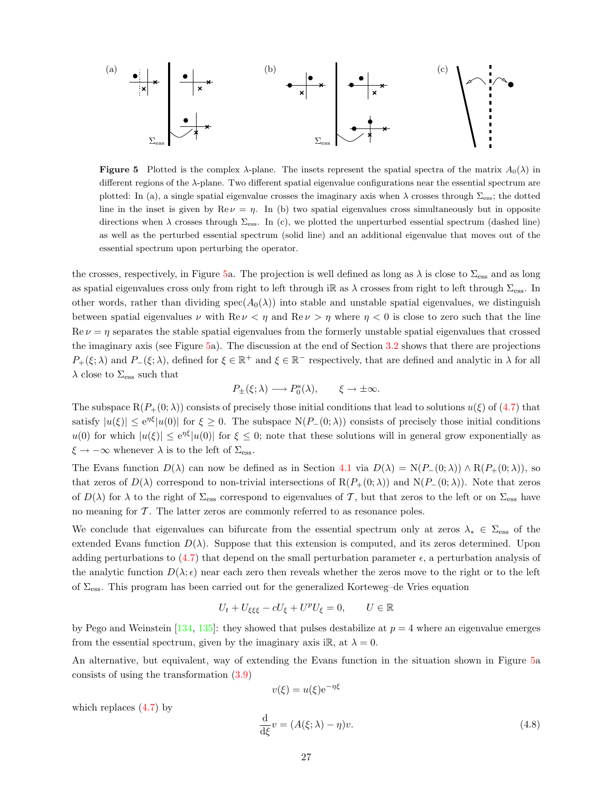(a) 
$$
\frac{\bullet}{|x|} \times \frac{\bullet}{|x|} \times \frac{\bullet}{|x|} \times \frac{\bullet}{|x|} \times \frac{\bullet}{|x|} \times \frac{\bullet}{|x|} \times \frac{\bullet}{|x|} \times \frac{\bullet}{|x|} \times \frac{\bullet}{|x|} \times \frac{\bullet}{|x|} \times \frac{\bullet}{|x|} \times \frac{\bullet}{|x|} \times \frac{\bullet}{|x|} \times \frac{\bullet}{|x|} \times \frac{\bullet}{|x|} \times \frac{\bullet}{|x|} \times \frac{\bullet}{|x|} \times \frac{\bullet}{|x|} \times \frac{\bullet}{|x|} \times \frac{\bullet}{|x|} \times \frac{\bullet}{|x|} \times \frac{\bullet}{|x|} \times \frac{\bullet}{|x|} \times \frac{\bullet}{|x|} \times \frac{\bullet}{|x|} \times \frac{\bullet}{|x|} \times \frac{\bullet}{|x|} \times \frac{\bullet}{|x|} \times \frac{\bullet}{|x|} \times \frac{\bullet}{|x|} \times \frac{\bullet}{|x|} \times \frac{\bullet}{|x|} \times \frac{\bullet}{|x|} \times \frac{\bullet}{|x|} \times \frac{\bullet}{|x|} \times \frac{\bullet}{|x|} \times \frac{\bullet}{|x|} \times \frac{\bullet}{|x|} \times \frac{\bullet}{|x|} \times \frac{\bullet}{|x|} \times \frac{\bullet}{|x|} \times \frac{\bullet}{|x|} \times \frac{\bullet}{|x|} \times \frac{\bullet}{|x|} \times \frac{\bullet}{|x|} \times \frac{\bullet}{|x|} \times \frac{\bullet}{|x|} \times \frac{\bullet}{|x|} \times \frac{\bullet}{|x|} \times \frac{\bullet}{|x|} \times \frac{\bullet}{|x|} \times \frac{\bullet}{|x|} \times \frac{\bullet}{|x|} \times \frac{\bullet}{|x|} \times \frac{\bullet}{|x|} \times \frac{\bullet}{|x|} \times \frac{\bullet}{|x|} \times \frac{\bullet}{|x|} \times \frac{\bullet}{|x|} \times \frac{\bullet}{|x|} \times \frac{\bullet}{|x|} \times \frac{\bullet}{|x|} \times \frac{\bullet}{|x|} \times \frac{\bullet}{|x|} \times \frac{\bullet}{|x|} \times \frac{\bullet}{|x|} \times \frac{\bullet}{|x|} \times \frac{\bullet}{|x|} \times \frac{\bullet}{|x|} \times \frac
$$

**Figure 5** Plotted is the complex  $\lambda$ -plane. The insets represent the spatial spectra of the matrix  $A_0(\lambda)$  in different regions of the  $\lambda$ -plane. Two different spatial eigenvalue configurations near the essential spectrum are plotted: In (a), a single spatial eigenvalue crosses the imaginary axis when  $\lambda$  crosses through  $\Sigma_{\rm ess}$ ; the dotted line in the inset is given by  $\text{Re}\nu = \eta$ . In (b) two spatial eigenvalues cross simultaneously but in opposite directions when  $\lambda$  crosses through  $\Sigma_{\rm ess}$ . In (c), we plotted the unperturbed essential spectrum (dashed line) as well as the perturbed essential spectrum (solid line) and an additional eigenvalue that moves out of the essential spectrum upon perturbing the operator.

the crosses, respectively, in Figure [5a](#page-26-0). The projection is well defined as long as  $\lambda$  is close to  $\Sigma_{\rm ess}$  and as long as spatial eigenvalues cross only from right to left through iR as  $\lambda$  crosses from right to left through  $\Sigma_{\rm ess}$ . In other words, rather than dividing  $spec(A_0(\lambda))$  into stable and unstable spatial eigenvalues, we distinguish between spatial eigenvalues  $\nu$  with Re  $\nu < \eta$  and Re  $\nu > \eta$  where  $\eta < 0$  is close to zero such that the line  $\text{Re } \nu = \eta$  separates the stable spatial eigenvalues from the formerly unstable spatial eigenvalues that crossed the imaginary axis (see Figure [5a](#page-26-0)). The discussion at the end of Section [3.2](#page-8-0) shows that there are projections  $P_+(\xi; \lambda)$  and  $P_-(\xi; \lambda)$ , defined for  $\xi \in \mathbb{R}^+$  and  $\xi \in \mathbb{R}^-$  respectively, that are defined and analytic in  $\lambda$  for all  $\lambda$  close to  $\Sigma_{\rm ess}$  such that

<span id="page-26-0"></span>
$$
P_{\pm}(\xi;\lambda) \longrightarrow P_0^{\rm s}(\lambda), \qquad \xi \to \pm \infty.
$$

Thesubspace  $R(P_+(0;\lambda))$  consists of precisely those initial conditions that lead to solutions  $u(\xi)$  of ([4.7](#page-25-1)) that satisfy  $|u(\xi)| \le e^{\eta \xi} |u(0)|$  for  $\xi \ge 0$ . The subspace  $N(P_-(0;\lambda))$  consists of precisely those initial conditions  $u(0)$  for which  $|u(\xi)| \le e^{\eta \xi} |u(0)|$  for  $\xi \le 0$ ; note that these solutions will in general grow exponentially as  $\xi \to -\infty$  whenever  $\lambda$  is to the left of  $\Sigma_{\rm ess}$ .

The Evans function  $D(\lambda)$  can now be defined as in Section [4.1](#page-20-1) via  $D(\lambda) = N(P_{-}(0;\lambda)) \wedge R(P_{+}(0;\lambda))$ , so that zeros of  $D(\lambda)$  correspond to non-trivial intersections of  $R(P_+(0;\lambda))$  and  $N(P_-(0;\lambda))$ . Note that zeros of  $D(\lambda)$  for  $\lambda$  to the right of  $\Sigma_{\rm ess}$  correspond to eigenvalues of T, but that zeros to the left or on  $\Sigma_{\rm ess}$  have no meaning for  $T$ . The latter zeros are commonly referred to as resonance poles.

We conclude that eigenvalues can bifurcate from the essential spectrum only at zeros  $\lambda_* \in \Sigma_{\text{ess}}$  of the extended Evans function  $D(\lambda)$ . Suppose that this extension is computed, and its zeros determined. Upon adding perturbations to [\(4.7\)](#page-25-1) that depend on the small perturbation parameter  $\epsilon$ , a perturbation analysis of the analytic function  $D(\lambda; \epsilon)$  near each zero then reveals whether the zeros move to the right or to the left of  $\Sigma_{\rm ess}$ . This program has been carried out for the generalized Korteweg–de Vries equation

$$
U_t + U_{\xi\xi\xi} - cU_{\xi} + U^p U_{\xi} = 0, \qquad U \in \mathbb{R}
$$

by Pego and Weinstein [\[134](#page-59-5), [135\]](#page-59-6): they showed that pulses destabilize at  $p = 4$  where an eigenvalue emerges from the essential spectrum, given by the imaginary axis i $\mathbb{R}$ , at  $\lambda = 0$ .

An alternative, but equivalent, way of extending the Evans function in the situation shown in Figure [5](#page-26-0)a consists of using the transformation [\(3.9\)](#page-10-1)

<span id="page-26-1"></span>
$$
v(\xi) = u(\xi)e^{-\eta\xi}
$$
  

$$
\frac{d}{d\xi}v = (A(\xi;\lambda) - \eta)v.
$$
 (4.8)

which replaces  $(4.7)$  by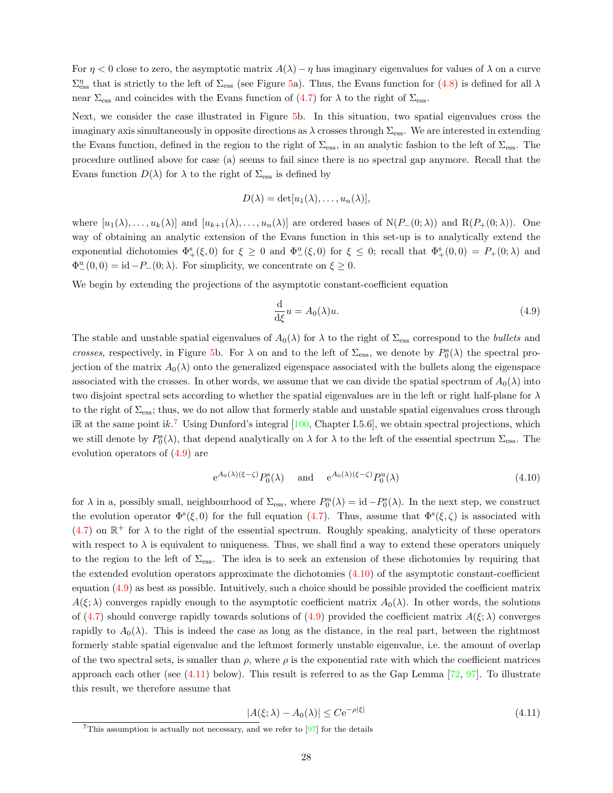For  $\eta$  < 0 close to zero, the asymptotic matrix  $A(\lambda) - \eta$  has imaginary eigenvalues for values of  $\lambda$  on a curve  $\Sigma_{\text{ess}}^{\eta}$  that is strictly to the left of  $\Sigma_{\text{ess}}$  (see Figure [5](#page-26-0)a). Thus, the Evans function for [\(4.8\)](#page-26-1) is defined for all  $\lambda$ near $\Sigma_{\rm ess}$  and coincides with the Evans function of ([4.7\)](#page-25-1) for  $\lambda$  to the right of  $\Sigma_{\rm ess}$ .

Next, we consider the case illustrated in Figure [5](#page-26-0)b. In this situation, two spatial eigenvalues cross the imaginary axis simultaneously in opposite directions as  $\lambda$  crosses through  $\Sigma_{\rm ess}$ . We are interested in extending the Evans function, defined in the region to the right of  $\Sigma_{\rm ess}$ , in an analytic fashion to the left of  $\Sigma_{\rm ess}$ . The procedure outlined above for case (a) seems to fail since there is no spectral gap anymore. Recall that the Evans function  $D(\lambda)$  for  $\lambda$  to the right of  $\Sigma_{\text{ess}}$  is defined by

$$
D(\lambda) = \det[u_1(\lambda), \ldots, u_n(\lambda)],
$$

where  $[u_1(\lambda), \ldots, u_k(\lambda)]$  and  $[u_{k+1}(\lambda), \ldots, u_n(\lambda)]$  are ordered bases of  $N(P_-(0;\lambda))$  and  $R(P_+(0;\lambda))$ . One way of obtaining an analytic extension of the Evans function in this set-up is to analytically extend the exponential dichotomies  $\Phi_{+}^{s}(\xi,0)$  for  $\xi \geq 0$  and  $\Phi_{-}^{u}(\xi,0)$  for  $\xi \leq 0$ ; recall that  $\Phi_{+}^{s}(0,0) = P_{+}(0;\lambda)$  and  $\Phi_{-}^{\mathrm{u}}(0,0) = \mathrm{id} - P_{-}(0;\lambda)$ . For simplicity, we concentrate on  $\xi \geq 0$ .

We begin by extending the projections of the asymptotic constant-coefficient equation

<span id="page-27-1"></span>
$$
\frac{\mathrm{d}}{\mathrm{d}\xi}u = A_0(\lambda)u.\tag{4.9}
$$

The stable and unstable spatial eigenvalues of  $A_0(\lambda)$  for  $\lambda$  to the right of  $\Sigma_{\rm ess}$  correspond to the *bullets* and crosses, respectively, in Figure [5b](#page-26-0). For  $\lambda$  on and to the left of  $\Sigma_{\rm ess}$ , we denote by  $P_0^s(\lambda)$  the spectral projection of the matrix  $A_0(\lambda)$  onto the generalized eigenspace associated with the bullets along the eigenspace associated with the crosses. In other words, we assume that we can divide the spatial spectrum of  $A_0(\lambda)$  into two disjoint spectral sets according to whether the spatial eigenvalues are in the left or right half-plane for  $\lambda$ to the right of  $\Sigma_{\rm ess}$ ; thus, we do not allow that formerly stable and unstable spatial eigenvalues cross through iR at the same point ik.<sup>[7](#page-27-0)</sup>Using Dunford's integral  $[100,$  $[100,$  Chapter I.5.6, we obtain spectral projections, which we still denote by  $P_0^s(\lambda)$ , that depend analytically on  $\lambda$  for  $\lambda$  to the left of the essential spectrum  $\Sigma_{\rm ess}$ . The evolution operators of [\(4.9](#page-27-1)) are

<span id="page-27-2"></span>
$$
e^{A_0(\lambda)(\xi-\zeta)}P_0^s(\lambda) \quad \text{and} \quad e^{A_0(\lambda)(\xi-\zeta)}P_0^u(\lambda) \tag{4.10}
$$

for  $\lambda$  in a, possibly small, neighbourhood of  $\Sigma_{\rm ess}$ , where  $P_0^{\rm u}(\lambda) = \text{id} - P_0^{\rm s}(\lambda)$ . In the next step, we construct the evolution operator  $\Phi^s(\xi,0)$  for the full equation [\(4.7](#page-25-1)). Thus, assume that  $\Phi^s(\xi,\zeta)$  is associated with  $(4.7)$  $(4.7)$  on  $\mathbb{R}^+$  for  $\lambda$  to the right of the essential spectrum. Roughly speaking, analyticity of these operators with respect to  $\lambda$  is equivalent to uniqueness. Thus, we shall find a way to extend these operators uniquely to the region to the left of  $\Sigma_{\rm ess}$ . The idea is to seek an extension of these dichotomies by requiring that theextended evolution operators approximate the dichotomies  $(4.10)$  $(4.10)$  of the asymptotic constant-coefficient equation([4.9\)](#page-27-1) as best as possible. Intuitively, such a choice should be possible provided the coefficient matrix  $A(\xi;\lambda)$  converges rapidly enough to the asymptotic coefficient matrix  $A_0(\lambda)$ . In other words, the solutions of [\(4.7\)](#page-25-1)should converge rapidly towards solutions of ([4.9\)](#page-27-1) provided the coefficient matrix  $A(\xi; \lambda)$  converges rapidly to  $A_0(\lambda)$ . This is indeed the case as long as the distance, in the real part, between the rightmost formerly stable spatial eigenvalue and the leftmost formerly unstable eigenvalue, i.e. the amount of overlap of the two spectral sets, is smaller than  $\rho$ , where  $\rho$  is the exponential rate with which the coefficient matrices approacheach other (see  $(4.11)$  $(4.11)$  below). This result is referred to as the Gap Lemma [[72,](#page-57-11) [97\]](#page-58-4). To illustrate this result, we therefore assume that

<span id="page-27-3"></span>
$$
|A(\xi; \lambda) - A_0(\lambda)| \le C e^{-\rho |\xi|} \tag{4.11}
$$

<span id="page-27-0"></span><sup>&</sup>lt;sup>7</sup>This assumption is actually not necessary, and we refer to  $[97]$  for the details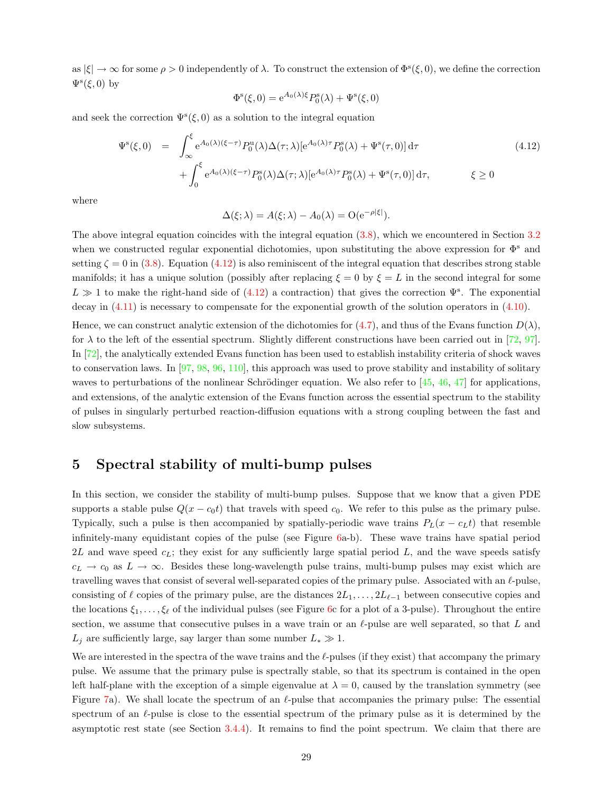as  $|\xi| \to \infty$  for some  $\rho > 0$  independently of  $\lambda$ . To construct the extension of  $\Phi^{s}(\xi,0)$ , we define the correction  $\Psi^{\rm s}(\xi,0)$  by

$$
\Phi^{\rm s}(\xi,0) = e^{A_0(\lambda)\xi} P_0^{\rm s}(\lambda) + \Psi^{\rm s}(\xi,0)
$$

and seek the correction  $\Psi^s(\xi,0)$  as a solution to the integral equation

<span id="page-28-1"></span>
$$
\Psi^{s}(\xi,0) = \int_{\infty}^{\xi} e^{A_0(\lambda)(\xi-\tau)} P_0^{\mathbf{u}}(\lambda) \Delta(\tau;\lambda) [e^{A_0(\lambda)\tau} P_0^{\mathbf{s}}(\lambda) + \Psi^{\mathbf{s}}(\tau,0)] d\tau
$$
\n
$$
+ \int_0^{\xi} e^{A_0(\lambda)(\xi-\tau)} P_0^{\mathbf{s}}(\lambda) \Delta(\tau;\lambda) [e^{A_0(\lambda)\tau} P_0^{\mathbf{s}}(\lambda) + \Psi^{\mathbf{s}}(\tau,0)] d\tau, \qquad \xi \ge 0
$$
\n(4.12)

where

$$
\Delta(\xi; \lambda) = A(\xi; \lambda) - A_0(\lambda) = O(e^{-\rho |\xi|}).
$$

The above integral equation coincides with the integral equation([3.8](#page-10-3)), which we encountered in Section [3.2](#page-8-0) when we constructed regular exponential dichotomies, upon substituting the above expression for  $\Phi^s$  and setting $\zeta = 0$  in ([3.8](#page-10-3)). Equation [\(4.12](#page-28-1)) is also reminiscent of the integral equation that describes strong stable manifolds; it has a unique solution (possibly after replacing  $\xi = 0$  by  $\xi = L$  in the second integral for some  $L \gg 1$  $L \gg 1$  $L \gg 1$  to make the right-hand side of ([4.12](#page-28-1)) a contraction) that gives the correction  $\Psi^s$ . The exponential decay in [\(4.11\)](#page-27-3) is necessary to compensate for the exponential growth of the solution operators in([4.10](#page-27-2)).

Hence,we can construct analytic extension of the dichotomies for ([4.7\)](#page-25-1), and thus of the Evans function  $D(\lambda)$ , for  $\lambda$  to the left of the essential spectrum. Slightly different constructions have been carried out in [\[72](#page-57-11), [97](#page-58-4)]. In[[72\]](#page-57-11), the analytically extended Evans function has been used to establish instability criteria of shock waves to conservation laws. In [\[97](#page-58-4), [98,](#page-58-5) [96](#page-58-10), [110](#page-58-11)], this approach was used to prove stability and instability of solitary wavesto perturbations of the nonlinear Schrödinger equation. We also refer to  $[45, 46, 47]$  $[45, 46, 47]$  $[45, 46, 47]$  $[45, 46, 47]$  $[45, 46, 47]$  $[45, 46, 47]$  for applications, and extensions, of the analytic extension of the Evans function across the essential spectrum to the stability of pulses in singularly perturbed reaction-diffusion equations with a strong coupling between the fast and slow subsystems.

# <span id="page-28-0"></span>5 Spectral stability of multi-bump pulses

In this section, we consider the stability of multi-bump pulses. Suppose that we know that a given PDE supports a stable pulse  $Q(x - c_0t)$  that travels with speed  $c_0$ . We refer to this pulse as the primary pulse. Typically, such a pulse is then accompanied by spatially-periodic wave trains  $P_L(x - c_Lt)$  that resemble infinitely-many equidistant copies of the pulse (see Figure [6a](#page-29-0)-b). These wave trains have spatial period 2L and wave speed  $c_L$ ; they exist for any sufficiently large spatial period L, and the wave speeds satisfy  $c_L \to c_0$  as  $L \to \infty$ . Besides these long-wavelength pulse trains, multi-bump pulses may exist which are travelling waves that consist of several well-separated copies of the primary pulse. Associated with an  $\ell$ -pulse, consisting of  $\ell$  copies of the primary pulse, are the distances  $2L_1, \ldots, 2L_{\ell-1}$  between consecutive copies and the locations  $\xi_1, \ldots, \xi_\ell$  of the individual pulses (see Figure [6](#page-29-0)c for a plot of a 3-pulse). Throughout the entire section, we assume that consecutive pulses in a wave train or an  $\ell$ -pulse are well separated, so that L and  $L_j$  are sufficiently large, say larger than some number  $L_* \gg 1$ .

We are interested in the spectra of the wave trains and the  $\ell$ -pulses (if they exist) that accompany the primary pulse. We assume that the primary pulse is spectrally stable, so that its spectrum is contained in the open left half-plane with the exception of a simple eigenvalue at  $\lambda = 0$ , caused by the translation symmetry (see Figure [7a](#page-29-1)). We shall locate the spectrum of an  $\ell$ -pulse that accompanies the primary pulse: The essential spectrum of an  $\ell$ -pulse is close to the essential spectrum of the primary pulse as it is determined by the asymptotic rest state (see Section  $3.4.4$ ). It remains to find the point spectrum. We claim that there are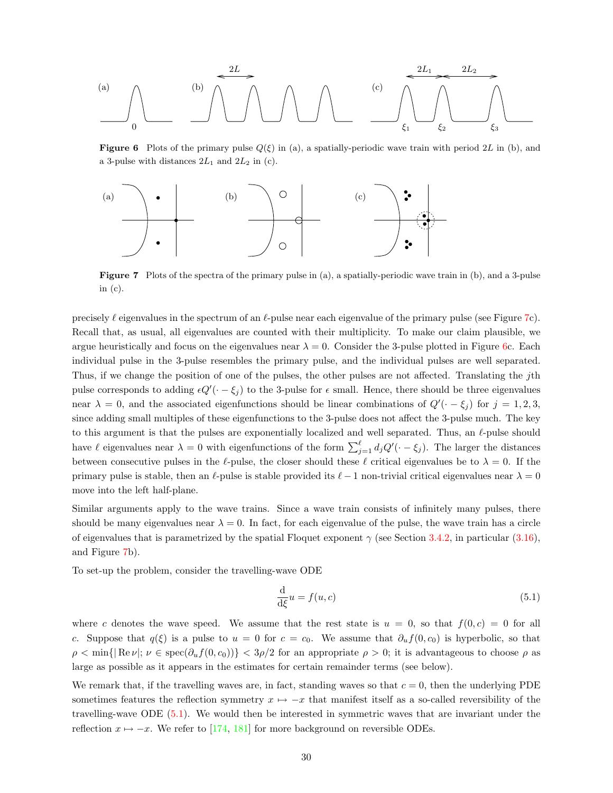(a) 
$$
\sqrt{\frac{2L}{\frac{2L_1}{\zeta_1}}}
$$

<span id="page-29-0"></span>**Figure 6** Plots of the primary pulse  $Q(\xi)$  in (a), a spatially-periodic wave train with period 2L in (b), and a 3-pulse with distances  $2L_1$  and  $2L_2$  in (c).



<span id="page-29-1"></span>Figure 7 Plots of the spectra of the primary pulse in (a), a spatially-periodic wave train in (b), and a 3-pulse in (c).

precisely  $\ell$  eigenvalues in the spectrum of an  $\ell$ -pulse near each eigenvalue of the primary pulse (see Figure [7c](#page-29-1)). Recall that, as usual, all eigenvalues are counted with their multiplicity. To make our claim plausible, we argue heuristically and focus on the eigenvalues near  $\lambda = 0$ . Consider the 3-pulse plotted in Figure [6](#page-29-0)c. Each individual pulse in the 3-pulse resembles the primary pulse, and the individual pulses are well separated. Thus, if we change the position of one of the pulses, the other pulses are not affected. Translating the jth pulse corresponds to adding  $\epsilon Q'(\cdot - \xi_j)$  to the 3-pulse for  $\epsilon$  small. Hence, there should be three eigenvalues near  $\lambda = 0$ , and the associated eigenfunctions should be linear combinations of  $Q'(-\xi_j)$  for  $j = 1, 2, 3$ , since adding small multiples of these eigenfunctions to the 3-pulse does not affect the 3-pulse much. The key to this argument is that the pulses are exponentially localized and well separated. Thus, an  $\ell$ -pulse should have  $\ell$  eigenvalues near  $\lambda = 0$  with eigenfunctions of the form  $\sum_{j=1}^{\ell} d_j Q'(\cdot - \xi_j)$ . The larger the distances between consecutive pulses in the  $\ell$ -pulse, the closer should these  $\ell$  critical eigenvalues be to  $\lambda = 0$ . If the primary pulse is stable, then an  $\ell$ -pulse is stable provided its  $\ell - 1$  non-trivial critical eigenvalues near  $\lambda = 0$ move into the left half-plane.

Similar arguments apply to the wave trains. Since a wave train consists of infinitely many pulses, there should be many eigenvalues near  $\lambda = 0$ . In fact, for each eigenvalue of the pulse, the wave train has a circle ofeigenvalues that is parametrized by the spatial Floquet exponent  $\gamma$  (see Section [3.4.2](#page-15-0), in particular ([3.16](#page-15-2)), and Figure [7b](#page-29-1)).

To set-up the problem, consider the travelling-wave ODE

<span id="page-29-2"></span>
$$
\frac{\mathrm{d}}{\mathrm{d}\xi}u = f(u, c) \tag{5.1}
$$

where c denotes the wave speed. We assume that the rest state is  $u = 0$ , so that  $f(0, c) = 0$  for all c. Suppose that  $q(\xi)$  is a pulse to  $u = 0$  for  $c = c_0$ . We assume that  $\partial_u f(0, c_0)$  is hyperbolic, so that  $\rho < \min\{|Re \nu|: \nu \in spec(\partial_u f(0, c_0))\} < 3\rho/2$  for an appropriate  $\rho > 0$ ; it is advantageous to choose  $\rho$  as large as possible as it appears in the estimates for certain remainder terms (see below).

We remark that, if the travelling waves are, in fact, standing waves so that  $c = 0$ , then the underlying PDE sometimes features the reflection symmetry  $x \mapsto -x$  that manifest itself as a so-called reversibility of the travelling-wave ODE([5.1](#page-29-2)). We would then be interested in symmetric waves that are invariant under the reflection  $x \mapsto -x$ . We refer to [\[174](#page-61-4), [181](#page-61-13)] for more background on reversible ODEs.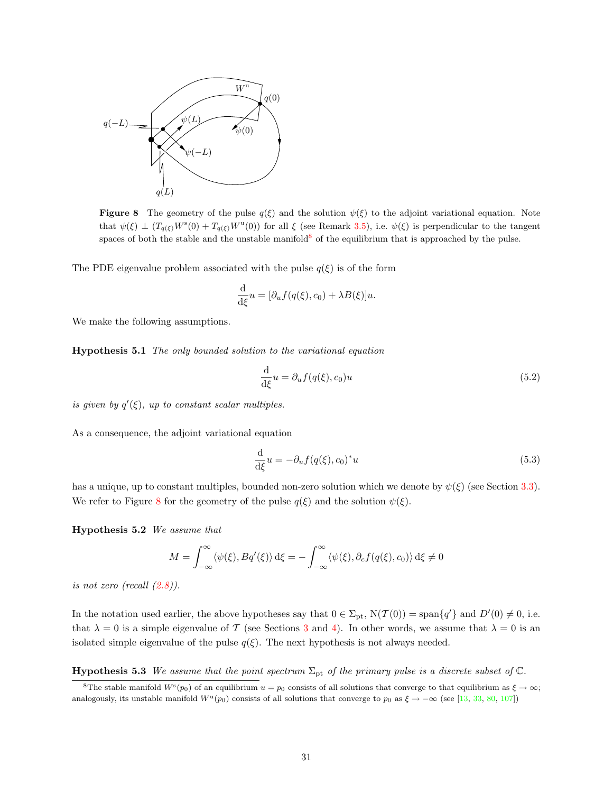

**Figure 8** The geometry of the pulse  $q(\xi)$  and the solution  $\psi(\xi)$  to the adjoint variational equation. Note that  $\psi(\xi) \perp (T_{q(\xi)}W^s(0) + T_{q(\xi)}W^u(0))$  for all  $\xi$  (see Remark [3.5\)](#page-14-2), i.e.  $\psi(\xi)$  is perpendicular to the tangent spaces of both the stable and the unstable manifold<sup>[8](#page-30-0)</sup> of the equilibrium that is approached by the pulse.

The PDE eigenvalue problem associated with the pulse  $q(\xi)$  is of the form

<span id="page-30-1"></span>
$$
\frac{\mathrm{d}}{\mathrm{d}\xi}u = [\partial_u f(q(\xi), c_0) + \lambda B(\xi)]u.
$$

<span id="page-30-3"></span>We make the following assumptions.

Hypothesis 5.1 The only bounded solution to the variational equation

<span id="page-30-6"></span>
$$
\frac{\mathrm{d}}{\mathrm{d}\xi}u = \partial_u f(q(\xi), c_0)u\tag{5.2}
$$

is given by  $q'(\xi)$ , up to constant scalar multiples.

As a consequence, the adjoint variational equation

<span id="page-30-5"></span>
$$
\frac{\mathrm{d}}{\mathrm{d}\xi}u = -\partial_u f(q(\xi), c_0)^* u \tag{5.3}
$$

has a unique, up to constant multiples, bounded non-zero solution which we denote by  $\psi(\xi)$  (see Section [3.3](#page-11-0)). We refer to Figure [8](#page-30-1) for the geometry of the pulse  $q(\xi)$  and the solution  $\psi(\xi)$ .

<span id="page-30-4"></span>Hypothesis 5.2 We assume that

$$
M = \int_{-\infty}^{\infty} \langle \psi(\xi), Bq'(\xi) \rangle d\xi = -\int_{-\infty}^{\infty} \langle \psi(\xi), \partial_c f(q(\xi), c_0) \rangle d\xi \neq 0
$$

isnot zero (recall  $(2.8)$  $(2.8)$ ).

In the notation used earlier, the above hypotheses say that  $0 \in \Sigma_{pt}$ ,  $N(\mathcal{T}(0)) = \text{span}\{q'\}$  and  $D'(0) \neq 0$ , i.e. that  $\lambda = 0$  is a simple eigenvalue of T (see Sections [3](#page-7-0) and [4](#page-20-0)). In other words, we assume that  $\lambda = 0$  is an isolated simple eigenvalue of the pulse  $q(\xi)$ . The next hypothesis is not always needed.

<span id="page-30-2"></span>**Hypothesis 5.3** We assume that the point spectrum  $\Sigma_{\text{pt}}$  of the primary pulse is a discrete subset of  $\mathbb{C}$ .

<span id="page-30-0"></span><sup>&</sup>lt;sup>8</sup>The stable manifold  $W^s(p_0)$  of an equilibrium  $u = p_0$  consists of all solutions that converge to that equilibrium as  $\xi \to \infty$ ; analogously, its unstable manifold  $W^{\mathrm{u}}(p_0)$  consists of all solutions that converge to  $p_0$  as  $\xi \to -\infty$  (see [\[13,](#page-54-9) [33](#page-55-2), [80,](#page-57-2) [107\]](#page-58-1))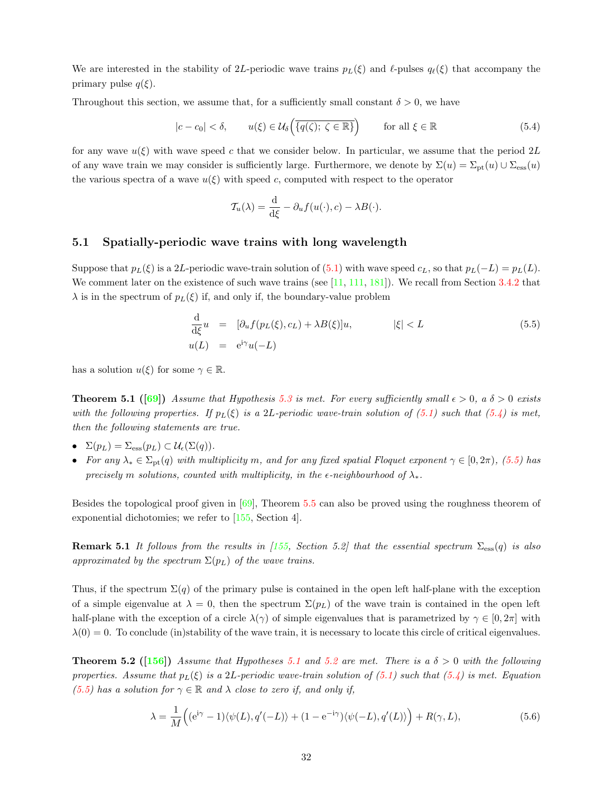We are interested in the stability of 2L-periodic wave trains  $p_L(\xi)$  and  $\ell$ -pulses  $q_\ell(\xi)$  that accompany the primary pulse  $q(\xi)$ .

Throughout this section, we assume that, for a sufficiently small constant  $\delta > 0$ , we have

<span id="page-31-1"></span>
$$
|c - c_0| < \delta, \qquad u(\xi) \in \mathcal{U}_{\delta} \left( \overline{\{q(\zeta); \ \zeta \in \mathbb{R}\}} \right) \qquad \text{for all } \xi \in \mathbb{R} \tag{5.4}
$$

for any wave  $u(\xi)$  with wave speed c that we consider below. In particular, we assume that the period 2L of any wave train we may consider is sufficiently large. Furthermore, we denote by  $\Sigma(u) = \Sigma_{\text{pt}}(u) \cup \Sigma_{\text{ess}}(u)$ the various spectra of a wave  $u(\xi)$  with speed c, computed with respect to the operator

$$
\mathcal{T}_u(\lambda) = \frac{\mathrm{d}}{\mathrm{d}\xi} - \partial_u f(u(\cdot), c) - \lambda B(\cdot).
$$

# <span id="page-31-0"></span>5.1 Spatially-periodic wave trains with long wavelength

Supposethat  $p_L(\xi)$  is a 2L-periodic wave-train solution of ([5.1\)](#page-29-2) with wave speed  $c_L$ , so that  $p_L(-L) = p_L(L)$ . We comment later on the existence of such wave trains (see [\[11](#page-54-10), [111,](#page-58-12) [181](#page-61-13)]). We recall from Section [3.4.2](#page-15-0) that  $\lambda$  is in the spectrum of  $p_L(\xi)$  if, and only if, the boundary-value problem

<span id="page-31-2"></span>
$$
\frac{\mathrm{d}}{\mathrm{d}\xi}u = [\partial_u f(p_L(\xi), c_L) + \lambda B(\xi)]u, \qquad |\xi| < L \tag{5.5}
$$
\n
$$
u(L) = e^{i\gamma}u(-L)
$$

<span id="page-31-5"></span>has a solution  $u(\xi)$  for some  $\gamma \in \mathbb{R}$ .

**Theorem 5.1** ([[69](#page-57-12)]) Assume that Hypothesis [5.3](#page-30-2) is met. For every sufficiently small  $\epsilon > 0$ , a  $\delta > 0$  exists withthe following properties. If  $p_L(\xi)$  is a 2L-periodic wave-train solution of [\(5.1\)](#page-29-2) such that ([5.4\)](#page-31-1) is met, then the following statements are true.

- $\Sigma(p_L) = \Sigma_{\rm ess}(p_L) \subset \mathcal{U}_{\epsilon}(\Sigma(q)).$
- For any  $\lambda_* \in \Sigma_{\rm pt}(q)$  with multiplicity m, and for any fixed spatial Floquet exponent  $\gamma \in [0, 2\pi)$ , [\(5.5](#page-31-2)) has precisely m solutions, counted with multiplicity, in the  $\epsilon$ -neighbourhood of  $\lambda_*$ .

Besides the topological proof given in [\[69\]](#page-57-12), Theorem [5.5](#page-31-2) can also be proved using the roughness theorem of exponential dichotomies; we refer to [\[155](#page-60-10), Section 4].

**Remark 5.1** It follows from the results in [\[155,](#page-60-10) Section 5.2] that the essential spectrum  $\Sigma_{\rm ess}(q)$  is also approximated by the spectrum  $\Sigma(p_L)$  of the wave trains.

Thus, if the spectrum  $\Sigma(q)$  of the primary pulse is contained in the open left half-plane with the exception of a simple eigenvalue at  $\lambda = 0$ , then the spectrum  $\Sigma(p_L)$  of the wave train is contained in the open left half-plane with the exception of a circle  $\lambda(\gamma)$  of simple eigenvalues that is parametrized by  $\gamma \in [0, 2\pi]$  with  $\lambda(0) = 0$ . To conclude (in)stability of the wave train, it is necessary to locate this circle of critical eigenvalues.

<span id="page-31-4"></span>**Theorem [5.2](#page-30-4)** ([[156\]](#page-60-0)) Assume that Hypotheses [5.1](#page-30-3) and 5.2 are met. There is a  $\delta > 0$  with the following properties.Assume that  $p_L(\xi)$  is a 2L-periodic wave-train solution of ([5.1](#page-29-2)) such that [\(5.4\)](#page-31-1) is met. Equation [\(5.5](#page-31-2)) has a solution for  $\gamma \in \mathbb{R}$  and  $\lambda$  close to zero if, and only if,

<span id="page-31-3"></span>
$$
\lambda = \frac{1}{M} \left( (e^{i\gamma} - 1) \langle \psi(L), q'(-L) \rangle + (1 - e^{-i\gamma}) \langle \psi(-L), q'(L) \rangle \right) + R(\gamma, L),\tag{5.6}
$$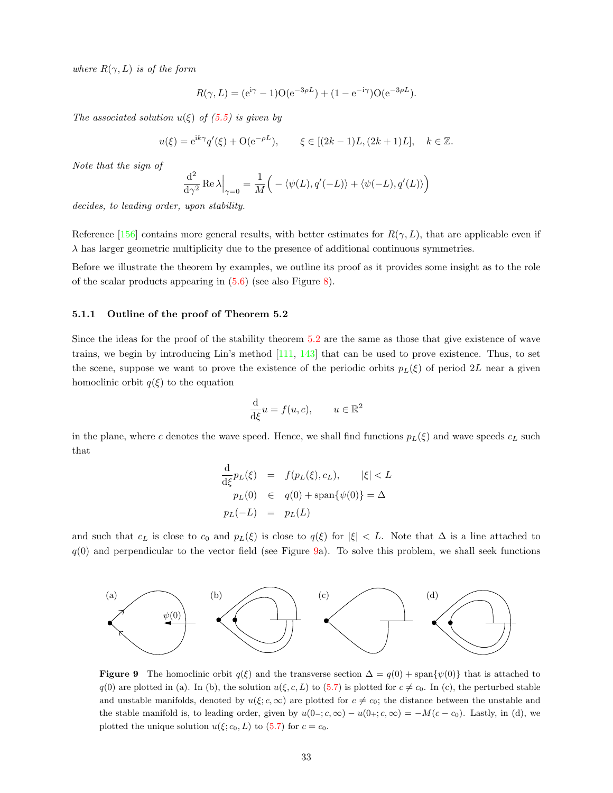where  $R(\gamma, L)$  is of the form

$$
R(\gamma, L) = (e^{i\gamma} - 1)O(e^{-3\rho L}) + (1 - e^{-i\gamma})O(e^{-3\rho L}).
$$

The associated solution  $u(\xi)$  of  $(5.5)$  is given by

$$
u(\xi) = e^{ik\gamma} q'(\xi) + O(e^{-\rho L}), \qquad \xi \in [(2k-1)L, (2k+1)L], \quad k \in \mathbb{Z}.
$$

Note that the sign of

$$
\frac{\mathrm{d}^2}{\mathrm{d}\gamma^2} \operatorname{Re} \lambda \Big|_{\gamma=0} = \frac{1}{M} \Big( -\langle \psi(L), q'(-L) \rangle + \langle \psi(-L), q'(L) \rangle \Big)
$$

decides, to leading order, upon stability.

Reference [\[156](#page-60-0)] contains more general results, with better estimates for  $R(\gamma, L)$ , that are applicable even if  $\lambda$  has larger geometric multiplicity due to the presence of additional continuous symmetries.

Before we illustrate the theorem by examples, we outline its proof as it provides some insight as to the role of the scalar products appearing in([5.6\)](#page-31-3) (see also Figure [8](#page-30-1)).

#### <span id="page-32-0"></span>5.1.1 Outline of the proof of Theorem 5.2

Since the ideas for the proof of the stability theorem [5.2](#page-31-4) are the same as those that give existence of wave trains, we begin by introducing Lin's method [\[111](#page-58-12), [143\]](#page-60-4) that can be used to prove existence. Thus, to set the scene, suppose we want to prove the existence of the periodic orbits  $p_L(\xi)$  of period 2L near a given homoclinic orbit  $q(\xi)$  to the equation

$$
\frac{\mathrm{d}}{\mathrm{d}\xi}u = f(u, c), \qquad u \in \mathbb{R}^2
$$

in the plane, where c denotes the wave speed. Hence, we shall find functions  $p_L(\xi)$  and wave speeds  $c_L$  such that

<span id="page-32-1"></span>
$$
\frac{\mathrm{d}}{\mathrm{d}\xi}p_L(\xi) = f(p_L(\xi), c_L), \qquad |\xi| < L
$$
\n
$$
p_L(0) \in q(0) + \mathrm{span}\{\psi(0)\} = \Delta
$$
\n
$$
p_L(-L) = p_L(L)
$$

and such that  $c_L$  is close to  $c_0$  and  $p_L(\xi)$  is close to  $q(\xi)$  for  $|\xi| < L$ . Note that  $\Delta$  is a line attached to  $q(0)$  and perpendicular to the vector field (see Figure [9](#page-32-1)a). To solve this problem, we shall seek functions



**Figure 9** The homoclinic orbit  $q(\xi)$  and the transverse section  $\Delta = q(0) + \text{span}{\psi(0)}$  that is attached to  $q(0)$  are plotted in (a). In (b), the solution  $u(\xi, c, L)$  to [\(5.7\)](#page-33-0) is plotted for  $c \neq c_0$ . In (c), the perturbed stable and unstable manifolds, denoted by  $u(\xi; c, \infty)$  are plotted for  $c \neq c_0$ ; the distance between the unstable and the stable manifold is, to leading order, given by  $u(0-; c, \infty) - u(0+; c, \infty) = -M(c - c_0)$ . Lastly, in (d), we plotted the unique solution  $u(\xi; c_0, L)$  to [\(5.7\)](#page-33-0) for  $c = c_0$ .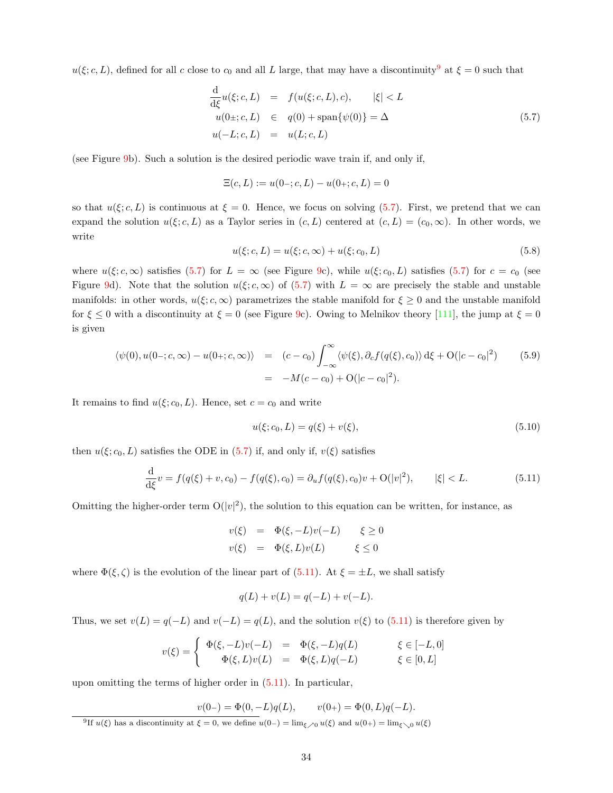$u(\xi; c, L)$ , defined for all c close to  $c_0$  and all L large, that may have a discontinuity<sup>[9](#page-33-1)</sup> at  $\xi = 0$  such that

<span id="page-33-0"></span>
$$
\frac{\mathrm{d}}{\mathrm{d}\xi}u(\xi;c,L) = f(u(\xi;c,L),c), \qquad |\xi| < L
$$
  
\n
$$
u(0\pm;c,L) \in q(0) + \mathrm{span}\{\psi(0)\} = \Delta
$$
  
\n
$$
u(-L;c,L) = u(L;c,L) \tag{5.7}
$$

(see Figure [9](#page-32-1)b). Such a solution is the desired periodic wave train if, and only if,

$$
\Xi(c, L) := u(0 - c, L) - u(0 + c, L) = 0
$$

so that  $u(\xi; c, L)$  is continuous at  $\xi = 0$ . Hence, we focus on solving [\(5.7](#page-33-0)). First, we pretend that we can expand the solution  $u(\xi; c, L)$  as a Taylor series in  $(c, L)$  centered at  $(c, L) = (c_0, \infty)$ . In other words, we write

<span id="page-33-3"></span>
$$
u(\xi; c, L) = u(\xi; c, \infty) + u(\xi; c_0, L)
$$
\n(5.8)

where $u(\xi; c, \infty)$  satisfies ([5.7\)](#page-33-0) for  $L = \infty$  (see Figure [9c](#page-32-1)), while  $u(\xi; c_0, L)$  satisfies ([5.7](#page-33-0)) for  $c = c_0$  (see Figure [9](#page-32-1)d). Note that the solution  $u(\xi; c, \infty)$  of [\(5.7](#page-33-0)) with  $L = \infty$  are precisely the stable and unstable manifolds: in other words,  $u(\xi; c, \infty)$  parametrizes the stable manifold for  $\xi \geq 0$  and the unstable manifold for  $\xi \leq 0$  with a discontinuity at  $\xi = 0$  (see Figure [9](#page-32-1)c). Owing to Melnikov theory [\[111](#page-58-12)], the jump at  $\xi = 0$ is given

<span id="page-33-4"></span>
$$
\langle \psi(0), u(0 - ; c, \infty) - u(0 + ; c, \infty) \rangle = (c - c_0) \int_{-\infty}^{\infty} \langle \psi(\xi), \partial_c f(q(\xi), c_0) \rangle d\xi + O(|c - c_0|^2)
$$
(5.9)  
= 
$$
-M(c - c_0) + O(|c - c_0|^2).
$$

It remains to find  $u(\xi; c_0, L)$ . Hence, set  $c = c_0$  and write

<span id="page-33-5"></span>
$$
u(\xi; c_0, L) = q(\xi) + v(\xi),
$$
\n(5.10)

then $u(\xi; c_0, L)$  satisfies the ODE in ([5.7](#page-33-0)) if, and only if,  $v(\xi)$  satisfies

<span id="page-33-2"></span>
$$
\frac{\mathrm{d}}{\mathrm{d}\xi}v = f(q(\xi) + v, c_0) - f(q(\xi), c_0) = \partial_u f(q(\xi), c_0)v + \mathcal{O}(|v|^2), \qquad |\xi| < L. \tag{5.11}
$$

Omitting the higher-order term  $O(|v|^2)$ , the solution to this equation can be written, for instance, as

$$
v(\xi) = \Phi(\xi, -L)v(-L) \quad \xi \ge 0
$$
  

$$
v(\xi) = \Phi(\xi, L)v(L) \quad \xi \le 0
$$

where $\Phi(\xi, \zeta)$  is the evolution of the linear part of ([5.11\)](#page-33-2). At  $\xi = \pm L$ , we shall satisfy

$$
q(L) + v(L) = q(-L) + v(-L).
$$

Thus,we set  $v(L) = q(-L)$  and  $v(-L) = q(L)$ , and the solution  $v(\xi)$  to ([5.11](#page-33-2)) is therefore given by

$$
v(\xi) = \begin{cases} \Phi(\xi, -L)v(-L) &= \Phi(\xi, -L)q(L) & \xi \in [-L, 0] \\ \Phi(\xi, L)v(L) &= \Phi(\xi, L)q(-L) & \xi \in [0, L] \end{cases}
$$

upon omitting the terms of higher order in([5.11\)](#page-33-2). In particular,

 $v(0-) = \Phi(0, -L)q(L), \qquad v(0+) = \Phi(0, L)q(-L).$ 

<span id="page-33-1"></span><sup>&</sup>lt;sup>9</sup>If  $u(\xi)$  has a discontinuity at  $\xi = 0$ , we define  $u(0-) = \lim_{\xi \to 0} u(\xi)$  and  $u(0+) = \lim_{\xi \to 0} u(\xi)$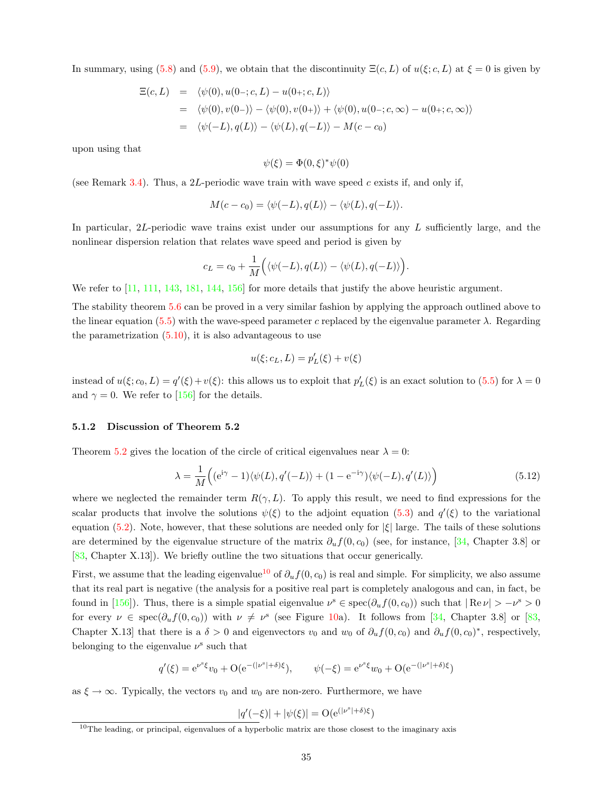Insummary, using ([5.8](#page-33-3)) and ([5.9\)](#page-33-4), we obtain that the discontinuity  $\Xi(c, L)$  of  $u(\xi; c, L)$  at  $\xi = 0$  is given by

$$
\begin{aligned} \Xi(c,L) &= \langle \psi(0), u(0-;c,L) - u(0+;c,L) \rangle \\ &= \langle \psi(0), v(0-) \rangle - \langle \psi(0), v(0+) \rangle + \langle \psi(0), u(0-;c,\infty) - u(0+;c,\infty) \rangle \\ &= \langle \psi(-L), q(L) \rangle - \langle \psi(L), q(-L) \rangle - M(c-c_0) \end{aligned}
$$

upon using that

$$
\psi(\xi) = \Phi(0,\xi)^* \psi(0)
$$

(see Remark [3.4](#page-13-3)). Thus, a 2L-periodic wave train with wave speed c exists if, and only if,

$$
M(c - c_0) = \langle \psi(-L), q(L) \rangle - \langle \psi(L), q(-L) \rangle.
$$

In particular, 2L-periodic wave trains exist under our assumptions for any L sufficiently large, and the nonlinear dispersion relation that relates wave speed and period is given by

$$
c_L = c_0 + \frac{1}{M} \Big( \langle \psi(-L), q(L) \rangle - \langle \psi(L), q(-L) \rangle \Big).
$$

We refer to  $\left[11, 111, 143, 181, 144, 156\right]$  $\left[11, 111, 143, 181, 144, 156\right]$  $\left[11, 111, 143, 181, 144, 156\right]$  $\left[11, 111, 143, 181, 144, 156\right]$  $\left[11, 111, 143, 181, 144, 156\right]$  $\left[11, 111, 143, 181, 144, 156\right]$  $\left[11, 111, 143, 181, 144, 156\right]$  $\left[11, 111, 143, 181, 144, 156\right]$  $\left[11, 111, 143, 181, 144, 156\right]$  $\left[11, 111, 143, 181, 144, 156\right]$  $\left[11, 111, 143, 181, 144, 156\right]$  for more details that justify the above heuristic argument.

The stability theorem [5.6](#page-31-3) can be proved in a very similar fashion by applying the approach outlined above to the linear equation [\(5.5\)](#page-31-2) with the wave-speed parameter c replaced by the eigenvalue parameter  $\lambda$ . Regarding theparametrization  $(5.10)$  $(5.10)$  $(5.10)$ , it is also advantageous to use

$$
u(\xi; c_L, L) = p'_L(\xi) + v(\xi)
$$

insteadof  $u(\xi; c_0, L) = q'(\xi) + v(\xi)$ : this allows us to exploit that  $p'_L(\xi)$  is an exact solution to ([5.5](#page-31-2)) for  $\lambda = 0$ and $\gamma = 0$ . We refer to [[156\]](#page-60-0) for the details.

#### <span id="page-34-0"></span>5.1.2 Discussion of Theorem 5.2

Theorem [5.2](#page-31-4) gives the location of the circle of critical eigenvalues near  $\lambda = 0$ :

<span id="page-34-2"></span>
$$
\lambda = \frac{1}{M} \left( (e^{i\gamma} - 1) \langle \psi(L), q'(-L) \rangle + (1 - e^{-i\gamma}) \langle \psi(-L), q'(L) \rangle \right) \tag{5.12}
$$

where we neglected the remainder term  $R(\gamma, L)$ . To apply this result, we need to find expressions for the scalarproducts that involve the solutions  $\psi(\xi)$  to the adjoint equation ([5.3](#page-30-5)) and  $q'(\xi)$  to the variational equation [\(5.2](#page-30-6)). Note, however, that these solutions are needed only for  $|\xi|$  large. The tails of these solutions are determined by the eigenvalue structure of the matrix  $\partial_u f(0, c_0)$  (see, for instance, [\[34](#page-55-11), Chapter 3.8] or [[83,](#page-57-6) Chapter X.13]). We briefly outline the two situations that occur generically.

First, we assume that the leading eigenvalue<sup>[10](#page-34-1)</sup> of  $\partial_u f(0, c_0)$  is real and simple. For simplicity, we also assume that its real part is negative (the analysis for a positive real part is completely analogous and can, in fact, be foundin [[156](#page-60-0)]). Thus, there is a simple spatial eigenvalue  $\nu^s \in \text{spec}(\partial_u f(0, c_0))$  such that  $|\text{Re }\nu| > -\nu^s > 0$ forevery  $\nu \in \text{spec}(\partial_u f(0, c_0))$  with  $\nu \neq \nu^s$  (see Figure [10](#page-35-1)a). It follows from [[34,](#page-55-11) Chapter 3.8] or [\[83](#page-57-6), Chapter X.13] that there is a  $\delta > 0$  and eigenvectors  $v_0$  and  $w_0$  of  $\partial_u f(0, c_0)$  and  $\partial_u f(0, c_0)^*$ , respectively, belonging to the eigenvalue  $\nu^s$  such that

$$
q'(\xi) = e^{\nu^s \xi} v_0 + O(e^{-(|\nu^s| + \delta)\xi}), \qquad \psi(-\xi) = e^{\nu^s \xi} w_0 + O(e^{-(|\nu^s| + \delta)\xi})
$$

as  $\xi \to \infty$ . Typically, the vectors  $v_0$  and  $w_0$  are non-zero. Furthermore, we have

$$
|q'(-\xi)| + |\psi(\xi)| = O(e^{(|\nu^s| + \delta)\xi})
$$

<span id="page-34-1"></span> $10$ The leading, or principal, eigenvalues of a hyperbolic matrix are those closest to the imaginary axis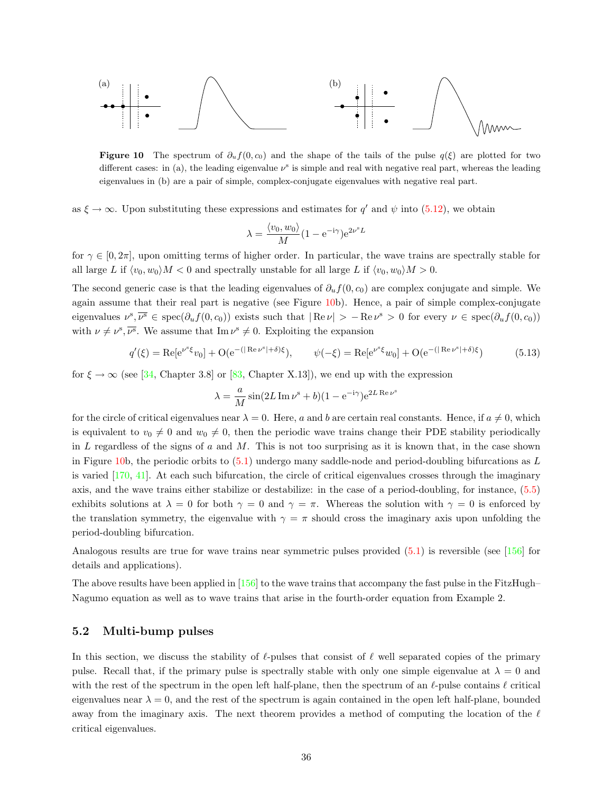

Figure 10 The spectrum of  $\partial_u f(0, c_0)$  and the shape of the tails of the pulse  $q(\xi)$  are plotted for two different cases: in (a), the leading eigenvalue  $\nu^s$  is simple and real with negative real part, whereas the leading eigenvalues in (b) are a pair of simple, complex-conjugate eigenvalues with negative real part.

as $\xi \to \infty$ . Upon substituting these expressions and estimates for q' and  $\psi$  into ([5.12](#page-34-2)), we obtain

$$
\lambda = \frac{\langle v_0, w_0 \rangle}{M} (1 - e^{-i\gamma}) e^{2\nu^s L}
$$

for  $\gamma \in [0, 2\pi]$ , upon omitting terms of higher order. In particular, the wave trains are spectrally stable for all large L if  $\langle v_0, w_0 \rangle M < 0$  and spectrally unstable for all large L if  $\langle v_0, w_0 \rangle M > 0$ .

The second generic case is that the leading eigenvalues of  $\partial_u f(0, c_0)$  are complex conjugate and simple. We again assume that their real part is negative (see Figure [10b](#page-35-1)). Hence, a pair of simple complex-conjugate eigenvalues  $\nu^s, \overline{\nu^s} \in \text{spec}(\partial_u f(0, c_0))$  exists such that  $|\text{Re }\nu| > -\text{Re }\nu^s > 0$  for every  $\nu \in \text{spec}(\partial_u f(0, c_0))$ with  $\nu \neq \nu^s$ ,  $\overline{\nu^s}$ . We assume that Im  $\nu^s \neq 0$ . Exploiting the expansion

<span id="page-35-3"></span>
$$
q'(\xi) = \text{Re}[e^{\nu^s \xi} v_0] + \mathcal{O}(e^{-(|\text{Re }\nu^s| + \delta)\xi}), \qquad \psi(-\xi) = \text{Re}[e^{\nu^s \xi} w_0] + \mathcal{O}(e^{-(|\text{Re }\nu^s| + \delta)\xi})
$$
(5.13)

<span id="page-35-1"></span>s

for $\xi \to \infty$  (see [[34,](#page-55-11) Chapter 3.8] or [\[83](#page-57-6), Chapter X.13]), we end up with the expression

$$
\lambda = \frac{a}{M} \sin(2L \operatorname{Im} \nu^s + b)(1 - e^{-i\gamma})e^{2L \operatorname{Re} \nu}
$$

for the circle of critical eigenvalues near  $\lambda = 0$ . Here, a and b are certain real constants. Hence, if  $a \neq 0$ , which is equivalent to  $v_0 \neq 0$  and  $w_0 \neq 0$ , then the periodic wave trains change their PDE stability periodically in L regardless of the signs of  $a$  and  $M$ . This is not too surprising as it is known that, in the case shown in Figure [10b](#page-35-1),the periodic orbits to  $(5.1)$  $(5.1)$  undergo many saddle-node and period-doubling bifurcations as L is varied[[170,](#page-61-14) [41\]](#page-55-12). At each such bifurcation, the circle of critical eigenvalues crosses through the imaginary axis, and the wave trains either stabilize or destabilize: in the case of a period-doubling, for instance, [\(5.5](#page-31-2)) exhibits solutions at  $\lambda = 0$  for both  $\gamma = 0$  and  $\gamma = \pi$ . Whereas the solution with  $\gamma = 0$  is enforced by the translation symmetry, the eigenvalue with  $\gamma = \pi$  should cross the imaginary axis upon unfolding the period-doubling bifurcation.

Analogous results are true for wave trains near symmetric pulses provided([5.1](#page-29-2)) is reversible (see[[156\]](#page-60-0) for details and applications).

The above results have been applied in [\[156](#page-60-0)] to the wave trains that accompany the fast pulse in the FitzHugh– Nagumo equation as well as to wave trains that arise in the fourth-order equation from Example 2.

#### <span id="page-35-0"></span>5.2 Multi-bump pulses

<span id="page-35-2"></span>In this section, we discuss the stability of  $\ell$ -pulses that consist of  $\ell$  well separated copies of the primary pulse. Recall that, if the primary pulse is spectrally stable with only one simple eigenvalue at  $\lambda = 0$  and with the rest of the spectrum in the open left half-plane, then the spectrum of an  $\ell$ -pulse contains  $\ell$  critical eigenvalues near  $\lambda = 0$ , and the rest of the spectrum is again contained in the open left half-plane, bounded away from the imaginary axis. The next theorem provides a method of computing the location of the  $\ell$ critical eigenvalues.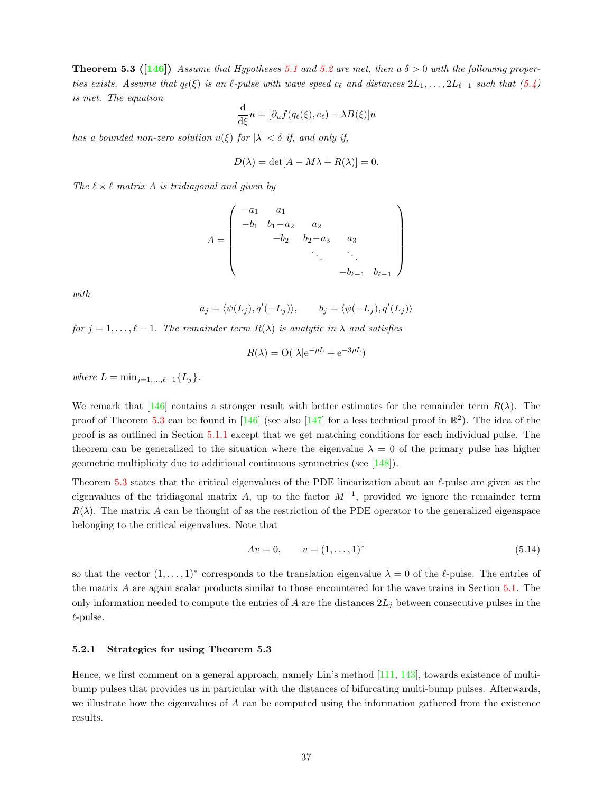**Theorem 5.3** ([[146\]](#page-60-13)) Assume that Hypotheses [5.1](#page-30-3) and [5.2](#page-30-4) are met, then a  $\delta > 0$  with the following propertiesexists. Assume that  $q_{\ell}(\xi)$  is an  $\ell$ -pulse with wave speed  $c_{\ell}$  and distances  $2L_1, \ldots, 2L_{\ell-1}$  such that  $(5.4)$  $(5.4)$ is met. The equation

$$
\frac{\mathrm{d}}{\mathrm{d}\xi}u = [\partial_u f(q_\ell(\xi), c_\ell) + \lambda B(\xi)]u
$$

has a bounded non-zero solution  $u(\xi)$  for  $|\lambda| < \delta$  if, and only if,

$$
D(\lambda) = \det[A - M\lambda + R(\lambda)] = 0.
$$

The  $\ell \times \ell$  matrix A is tridiagonal and given by

$$
A = \begin{pmatrix} -a_1 & a_1 & & & \\ -b_1 & b_1 - a_2 & a_2 & & \\ & -b_2 & b_2 - a_3 & a_3 & \\ & & \ddots & \ddots & \\ & & & -b_{\ell-1} & b_{\ell-1} \end{pmatrix}
$$

with

$$
a_j = \langle \psi(L_j), q'(-L_j) \rangle, \qquad b_j = \langle \psi(-L_j), q'(L_j) \rangle
$$

for  $j = 1, \ldots, \ell - 1$ . The remainder term  $R(\lambda)$  is analytic in  $\lambda$  and satisfies

$$
R(\lambda) = O(|\lambda|e^{-\rho L} + e^{-3\rho L})
$$

where  $L = \min_{i=1,...,\ell-1} \{L_i\}.$ 

Weremark that  $[146]$  $[146]$  contains a stronger result with better estimates for the remainder term  $R(\lambda)$ . The proof of Theorem [5.3](#page-35-2)can be found in  $[146]$  $[146]$  (see also  $[147]$  $[147]$  for a less technical proof in  $\mathbb{R}^2$ ). The idea of the proof is as outlined in Section [5.1.1](#page-32-0) except that we get matching conditions for each individual pulse. The theorem can be generalized to the situation where the eigenvalue  $\lambda = 0$  of the primary pulse has higher geometric multiplicity due to additional continuous symmetries (see[[148\]](#page-60-16)).

Theorem [5.3](#page-35-2) states that the critical eigenvalues of the PDE linearization about an  $\ell$ -pulse are given as the eigenvalues of the tridiagonal matrix A, up to the factor  $M^{-1}$ , provided we ignore the remainder term  $R(\lambda)$ . The matrix A can be thought of as the restriction of the PDE operator to the generalized eigenspace belonging to the critical eigenvalues. Note that

<span id="page-36-1"></span>
$$
Av = 0, \qquad v = (1, \dots, 1)^* \tag{5.14}
$$

so that the vector  $(1,\ldots,1)^*$  corresponds to the translation eigenvalue  $\lambda = 0$  of the  $\ell$ -pulse. The entries of the matrix A are again scalar products similar to those encountered for the wave trains in Section [5.1.](#page-31-0) The only information needed to compute the entries of A are the distances  $2L_j$  between consecutive pulses in the  $\ell$ -pulse.

#### <span id="page-36-0"></span>5.2.1 Strategies for using Theorem 5.3

Hence, we first comment on a general approach, namely Lin's method [\[111](#page-58-12), [143](#page-60-4)], towards existence of multibump pulses that provides us in particular with the distances of bifurcating multi-bump pulses. Afterwards, we illustrate how the eigenvalues of A can be computed using the information gathered from the existence results.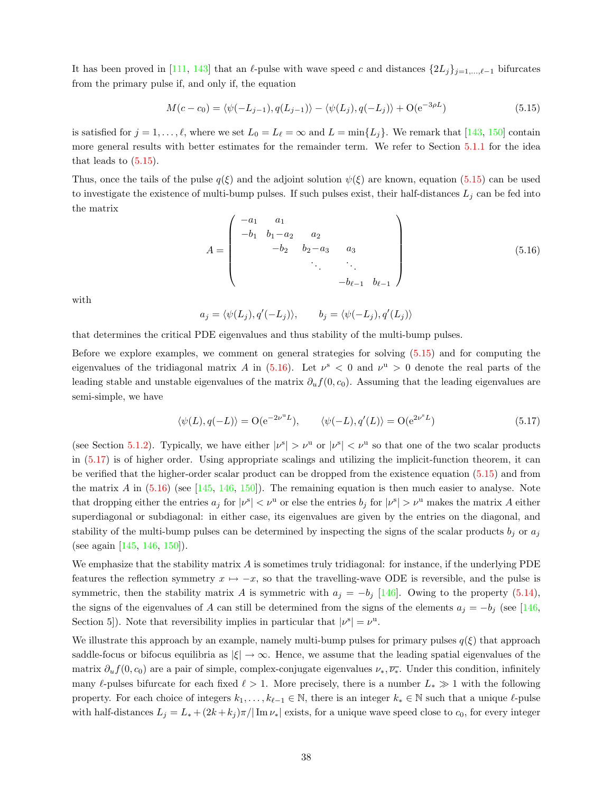Ithas been proved in [[111,](#page-58-12) [143\]](#page-60-4) that an  $\ell$ -pulse with wave speed c and distances  $\{2L_j\}_{j=1,\ldots,\ell-1}$  bifurcates from the primary pulse if, and only if, the equation

<span id="page-37-0"></span>
$$
M(c-c_0) = \langle \psi(-L_{j-1}), q(L_{j-1}) \rangle - \langle \psi(L_j), q(-L_j) \rangle + \mathcal{O}(e^{-3\rho L})
$$
\n(5.15)

issatisfied for  $j = 1, \ldots, \ell$ , where we set  $L_0 = L_\ell = \infty$  and  $L = \min\{L_j\}$ . We remark that [[143,](#page-60-4) [150](#page-60-3)] contain more general results with better estimates for the remainder term. We refer to Section [5.1.1](#page-32-0) for the idea thatleads to  $(5.15)$  $(5.15)$  $(5.15)$ .

Thus,once the tails of the pulse  $q(\xi)$  and the adjoint solution  $\psi(\xi)$  are known, equation ([5.15](#page-37-0)) can be used to investigate the existence of multi-bump pulses. If such pulses exist, their half-distances  $L_j$  can be fed into the matrix

<span id="page-37-1"></span>
$$
A = \begin{pmatrix} -a_1 & a_1 \\ -b_1 & b_1 - a_2 & a_2 \\ & -b_2 & b_2 - a_3 & a_3 \\ & & \ddots & \ddots & \\ & & & -b_{\ell-1} & b_{\ell-1} \end{pmatrix}
$$
(5.16)

with

 $a_j = \langle \psi(L_j), q'(-L_j) \rangle, \qquad b_j = \langle \psi(-L_j), q'(L_j) \rangle$ 

that determines the critical PDE eigenvalues and thus stability of the multi-bump pulses.

Before we explore examples, we comment on general strategies for solving [\(5.15\)](#page-37-0) and for computing the eigenvalues of the tridiagonal matrix A in  $(5.16)$ . Let  $\nu^s < 0$  and  $\nu^u > 0$  denote the real parts of the leading stable and unstable eigenvalues of the matrix  $\partial_u f(0, c_0)$ . Assuming that the leading eigenvalues are semi-simple, we have

<span id="page-37-2"></span>
$$
\langle \psi(L), q(-L) \rangle = \mathcal{O}(e^{-2\nu^u L}), \qquad \langle \psi(-L), q'(L) \rangle = \mathcal{O}(e^{2\nu^s L})
$$
\n(5.17)

(see Section [5.1.2\)](#page-34-0). Typically, we have either  $|\nu^s| > \nu^u$  or  $|\nu^s| < \nu^u$  so that one of the two scalar products in [\(5.17\)](#page-37-2) is of higher order. Using appropriate scalings and utilizing the implicit-function theorem, it can be verified that the higher-order scalar product can be dropped from the existence equation [\(5.15\)](#page-37-0) and from the matrix A in  $(5.16)$  (see [\[145](#page-60-17), [146,](#page-60-13) [150](#page-60-3)]). The remaining equation is then much easier to analyse. Note that dropping either the entries  $a_j$  for  $|v^s| < v^u$  or else the entries  $b_j$  for  $|v^s| > v^u$  makes the matrix A either superdiagonal or subdiagonal: in either case, its eigenvalues are given by the entries on the diagonal, and stability of the multi-bump pulses can be determined by inspecting the signs of the scalar products  $b_i$  or  $a_j$ (see again [\[145](#page-60-17), [146](#page-60-13), [150](#page-60-3)]).

We emphasize that the stability matrix A is sometimes truly tridiagonal: for instance, if the underlying PDE features the reflection symmetry  $x \mapsto -x$ , so that the travelling-wave ODE is reversible, and the pulse is symmetric,then the stability matrix A is symmetric with  $a_j = -b_j$  [[146](#page-60-13)]. Owing to the property ([5.14](#page-36-1)), the signs of the eigenvalues of A can still be determined from the signs of the elements  $a_j = -b_j$  (see [\[146](#page-60-13), Section 5]). Note that reversibility implies in particular that  $|\nu^s| = \nu^u$ .

We illustrate this approach by an example, namely multi-bump pulses for primary pulses  $q(\xi)$  that approach saddle-focus or bifocus equilibria as  $|\xi| \to \infty$ . Hence, we assume that the leading spatial eigenvalues of the matrix  $\partial_u f(0, c_0)$  are a pair of simple, complex-conjugate eigenvalues  $\nu_*, \overline{\nu_*}.$  Under this condition, infinitely many  $\ell$ -pulses bifurcate for each fixed  $\ell > 1$ . More precisely, there is a number  $L_* \gg 1$  with the following property. For each choice of integers  $k_1, \ldots, k_{\ell-1} \in \mathbb{N}$ , there is an integer  $k_* \in \mathbb{N}$  such that a unique  $\ell$ -pulse with half-distances  $L_j = L_* + (2k + k_j)\pi/|\operatorname{Im}\nu_*|$  exists, for a unique wave speed close to  $c_0$ , for every integer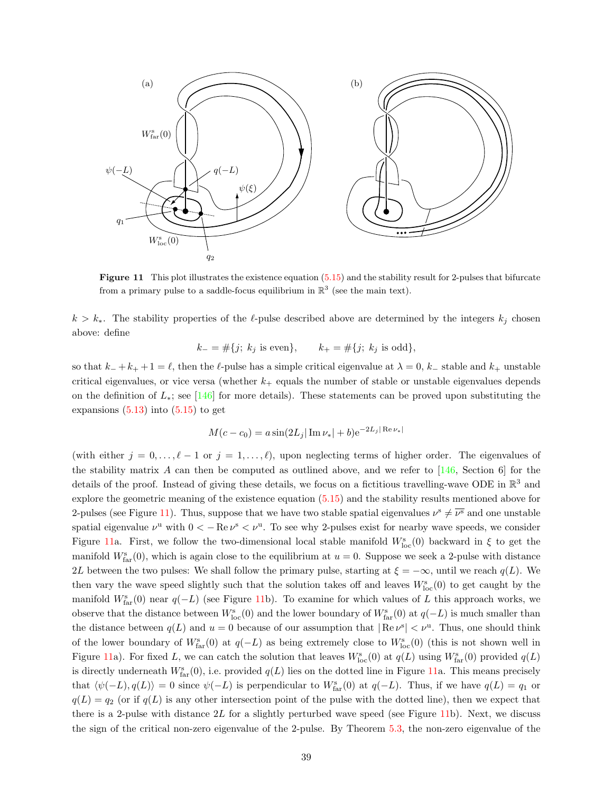

Figure 11 This plot illustrates the existence equation [\(5.15\)](#page-37-0) and the stability result for 2-pulses that bifurcate from a primary pulse to a saddle-focus equilibrium in  $\mathbb{R}^3$  (see the main text).

 $k > k<sub>*</sub>$ . The stability properties of the  $\ell$ -pulse described above are determined by the integers  $k<sub>j</sub>$  chosen above: define

<span id="page-38-0"></span>
$$
k_- = #\{j; k_j \text{ is even}\}, \qquad k_+ = #\{j; k_j \text{ is odd}\},
$$

so that  $k_- + k_+ + 1 = \ell$ , then the  $\ell$ -pulse has a simple critical eigenvalue at  $\lambda = 0$ ,  $k_-$  stable and  $k_+$  unstable critical eigenvalues, or vice versa (whether  $k_{+}$  equals the number of stable or unstable eigenvalues depends on the definition of  $L_*$ ; see [\[146](#page-60-13)] for more details). These statements can be proved upon substituting the expansions  $(5.13)$  into  $(5.15)$  to get

$$
M(c - c_0) = a \sin(2L_j |\operatorname{Im} \nu_*| + b) e^{-2L_j |\operatorname{Re} \nu_*|}
$$

(with either  $j = 0, \ldots, \ell - 1$  or  $j = 1, \ldots, \ell$ ), upon neglecting terms of higher order. The eigenvalues of thestability matrix A can then be computed as outlined above, and we refer to  $[146,$  $[146,$  Section 6 for the details of the proof. Instead of giving these details, we focus on a fictitious travelling-wave ODE in  $\mathbb{R}^3$  and explore the geometric meaning of the existence equation([5.15\)](#page-37-0) and the stability results mentioned above for 2-pulses (see Figure [11\)](#page-38-0). Thus, suppose that we have two stable spatial eigenvalues  $\nu^s \neq \overline{\nu^s}$  and one unstable spatial eigenvalue  $\nu^{\rm u}$  with  $0 < -\text{Re}\,\nu^{\rm s} < \nu^{\rm u}$ . To see why 2-pulses exist for nearby wave speeds, we consider Figure [11](#page-38-0)a. First, we follow the two-dimensional local stable manifold  $W_{\text{loc}}^s(0)$  backward in  $\xi$  to get the manifold  $W_{\text{far}}^{\text{s}}(0)$ , which is again close to the equilibrium at  $u = 0$ . Suppose we seek a 2-pulse with distance 2L between the two pulses: We shall follow the primary pulse, starting at  $\xi = -\infty$ , until we reach  $q(L)$ . We then vary the wave speed slightly such that the solution takes off and leaves  $W_{\text{loc}}^s(0)$  to get caught by the manifold  $W_{\text{far}}^s(0)$  near  $q(-L)$  (see Figure [11b](#page-38-0)). To examine for which values of L this approach works, we observe that the distance between  $W_{\text{loc}}^{s}(0)$  and the lower boundary of  $W_{\text{far}}^{s}(0)$  at  $q(-L)$  is much smaller than the distance between  $q(L)$  and  $u = 0$  because of our assumption that  $|Re \nu^s| < \nu^u$ . Thus, one should think of the lower boundary of  $W_{\text{far}}^s(0)$  at  $q(-L)$  as being extremely close to  $W_{\text{loc}}^s(0)$  (this is not shown well in Figure [11](#page-38-0)a). For fixed L, we can catch the solution that leaves  $W_{\text{loc}}^s(0)$  at  $q(L)$  using  $W_{\text{far}}^s(0)$  provided  $q(L)$ is directly underneath  $W_{\text{far}}^{s}(0)$ , i.e. provided  $q(L)$  lies on the dotted line in Figure [11a](#page-38-0). This means precisely that  $\langle \psi(-L), q(L) \rangle = 0$  since  $\psi(-L)$  is perpendicular to  $W_{\text{far}}^{s}(0)$  at  $q(-L)$ . Thus, if we have  $q(L) = q_1$  or  $q(L) = q_2$  (or if  $q(L)$  is any other intersection point of the pulse with the dotted line), then we expect that there is a 2-pulse with distance  $2L$  for a slightly perturbed wave speed (see Figure [11b](#page-38-0)). Next, we discuss the sign of the critical non-zero eigenvalue of the 2-pulse. By Theorem [5.3,](#page-35-2) the non-zero eigenvalue of the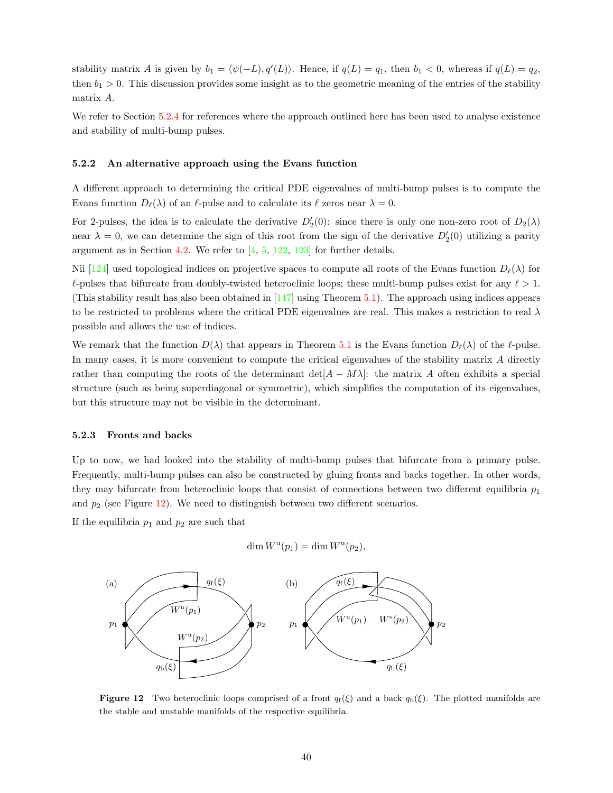stability matrix A is given by  $b_1 = \langle \psi(-L), q'(L) \rangle$ . Hence, if  $q(L) = q_1$ , then  $b_1 < 0$ , whereas if  $q(L) = q_2$ , then  $b_1 > 0$ . This discussion provides some insight as to the geometric meaning of the entries of the stability matrix A.

We refer to Section [5.2.4](#page-40-0) for references where the approach outlined here has been used to analyse existence and stability of multi-bump pulses.

#### <span id="page-39-0"></span>5.2.2 An alternative approach using the Evans function

A different approach to determining the critical PDE eigenvalues of multi-bump pulses is to compute the Evans function  $D_{\ell}(\lambda)$  of an  $\ell$ -pulse and to calculate its  $\ell$  zeros near  $\lambda = 0$ .

For 2-pulses, the idea is to calculate the derivative  $D'_2(0)$ : since there is only one non-zero root of  $D_2(\lambda)$ near  $\lambda = 0$ , we can determine the sign of this root from the sign of the derivative  $D'_2(0)$  utilizing a parity argument as in Section [4.2](#page-21-0). We refer to  $\left[4, 5, 122, 123\right]$  $\left[4, 5, 122, 123\right]$  $\left[4, 5, 122, 123\right]$  $\left[4, 5, 122, 123\right]$  $\left[4, 5, 122, 123\right]$  $\left[4, 5, 122, 123\right]$  $\left[4, 5, 122, 123\right]$  for further details.

Nii [\[124](#page-59-2)] used topological indices on projective spaces to compute all roots of the Evans function  $D_{\ell}(\lambda)$  for  $\ell$ -pulses that bifurcate from doubly-twisted heteroclinic loops; these multi-bump pulses exist for any  $\ell > 1$ . (This stability result has also been obtained in [\[147](#page-60-1)] using Theorem [5.1](#page-31-5)). The approach using indices appears to be restricted to problems where the critical PDE eigenvalues are real. This makes a restriction to real  $\lambda$ possible and allows the use of indices.

We remark that the function  $D(\lambda)$  that appears in Theorem [5.1](#page-31-5) is the Evans function  $D_{\ell}(\lambda)$  of the  $\ell$ -pulse. In many cases, it is more convenient to compute the critical eigenvalues of the stability matrix A directly rather than computing the roots of the determinant det $[A - M\lambda]$ : the matrix A often exhibits a special structure (such as being superdiagonal or symmetric), which simplifies the computation of its eigenvalues, but this structure may not be visible in the determinant.

#### <span id="page-39-1"></span>5.2.3 Fronts and backs

Up to now, we had looked into the stability of multi-bump pulses that bifurcate from a primary pulse. Frequently, multi-bump pulses can also be constructed by gluing fronts and backs together. In other words, they may bifurcate from heteroclinic loops that consist of connections between two different equilibria  $p_1$ and  $p_2$  (see Figure [12\)](#page-39-2). We need to distinguish between two different scenarios.

If the equilibria  $p_1$  and  $p_2$  are such that

<span id="page-39-2"></span>
$$
\dim W^{\mathrm{u}}(p_1) = \dim W^{\mathrm{u}}(p_2),
$$



**Figure 12** Two heteroclinic loops comprised of a front  $q_f(\xi)$  and a back  $q_b(\xi)$ . The plotted manifolds are the stable and unstable manifolds of the respective equilibria.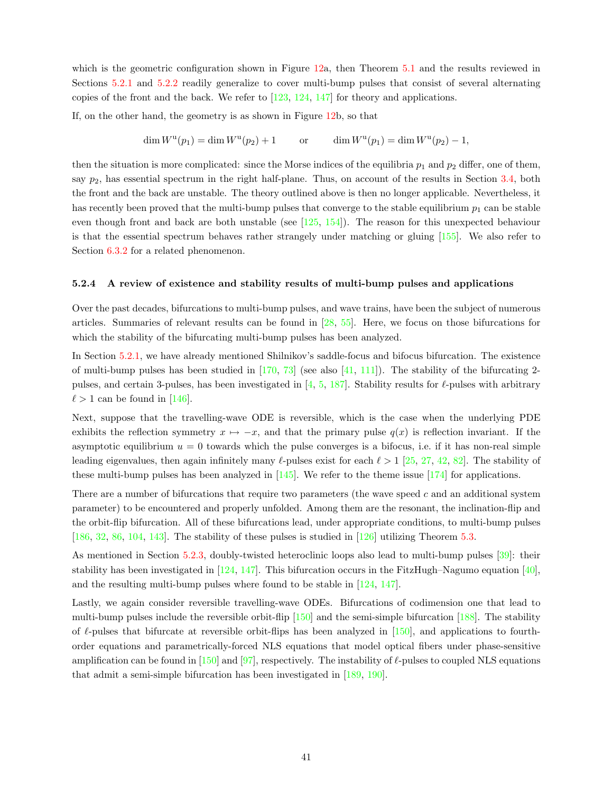which is the geometric configuration shown in Figure [12a](#page-39-2), then Theorem [5.1](#page-31-5) and the results reviewed in Sections [5.2.1](#page-36-0) and [5.2.2](#page-39-0) readily generalize to cover multi-bump pulses that consist of several alternating copies of the front and the back. We refer to [\[123,](#page-59-19) [124](#page-59-2), [147](#page-60-1)] for theory and applications.

If, on the other hand, the geometry is as shown in Figure [12b](#page-39-2), so that

$$
\dim W^{\mathrm{u}}(p_1) = \dim W^{\mathrm{u}}(p_2) + 1 \qquad \text{or} \qquad \dim W^{\mathrm{u}}(p_1) = \dim W^{\mathrm{u}}(p_2) - 1,
$$

then the situation is more complicated: since the Morse indices of the equilibria  $p_1$  and  $p_2$  differ, one of them, say  $p_2$ , has essential spectrum in the right half-plane. Thus, on account of the results in Section [3.4](#page-14-0), both the front and the back are unstable. The theory outlined above is then no longer applicable. Nevertheless, it has recently been proved that the multi-bump pulses that converge to the stable equilibrium  $p_1$  can be stable even though front and back are both unstable (see [\[125](#page-59-3), [154\]](#page-60-2)). The reason for this unexpected behaviour is that the essential spectrum behaves rather strangely under matching or gluing[[155\]](#page-60-10). We also refer to Section  $6.3.2$  for a related phenomenon.

#### <span id="page-40-0"></span>5.2.4 A review of existence and stability results of multi-bump pulses and applications

Over the past decades, bifurcations to multi-bump pulses, and wave trains, have been the subject of numerous articles. Summaries of relevant results can be found in[[28,](#page-55-13) [55\]](#page-56-7). Here, we focus on those bifurcations for which the stability of the bifurcating multi-bump pulses has been analyzed.

In Section [5.2.1,](#page-36-0) we have already mentioned Shilnikov's saddle-focus and bifocus bifurcation. The existence ofmulti-bump pulses has been studied in  $[170, 73]$  $[170, 73]$  $[170, 73]$  $[170, 73]$  $[170, 73]$  (see also  $[41, 111]$  $[41, 111]$  $[41, 111]$  $[41, 111]$  $[41, 111]$ ). The stability of the bifurcating 2pulses,and certain 3-pulses, has been investigated in  $[4, 5, 187]$  $[4, 5, 187]$  $[4, 5, 187]$  $[4, 5, 187]$  $[4, 5, 187]$  $[4, 5, 187]$  $[4, 5, 187]$ . Stability results for  $\ell$ -pulses with arbitrary  $\ell > 1$  $\ell > 1$  $\ell > 1$  can be found in [[146\]](#page-60-13).

Next, suppose that the travelling-wave ODE is reversible, which is the case when the underlying PDE exhibits the reflection symmetry  $x \mapsto -x$ , and that the primary pulse  $q(x)$  is reflection invariant. If the asymptotic equilibrium  $u = 0$  towards which the pulse converges is a bifocus, i.e. if it has non-real simple leadingeigenvalues, then again infinitely many  $\ell$ -pulses exist for each  $\ell > 1$  [[25,](#page-55-14) [27,](#page-55-15) [42,](#page-55-16) [82\]](#page-57-14). The stability of these multi-bump pulses has been analyzed in  $[145]$ . We refer to the theme issue  $[174]$  for applications.

There are a number of bifurcations that require two parameters (the wave speed c and an additional system parameter) to be encountered and properly unfolded. Among them are the resonant, the inclination-flip and the orbit-flip bifurcation. All of these bifurcations lead, under appropriate conditions, to multi-bump pulses [[186,](#page-61-15) [32,](#page-55-17) [86,](#page-57-15) [104,](#page-58-13) [143\]](#page-60-4). The stability of these pulses is studied in[[126\]](#page-59-20) utilizing Theorem [5.3](#page-35-2).

As mentioned in Section [5.2.3](#page-39-1), doubly-twisted heteroclinic loops also lead to multi-bump pulses[[39\]](#page-55-18): their stabilityhas been investigated in  $[124, 147]$  $[124, 147]$  $[124, 147]$  $[124, 147]$  $[124, 147]$ . This bifurcation occurs in the FitzHugh–Nagumo equation  $[40]$ , and the resulting multi-bump pulses where found to be stable in [\[124](#page-59-2), [147](#page-60-1)].

Lastly, we again consider reversible travelling-wave ODEs. Bifurcations of codimension one that lead to multi-bump pulses include the reversible orbit-flip [\[150](#page-60-3)] and the semi-simple bifurcation [\[188](#page-61-16)]. The stability of  $\ell$ -pulses that bifurcate at reversible orbit-flips has been analyzed in [\[150](#page-60-3)], and applications to fourthorder equations and parametrically-forced NLS equations that model optical fibers under phase-sensitive amplification can be found in [\[150](#page-60-3)]and [[97\]](#page-58-4), respectively. The instability of  $\ell$ -pulses to coupled NLS equations that admit a semi-simple bifurcation has been investigated in[[189,](#page-61-17) [190\]](#page-61-18).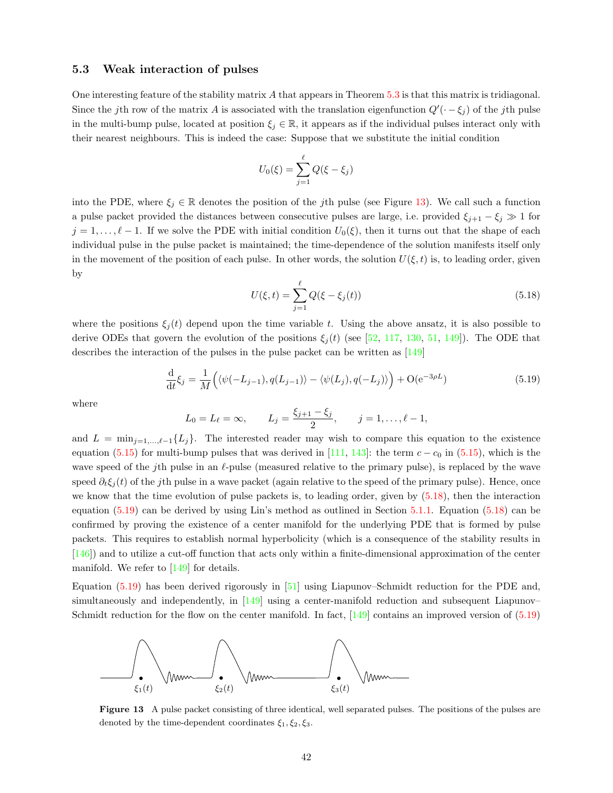#### <span id="page-41-0"></span>5.3 Weak interaction of pulses

One interesting feature of the stability matrix A that appears in Theorem [5.3](#page-35-2) is that this matrix is tridiagonal. Since the jth row of the matrix A is associated with the translation eigenfunction  $Q'(\cdot - \xi_j)$  of the jth pulse in the multi-bump pulse, located at position  $\xi_j \in \mathbb{R}$ , it appears as if the individual pulses interact only with their nearest neighbours. This is indeed the case: Suppose that we substitute the initial condition

$$
U_0(\xi) = \sum_{j=1}^{\ell} Q(\xi - \xi_j)
$$

into the PDE, where  $\xi_j \in \mathbb{R}$  denotes the position of the jth pulse (see Figure [13](#page-41-1)). We call such a function a pulse packet provided the distances between consecutive pulses are large, i.e. provided  $\xi_{j+1} - \xi_j \gg 1$  for  $j = 1, \ldots, \ell - 1$ . If we solve the PDE with initial condition  $U_0(\xi)$ , then it turns out that the shape of each individual pulse in the pulse packet is maintained; the time-dependence of the solution manifests itself only in the movement of the position of each pulse. In other words, the solution  $U(\xi, t)$  is, to leading order, given by

<span id="page-41-2"></span>
$$
U(\xi, t) = \sum_{j=1}^{\ell} Q(\xi - \xi_j(t))
$$
\n(5.18)

where the positions  $\xi_i(t)$  depend upon the time variable t. Using the above ansatz, it is also possible to derive ODEs that govern the evolution of the positions  $\xi_i(t)$  (see [\[52](#page-56-8), [117](#page-59-12), [130,](#page-59-21) [51](#page-56-9), [149\]](#page-60-18)). The ODE that describes the interaction of the pulses in the pulse packet can be written as[[149\]](#page-60-18)

<span id="page-41-3"></span>
$$
\frac{\mathrm{d}}{\mathrm{d}t}\xi_j = \frac{1}{M}\left(\langle \psi(-L_{j-1}), q(L_{j-1}) \rangle - \langle \psi(L_j), q(-L_j) \rangle \right) + \mathcal{O}(e^{-3\rho L})\tag{5.19}
$$

where

$$
L_0 = L_\ell = \infty,
$$
  $L_j = \frac{\xi_{j+1} - \xi_j}{2},$   $j = 1, ..., \ell - 1,$ 

and  $L = \min_{j=1,\ldots,\ell-1}{L_j}$ . The interested reader may wish to compare this equation to the existence equation [\(5.15](#page-37-0))for multi-bump pulses that was derived in [[111,](#page-58-12) [143\]](#page-60-4): the term  $c - c_0$  in [\(5.15\)](#page-37-0), which is the wave speed of the jth pulse in an  $\ell$ -pulse (measured relative to the primary pulse), is replaced by the wave speed  $\partial_t \xi_i(t)$  of the jth pulse in a wave packet (again relative to the speed of the primary pulse). Hence, once we know that the time evolution of pulse packets is, to leading order, given by([5.18\)](#page-41-2), then the interaction equation([5.19\)](#page-41-3) can be derived by using Lin's method as outlined in Section [5.1.1.](#page-32-0) Equation([5.18\)](#page-41-2) can be confirmed by proving the existence of a center manifold for the underlying PDE that is formed by pulse packets. This requires to establish normal hyperbolicity (which is a consequence of the stability results in [[146\]](#page-60-13)) and to utilize a cut-off function that acts only within a finite-dimensional approximation of the center manifold. We refer to [\[149](#page-60-18)] for details.

Equation([5.19\)](#page-41-3) has been derived rigorously in [\[51\]](#page-56-9) using Liapunov–Schmidt reduction for the PDE and, simultaneously and independently, in[[149\]](#page-60-18) using a center-manifold reduction and subsequent Liapunov– Schmidtreduction for the flow on the center manifold. In fact,  $\left[149\right]$  contains an improved version of  $(5.19)$ 



<span id="page-41-1"></span>Figure 13 A pulse packet consisting of three identical, well separated pulses. The positions of the pulses are denoted by the time-dependent coordinates  $\xi_1, \xi_2, \xi_3$ .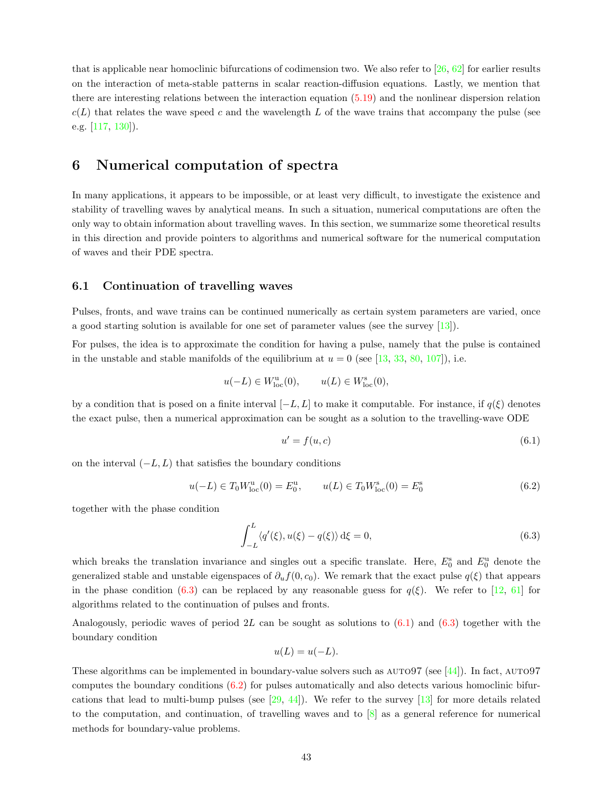that is applicable near homoclinic bifurcations of codimension two. We also refer to [\[26](#page-55-20), [62\]](#page-56-10) for earlier results on the interaction of meta-stable patterns in scalar reaction-diffusion equations. Lastly, we mention that there are interesting relations between the interaction equation [\(5.19](#page-41-3)) and the nonlinear dispersion relation  $c(L)$  that relates the wave speed c and the wavelength L of the wave trains that accompany the pulse (see e.g. [\[117,](#page-59-12) [130](#page-59-21)]).

# <span id="page-42-0"></span>6 Numerical computation of spectra

In many applications, it appears to be impossible, or at least very difficult, to investigate the existence and stability of travelling waves by analytical means. In such a situation, numerical computations are often the only way to obtain information about travelling waves. In this section, we summarize some theoretical results in this direction and provide pointers to algorithms and numerical software for the numerical computation of waves and their PDE spectra.

# <span id="page-42-1"></span>6.1 Continuation of travelling waves

Pulses, fronts, and wave trains can be continued numerically as certain system parameters are varied, once a good starting solution is available for one set of parameter values (see the survey [\[13](#page-54-9)]).

For pulses, the idea is to approximate the condition for having a pulse, namely that the pulse is contained inthe unstable and stable manifolds of the equilibrium at  $u = 0$  (see [[13,](#page-54-9) [33,](#page-55-2) [80,](#page-57-2) [107\]](#page-58-1)), i.e.

$$
u(-L) \in W^{u}_{loc}(0), \qquad u(L) \in W^{s}_{loc}(0),
$$

by a condition that is posed on a finite interval  $[-L, L]$  to make it computable. For instance, if  $q(\xi)$  denotes the exact pulse, then a numerical approximation can be sought as a solution to the travelling-wave ODE

<span id="page-42-3"></span>
$$
u' = f(u, c) \tag{6.1}
$$

on the interval  $(-L, L)$  that satisfies the boundary conditions

<span id="page-42-4"></span>
$$
u(-L) \in T_0 W^{\mathrm{u}}_{\mathrm{loc}}(0) = E_0^{\mathrm{u}}, \qquad u(L) \in T_0 W^{\mathrm{s}}_{\mathrm{loc}}(0) = E_0^{\mathrm{s}} \tag{6.2}
$$

together with the phase condition

<span id="page-42-2"></span>
$$
\int_{-L}^{L} \langle q'(\xi), u(\xi) - q(\xi) \rangle \,d\xi = 0,\tag{6.3}
$$

which breaks the translation invariance and singles out a specific translate. Here,  $E_0^s$  and  $E_0^u$  denote the generalized stable and unstable eigenspaces of  $\partial_u f(0, c_0)$ . We remark that the exact pulse  $q(\xi)$  that appears in the phase condition [\(6.3\)](#page-42-2) can be replaced by any reasonable guess for  $q(\xi)$ . We refer to [\[12](#page-54-11), [61\]](#page-56-11) for algorithms related to the continuation of pulses and fronts.

Analogously,periodic waves of period  $2L$  can be sought as solutions to  $(6.1)$  and  $(6.3)$  $(6.3)$  together with the boundary condition

$$
u(L) = u(-L).
$$

Thesealgorithms can be implemented in boundary-value solvers such as  $\text{AUTO97}$  (see [[44\]](#page-55-21)). In fact,  $\text{AUTO97}$ computes the boundary conditions  $(6.2)$  for pulses automatically and also detects various homoclinic bifurcationsthat lead to multi-bump pulses (see  $[29, 44]$  $[29, 44]$ ). We refer to the survey  $[13]$  $[13]$  for more details related to the computation, and continuation, of travelling waves and to  $\delta$  as a general reference for numerical methods for boundary-value problems.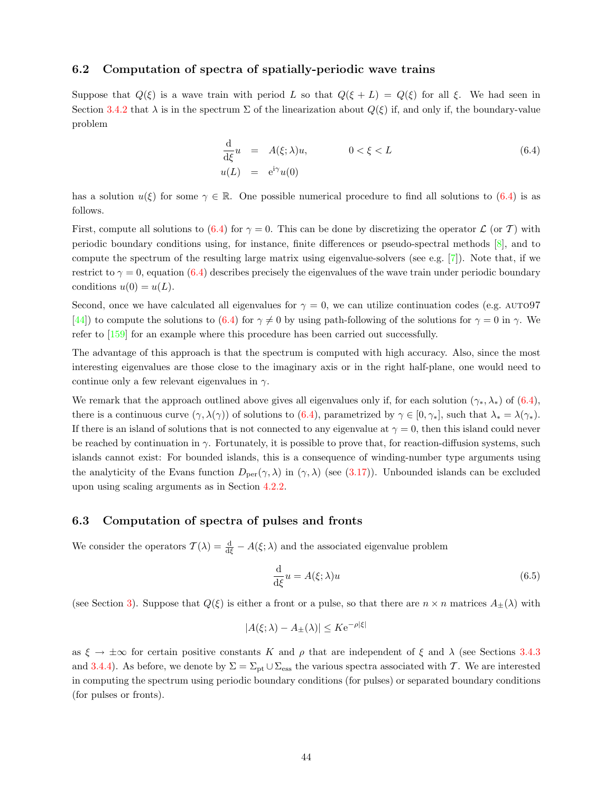# <span id="page-43-0"></span>6.2 Computation of spectra of spatially-periodic wave trains

Suppose that  $Q(\xi)$  is a wave train with period L so that  $Q(\xi + L) = Q(\xi)$  for all  $\xi$ . We had seen in Section [3.4.2](#page-15-0) that  $\lambda$  is in the spectrum  $\Sigma$  of the linearization about  $Q(\xi)$  if, and only if, the boundary-value problem

<span id="page-43-2"></span>
$$
\frac{\mathrm{d}}{\mathrm{d}\xi}u = A(\xi; \lambda)u, \qquad 0 < \xi < L
$$
\n
$$
u(L) = e^{\mathrm{i}\gamma}u(0)
$$
\n(6.4)

hasa solution  $u(\xi)$  for some  $\gamma \in \mathbb{R}$ . One possible numerical procedure to find all solutions to ([6.4](#page-43-2)) is as follows.

First,compute all solutions to ([6.4\)](#page-43-2) for  $\gamma = 0$ . This can be done by discretizing the operator  $\mathcal L$  (or T) with periodic boundary conditions using, for instance, finite differences or pseudo-spectral methods [\[8](#page-54-12)], and to compute the spectrum of the resulting large matrix using eigenvalue-solvers (see e.g. [\[7](#page-54-13)]). Note that, if we restrictto  $\gamma = 0$ , equation ([6.4](#page-43-2)) describes precisely the eigenvalues of the wave train under periodic boundary conditions  $u(0) = u(L)$ .

Second, once we have calculated all eigenvalues for  $\gamma = 0$ , we can utilize continuation codes (e.g. AUTO97 [[44\]](#page-55-21))to compute the solutions to ([6.4\)](#page-43-2) for  $\gamma \neq 0$  by using path-following of the solutions for  $\gamma = 0$  in  $\gamma$ . We refer to[[159\]](#page-60-11) for an example where this procedure has been carried out successfully.

The advantage of this approach is that the spectrum is computed with high accuracy. Also, since the most interesting eigenvalues are those close to the imaginary axis or in the right half-plane, one would need to continue only a few relevant eigenvalues in  $\gamma$ .

Weremark that the approach outlined above gives all eigenvalues only if, for each solution  $(\gamma_*, \lambda_*)$  of  $(6.4)$  $(6.4)$  $(6.4)$ , there is a continuous curve  $(\gamma, \lambda(\gamma))$  of solutions to [\(6.4\)](#page-43-2), parametrized by  $\gamma \in [0, \gamma_*]$ , such that  $\lambda_* = \lambda(\gamma_*)$ . If there is an island of solutions that is not connected to any eigenvalue at  $\gamma = 0$ , then this island could never be reached by continuation in  $\gamma$ . Fortunately, it is possible to prove that, for reaction-diffusion systems, such islands cannot exist: For bounded islands, this is a consequence of winding-number type arguments using theanalyticity of the Evans function  $D_{\text{per}}(\gamma, \lambda)$  in  $(\gamma, \lambda)$  (see ([3.17](#page-16-3))). Unbounded islands can be excluded upon using scaling arguments as in Section [4.2.2.](#page-23-1)

### <span id="page-43-1"></span>6.3 Computation of spectra of pulses and fronts

We consider the operators  $\mathcal{T}(\lambda) = \frac{d}{d\xi} - A(\xi; \lambda)$  and the associated eigenvalue problem

<span id="page-43-3"></span>
$$
\frac{\mathrm{d}}{\mathrm{d}\xi}u = A(\xi; \lambda)u\tag{6.5}
$$

(see Section [3\)](#page-7-0). Suppose that  $Q(\xi)$  is either a front or a pulse, so that there are  $n \times n$  matrices  $A_{\pm}(\lambda)$  with

$$
|A(\xi; \lambda) - A_{\pm}(\lambda)| \leq K e^{-\rho |\xi|}
$$

as  $\xi \to \pm \infty$  for certain positive constants K and  $\rho$  that are independent of  $\xi$  and  $\lambda$  (see Sections [3.4.3](#page-16-0) and [3.4.4\)](#page-18-0). As before, we denote by  $\Sigma = \Sigma_{\text{pt}} \cup \Sigma_{\text{ess}}$  the various spectra associated with T. We are interested in computing the spectrum using periodic boundary conditions (for pulses) or separated boundary conditions (for pulses or fronts).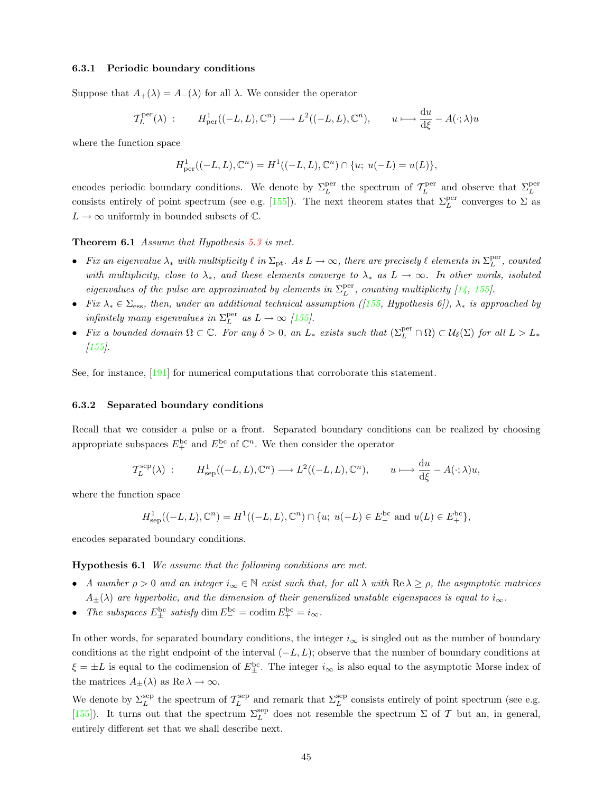#### <span id="page-44-0"></span>6.3.1 Periodic boundary conditions

Suppose that  $A_+(\lambda) = A_-(\lambda)$  for all  $\lambda$ . We consider the operator

$$
\mathcal{T}_L^{\text{per}}(\lambda) : H^1_{\text{per}}((-L, L), \mathbb{C}^n) \longrightarrow L^2((-L, L), \mathbb{C}^n), \qquad u \longmapsto \frac{\mathrm{d}u}{\mathrm{d}\xi} - A(\cdot; \lambda)u
$$

where the function space

$$
H_{\mathrm{per}}^1((-L,L),\mathbb{C}^n)=H^1((-L,L),\mathbb{C}^n)\cap \{u;\; u(-L)=u(L)\},
$$

encodes periodic boundary conditions. We denote by  $\Sigma_L^{\text{per}}$  the spectrum of  $\mathcal{T}_L^{\text{per}}$  and observe that  $\Sigma_L^{\text{per}}$ consistsentirely of point spectrum (see e.g. [[155\]](#page-60-10)). The next theorem states that  $\Sigma_L^{\text{per}}$  converges to  $\Sigma$  as  $L \to \infty$  uniformly in bounded subsets of  $\mathbb{C}$ .

#### Theorem 6.1 Assume that Hypothesis [5.3](#page-30-2) is met.

- Fix an eigenvalue  $\lambda_*$  with multiplicity  $\ell$  in  $\Sigma_{\rm pt}$ . As  $L \to \infty$ , there are precisely  $\ell$  elements in  $\Sigma_L^{\rm per}$ , counted with multiplicity, close to  $\lambda_*$ , and these elements converge to  $\lambda_*$  as  $L \to \infty$ . In other words, isolated eigenvaluesof the pulse are approximated by elements in  $\Sigma_L^{\text{per}}$ , counting multiplicity [[14,](#page-54-14) [155\]](#page-60-10).
- Fix  $\lambda_* \in \Sigma_{\text{ess}}$ , then, under an additional technical assumption ([[155,](#page-60-10) Hypothesis 6]),  $\lambda_*$  is approached by infinitely many eigenvalues in  $\Sigma_L^{\text{per}}$  as  $L \to \infty$  [\[155](#page-60-10)].
- Fix a bounded domain  $\Omega \subset \mathbb{C}$ . For any  $\delta > 0$ , an  $L_*$  exists such that  $(\Sigma_L^{\text{per}} \cap \Omega) \subset \mathcal{U}_{\delta}(\Sigma)$  for all  $L > L_*$  $[155]$  $[155]$ .

See, for instance, [\[191](#page-62-0)] for numerical computations that corroborate this statement.

#### <span id="page-44-1"></span>6.3.2 Separated boundary conditions

Recall that we consider a pulse or a front. Separated boundary conditions can be realized by choosing appropriate subspaces  $E_{+}^{\text{bc}}$  and  $E_{-}^{\text{bc}}$  of  $\mathbb{C}^{n}$ . We then consider the operator

$$
\mathcal{T}^{\rm sep}_L(\lambda) \ : \qquad H^1_{\rm sep}((-L,L),\mathbb{C}^n) \longrightarrow L^2((-L,L),\mathbb{C}^n), \qquad u \longmapsto \frac{{\rm d} u}{{\rm d}\xi} - A(\cdot;\lambda)u,
$$

where the function space

$$
H_{\rm sep}^{1}((-L,L),\mathbb{C}^{n})=H^{1}((-L,L),\mathbb{C}^{n})\cap\{u;\;u(-L)\in E_{-}^{\rm bc}\;{\rm and}\;u(L)\in E_{+}^{\rm bc}\},
$$

<span id="page-44-2"></span>encodes separated boundary conditions.

Hypothesis 6.1 We assume that the following conditions are met.

- A number  $\rho > 0$  and an integer  $i_{\infty} \in \mathbb{N}$  exist such that, for all  $\lambda$  with  $\text{Re }\lambda \geq \rho$ , the asymptotic matrices  $A_{\pm}(\lambda)$  are hyperbolic, and the dimension of their generalized unstable eigenspaces is equal to  $i_{\infty}$ .
- The subspaces  $E_{\pm}^{\text{bc}}$  satisfy dim  $E_{-}^{\text{bc}} = \text{codim } E_{+}^{\text{bc}} = i_{\infty}$ .

In other words, for separated boundary conditions, the integer  $i_{\infty}$  is singled out as the number of boundary conditions at the right endpoint of the interval  $(-L, L)$ ; observe that the number of boundary conditions at  $\xi = \pm L$  is equal to the codimension of  $E_{+}^{\text{bc}}$ . The integer  $i_{\infty}$  is also equal to the asymptotic Morse index of the matrices  $A_{\pm}(\lambda)$  as  $\text{Re }\lambda \to \infty$ .

We denote by  $\Sigma_L^{\text{sep}}$  the spectrum of  $\mathcal{T}_L^{\text{sep}}$  and remark that  $\Sigma_L^{\text{sep}}$  consists entirely of point spectrum (see e.g. [[155\]](#page-60-10)). It turns out that the spectrum  $\Sigma_L^{\text{sep}}$  does not resemble the spectrum  $\Sigma$  of  $\mathcal T$  but an, in general, entirely different set that we shall describe next.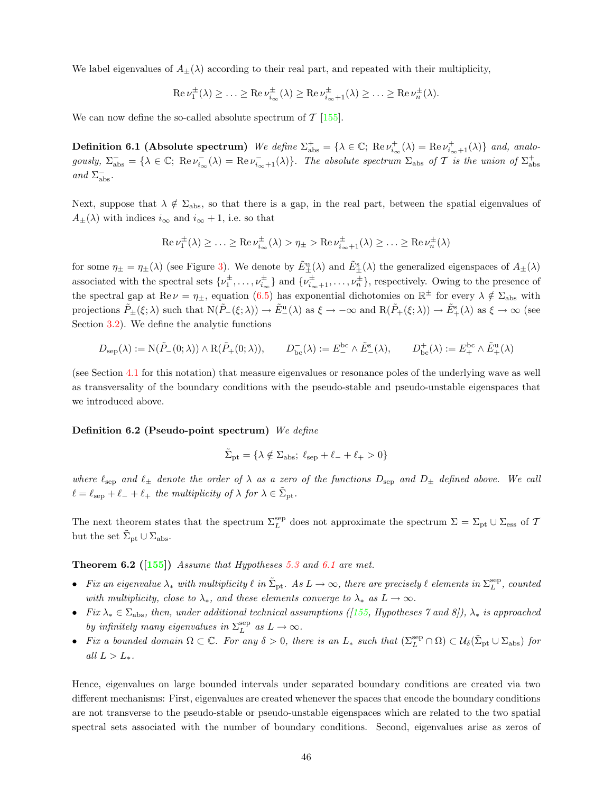We label eigenvalues of  $A_{\pm}(\lambda)$  according to their real part, and repeated with their multiplicity,

$$
\operatorname{Re}\nu_1^\pm(\lambda)\geq\ldots\geq\operatorname{Re}\nu_{i_\infty}^\pm(\lambda)\geq\operatorname{Re}\nu_{i_\infty+1}^\pm(\lambda)\geq\ldots\geq\operatorname{Re}\nu_n^\pm(\lambda).
$$

We can now define the so-called absolute spectrum of  $\mathcal{T}$  [[155\]](#page-60-10).

**Definition 6.1 (Absolute spectrum)** We define  $\Sigma_{\text{abs}}^+ = {\lambda \in \mathbb{C}}$ ; Re  $\nu_{i_{\infty}}^+(\lambda) = \text{Re } \nu_{i_{\infty}+1}^+(\lambda)}$  and, analogously,  $\Sigma_{\text{abs}}^{-} = \{ \lambda \in \mathbb{C}; \text{ Re } \nu_{i_{\infty}}^{-} \}$  $\bar{u}_{i_{\infty}}(\lambda) = \text{Re}\,\nu_{i_{\infty}+1}^{-}(\lambda)\}.$  The absolute spectrum  $\Sigma_{\text{abs}}$  of T is the union of  $\Sigma_{\text{abs}}^{+}$ and  $\Sigma_{\rm abs}^{-}$ .

Next, suppose that  $\lambda \notin \Sigma_{\text{abs}}$ , so that there is a gap, in the real part, between the spatial eigenvalues of  $A_{\pm}(\lambda)$  with indices  $i_{\infty}$  and  $i_{\infty} + 1$ , i.e. so that

$$
\operatorname{Re} \nu_1^{\pm}(\lambda) \geq \ldots \geq \operatorname{Re} \nu_{i_{\infty}}^{\pm}(\lambda) > \eta_{\pm} > \operatorname{Re} \nu_{i_{\infty}+1}^{\pm}(\lambda) \geq \ldots \geq \operatorname{Re} \nu_n^{\pm}(\lambda)
$$

for some  $\eta_{\pm} = \eta_{\pm}(\lambda)$  (see Figure [3\)](#page-11-1). We denote by  $\tilde{E}_{+}^{\text{u}}(\lambda)$  and  $\tilde{E}_{+}^{\text{s}}(\lambda)$  the generalized eigenspaces of  $A_{\pm}(\lambda)$ associated with the spectral sets  $\{\nu_1^{\pm}$  $\{\vec{v}_1^{\pm}, \ldots, \vec{v}_{i_{\infty}}^{\pm}\}\$  and  $\{\vec{v}_{i_{\infty}+1}^{\pm}, \ldots, \vec{v}_{n}^{\pm}\}\)$ , respectively. Owing to the presence of the spectral gap at  $\text{Re}\,\nu = \eta_{\pm}$ , equation [\(6.5](#page-43-3)) has exponential dichotomies on  $\mathbb{R}^{\pm}$  for every  $\lambda \notin \Sigma_{\text{abs}}$  with projections  $\tilde{P}_{\pm}(\xi;\lambda)$  such that  $N(\tilde{P}_{-}(\xi;\lambda)) \to \tilde{E}_{-}^{\mathrm{u}}(\lambda)$  as  $\xi \to -\infty$  and  $R(\tilde{P}_{+}(\xi;\lambda)) \to \tilde{E}_{+}^{\mathrm{s}}(\lambda)$  as  $\xi \to \infty$  (see Section [3.2\)](#page-8-0). We define the analytic functions

$$
D_{\mathrm{sep}}(\lambda):=\mathrm{N}(\tilde{P}_-(0;\lambda))\wedge \mathrm{R}(\tilde{P}_+(0;\lambda)),\qquad D_{\mathrm{bc}}^-(\lambda):=E_-^{\mathrm{bc}}\wedge \tilde{E}_-^{\mathrm{s}}(\lambda),\qquad D_{\mathrm{bc}}^+(\lambda):=E_+^{\mathrm{bc}}\wedge \tilde{E}_+^{\mathrm{u}}(\lambda)
$$

(see Section [4.1](#page-20-1) for this notation) that measure eigenvalues or resonance poles of the underlying wave as well as transversality of the boundary conditions with the pseudo-stable and pseudo-unstable eigenspaces that we introduced above.

Definition 6.2 (Pseudo-point spectrum) We define

$$
\tilde{\Sigma}_{\rm pt} = \{ \lambda \notin \Sigma_{\rm abs}; \ \ell_{\rm sep} + \ell_- + \ell_+ > 0 \}
$$

where  $\ell_{\text{sep}}$  and  $\ell_{\pm}$  denote the order of  $\lambda$  as a zero of the functions  $D_{\text{sep}}$  and  $D_{\pm}$  defined above. We call  $\ell = \ell_{\text{sep}} + \ell_{-} + \ell_{+}$  the multiplicity of  $\lambda$  for  $\lambda \in \tilde{\Sigma}_{\text{pt}}$ .

The next theorem states that the spectrum  $\Sigma_L^{\text{sep}}$  does not approximate the spectrum  $\Sigma = \Sigma_{\text{pt}} \cup \Sigma_{\text{ess}}$  of T but the set  $\tilde{\Sigma}_{\rm pt} \cup \Sigma_{\rm abs}$ .

**Theorem 6.2** ([[155\]](#page-60-10)) Assume that Hypotheses [5.3](#page-30-2) and [6.1](#page-44-2) are met.

- Fix an eigenvalue  $\lambda_*$  with multiplicity  $\ell$  in  $\tilde{\Sigma}_{\rm pt}$ . As  $L \to \infty$ , there are precisely  $\ell$  elements in  $\Sigma_L^{\rm sep}$ , counted with multiplicity, close to  $\lambda_*$ , and these elements converge to  $\lambda_*$  as  $L \to \infty$ .
- Fix  $\lambda_* \in \Sigma_{\text{abs}}$ , then, under additional technical assumptions ([\[155](#page-60-10), Hypotheses 7 and 8]),  $\lambda_*$  is approached by infinitely many eigenvalues in  $\Sigma_L^{\text{sep}}$  as  $L \to \infty$ .
- Fix a bounded domain  $\Omega \subset \mathbb{C}$ . For any  $\delta > 0$ , there is an  $L_*$  such that  $(\Sigma_L^{\text{sep}} \cap \Omega) \subset \mathcal{U}_{\delta}(\tilde{\Sigma}_{pt} \cup \Sigma_{\text{abs}})$  for all  $L > L_*$ .

Hence, eigenvalues on large bounded intervals under separated boundary conditions are created via two different mechanisms: First, eigenvalues are created whenever the spaces that encode the boundary conditions are not transverse to the pseudo-stable or pseudo-unstable eigenspaces which are related to the two spatial spectral sets associated with the number of boundary conditions. Second, eigenvalues arise as zeros of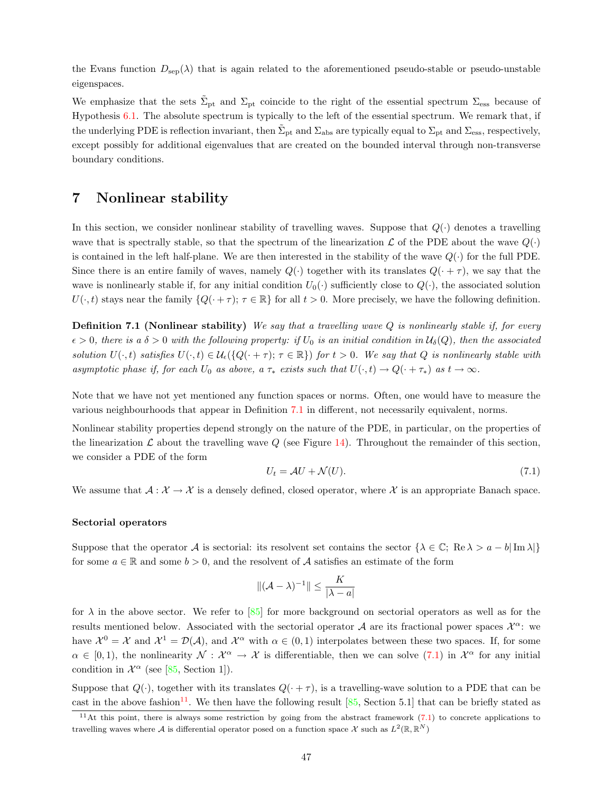the Evans function  $D_{\text{sep}}(\lambda)$  that is again related to the aforementioned pseudo-stable or pseudo-unstable eigenspaces.

We emphasize that the sets  $\tilde{\Sigma}_{pt}$  and  $\Sigma_{pt}$  coincide to the right of the essential spectrum  $\Sigma_{\rm ess}$  because of Hypothesis [6.1.](#page-44-2) The absolute spectrum is typically to the left of the essential spectrum. We remark that, if the underlying PDE is reflection invariant, then  $\tilde{\Sigma}_{pt}$  and  $\Sigma_{abs}$  are typically equal to  $\Sigma_{pt}$  and  $\Sigma_{ess}$ , respectively, except possibly for additional eigenvalues that are created on the bounded interval through non-transverse boundary conditions.

# <span id="page-46-0"></span>7 Nonlinear stability

In this section, we consider nonlinear stability of travelling waves. Suppose that  $Q(\cdot)$  denotes a travelling wave that is spectrally stable, so that the spectrum of the linearization  $\mathcal L$  of the PDE about the wave  $Q(\cdot)$ is contained in the left half-plane. We are then interested in the stability of the wave  $Q(\cdot)$  for the full PDE. Since there is an entire family of waves, namely  $Q(\cdot)$  together with its translates  $Q(\cdot + \tau)$ , we say that the wave is nonlinearly stable if, for any initial condition  $U_0(\cdot)$  sufficiently close to  $Q(\cdot)$ , the associated solution  $U(\cdot,t)$  stays near the family  ${Q(\cdot+\tau)}$ ;  $\tau \in \mathbb{R}$  for all  $t > 0$ . More precisely, we have the following definition.

<span id="page-46-1"></span>**Definition 7.1 (Nonlinear stability)** We say that a travelling wave  $Q$  is nonlinearly stable if, for every  $\epsilon > 0$ , there is a  $\delta > 0$  with the following property: if  $U_0$  is an initial condition in  $\mathcal{U}_{\delta}(Q)$ , then the associated solution  $U(\cdot,t)$  satisfies  $U(\cdot,t) \in \mathcal{U}_{\epsilon}(\{Q(\cdot+\tau); \tau \in \mathbb{R}\})$  for  $t > 0$ . We say that Q is nonlinearly stable with asymptotic phase if, for each  $U_0$  as above, a  $\tau_*$  exists such that  $U(\cdot,t) \to Q(\cdot + \tau_*)$  as  $t \to \infty$ .

Note that we have not yet mentioned any function spaces or norms. Often, one would have to measure the various neighbourhoods that appear in Definition [7.1](#page-46-1) in different, not necessarily equivalent, norms.

Nonlinear stability properties depend strongly on the nature of the PDE, in particular, on the properties of the linearization  $\mathcal L$  about the travelling wave  $Q$  (see Figure [14\)](#page-47-0). Throughout the remainder of this section, we consider a PDE of the form

<span id="page-46-2"></span>
$$
U_t = \mathcal{A}U + \mathcal{N}(U). \tag{7.1}
$$

We assume that  $\mathcal{A}: \mathcal{X} \to \mathcal{X}$  is a densely defined, closed operator, where X is an appropriate Banach space.

#### Sectorial operators

Suppose that the operator A is sectorial: its resolvent set contains the sector  $\{\lambda \in \mathbb{C}; \text{ Re }\lambda > a - b|\text{Im }\lambda\}$ for some  $a \in \mathbb{R}$  and some  $b > 0$ , and the resolvent of A satisfies an estimate of the form

$$
\|(\mathcal{A} - \lambda)^{-1}\| \le \frac{K}{|\lambda - a|}
$$

for  $\lambda$  in the above sector. We refer to [\[85](#page-57-1)] for more background on sectorial operators as well as for the results mentioned below. Associated with the sectorial operator A are its fractional power spaces  $\mathcal{X}^{\alpha}$ : we have  $\mathcal{X}^0 = \mathcal{X}$  and  $\mathcal{X}^1 = \mathcal{D}(\mathcal{A})$ , and  $\mathcal{X}^\alpha$  with  $\alpha \in (0,1)$  interpolates between these two spaces. If, for some  $\alpha \in [0,1)$ , the nonlinearity  $\mathcal{N}: \mathcal{X}^{\alpha} \to \mathcal{X}$  is differentiable, then we can solve  $(7.1)$  in  $\mathcal{X}^{\alpha}$  for any initial conditionin  $\mathcal{X}^{\alpha}$  (see [[85,](#page-57-1) Section 1]).

Suppose that  $Q(\cdot)$ , together with its translates  $Q(\cdot + \tau)$ , is a travelling-wave solution to a PDE that can be cast in the above fashion<sup>[11](#page-46-3)</sup>.We then have the following result  $[85, Section 5.1]$  $[85, Section 5.1]$  $[85, Section 5.1]$  that can be briefly stated as

<span id="page-46-3"></span><sup>&</sup>lt;sup>11</sup>Atthis point, there is always some restriction by going from the abstract framework  $(7.1)$  $(7.1)$  $(7.1)$  to concrete applications to travelling waves where A is differential operator posed on a function space X such as  $L^2(\mathbb{R}, \mathbb{R}^N)$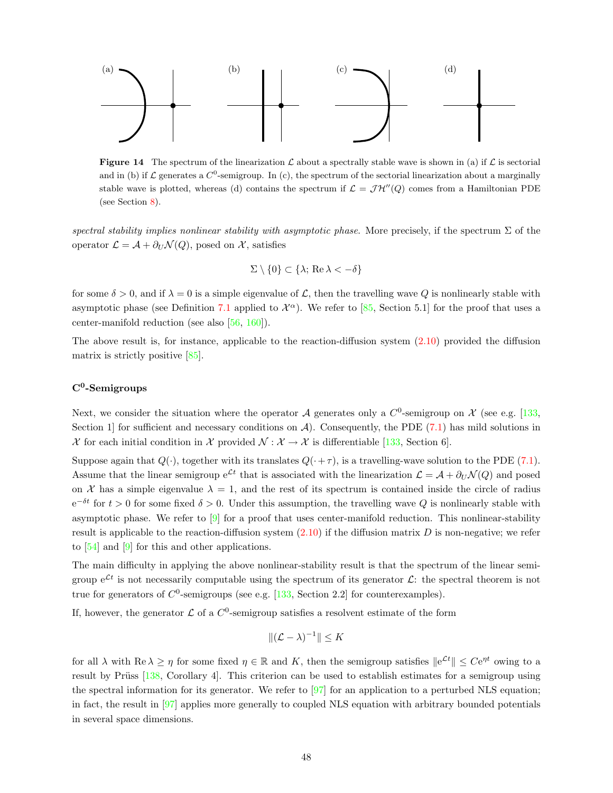

**Figure 14** The spectrum of the linearization  $\mathcal{L}$  about a spectrally stable wave is shown in (a) if  $\mathcal{L}$  is sectorial and in (b) if  $\mathcal L$  generates a  $C^0$ -semigroup. In (c), the spectrum of the sectorial linearization about a marginally stable wave is plotted, whereas (d) contains the spectrum if  $\mathcal{L} = \mathcal{JH}''(Q)$  comes from a Hamiltonian PDE (see Section [8\)](#page-48-0).

spectral stability implies nonlinear stability with asymptotic phase. More precisely, if the spectrum  $\Sigma$  of the operator  $\mathcal{L} = \mathcal{A} + \partial_U \mathcal{N}(Q)$ , posed on X, satisfies

<span id="page-47-0"></span>
$$
\Sigma \setminus \{0\} \subset \{\lambda; \text{ Re } \lambda < -\delta\}
$$

for some  $\delta > 0$ , and if  $\lambda = 0$  is a simple eigenvalue of L, then the travelling wave Q is nonlinearly stable with asymptotic phase (see Definition [7.1](#page-46-1)applied to  $\mathcal{X}^{\alpha}$ ). We refer to [[85,](#page-57-1) Section 5.1] for the proof that uses a center-manifold reduction (see also[[56,](#page-56-12) [160\]](#page-60-19)).

The above result is, for instance, applicable to the reaction-diffusion system([2.10\)](#page-5-5) provided the diffusion matrix is strictly positive [\[85](#page-57-1)].

# C<sup>0</sup>-Semigroups

Next, we consider the situation where the operator A generates only a  $C^0$ -semigroup on X (see e.g. [\[133](#page-59-1), Section 1] for sufficient and necessary conditions on  $\mathcal{A}$ ). Consequently, the PDE [\(7.1](#page-46-2)) has mild solutions in  $\mathcal X$  for each initial condition in  $\mathcal X$  provided  $\mathcal N : \mathcal X \to \mathcal X$  is differentiable [\[133,](#page-59-1) Section 6].

Supposeagain that  $Q(\cdot)$ , together with its translates  $Q(\cdot + \tau)$ , is a travelling-wave solution to the PDE ([7.1](#page-46-2)). Assume that the linear semigroup  $e^{\mathcal{L}t}$  that is associated with the linearization  $\mathcal{L} = \mathcal{A} + \partial_U \mathcal{N}(Q)$  and posed on X has a simple eigenvalue  $\lambda = 1$ , and the rest of its spectrum is contained inside the circle of radius  $e^{-\delta t}$  for  $t > 0$  for some fixed  $\delta > 0$ . Under this assumption, the travelling wave Q is nonlinearly stable with asymptotic phase. We refer to [\[9](#page-54-15)] for a proof that uses center-manifold reduction. This nonlinear-stability result is applicable to the reaction-diffusion system  $(2.10)$  if the diffusion matrix D is non-negative; we refer to[[54\]](#page-56-4) and [\[9](#page-54-15)] for this and other applications.

The main difficulty in applying the above nonlinear-stability result is that the spectrum of the linear semigroup  $e^{\mathcal{L}t}$  is not necessarily computable using the spectrum of its generator  $\mathcal{L}$ : the spectral theorem is not true for generators of  $C^0$ -semigroups (see e.g. [\[133](#page-59-1), Section 2.2] for counterexamples).

If, however, the generator  $\mathcal L$  of a  $C^0$ -semigroup satisfies a resolvent estimate of the form

$$
\|(\mathcal{L} - \lambda)^{-1}\| \leq K
$$

for all  $\lambda$  with  $\text{Re }\lambda \geq \eta$  for some fixed  $\eta \in \mathbb{R}$  and K, then the semigroup satisfies  $||e^{\mathcal{L}t}|| \leq Ce^{\eta t}$  owing to a resultby Prüss [[138,](#page-59-22) Corollary 4]. This criterion can be used to establish estimates for a semigroup using the spectral information for its generator. We refer to  $[97]$  for an application to a perturbed NLS equation; in fact, the result in[[97\]](#page-58-4) applies more generally to coupled NLS equation with arbitrary bounded potentials in several space dimensions.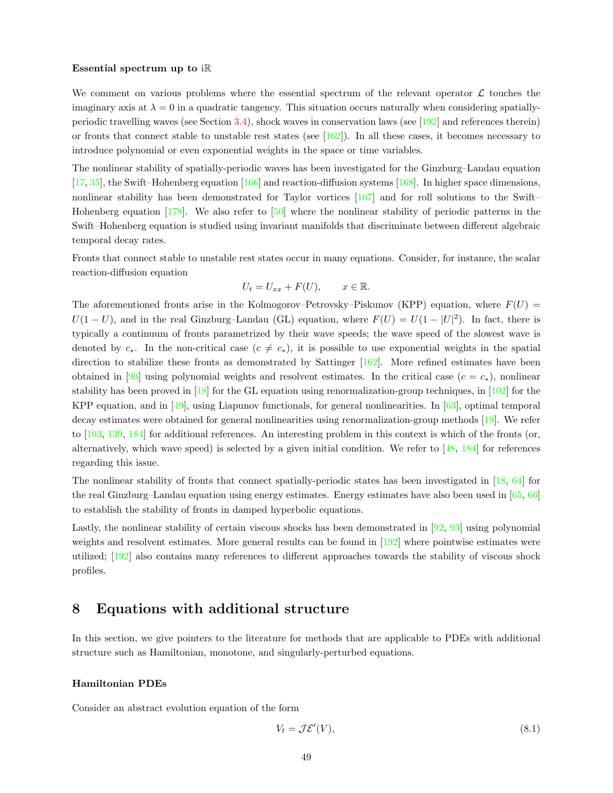#### Essential spectrum up to iR

We comment on various problems where the essential spectrum of the relevant operator  $\mathcal L$  touches the imaginary axis at  $\lambda = 0$  in a quadratic tangency. This situation occurs naturally when considering spatiallyperiodic travelling waves (see Section [3.4\)](#page-14-0), shock waves in conservation laws (see[[192](#page-62-1)] and references therein) or fronts that connect stable to unstable rest states (see[[162](#page-60-9)]). In all these cases, it becomes necessary to introduce polynomial or even exponential weights in the space or time variables.

The nonlinear stability of spatially-periodic waves has been investigated for the Ginzburg–Landau equation [[17,](#page-54-16) [35\]](#page-55-23), the Swift–Hohenberg equation [\[166](#page-60-20)] and reaction-diffusion systems [\[168](#page-61-19)]. In higher space dimensions, nonlinear stability has been demonstrated for Taylor vortices [\[167](#page-61-20)] and for roll solutions to the Swift– Hohenberg equation [\[178](#page-61-21)]. We also refer to [\[50](#page-56-13)] where the nonlinear stability of periodic patterns in the Swift–Hohenberg equation is studied using invariant manifolds that discriminate between different algebraic temporal decay rates.

Fronts that connect stable to unstable rest states occur in many equations. Consider, for instance, the scalar reaction-diffusion equation

$$
U_t = U_{xx} + F(U), \qquad x \in \mathbb{R}.
$$

The aforementioned fronts arise in the Kolmogorov–Petrovsky–Piskunov (KPP) equation, where  $F(U)$  =  $U(1-U)$ , and in the real Ginzburg–Landau (GL) equation, where  $F(U) = U(1-|U|^2)$ . In fact, there is typically a continuum of fronts parametrized by their wave speeds; the wave speed of the slowest wave is denoted by  $c_*$ . In the non-critical case  $(c \neq c_*)$ , it is possible to use exponential weights in the spatial direction to stabilize these fronts as demonstrated by Sattinger  $[162]$ . More refined estimates have been obtained in [\[93](#page-58-14)] using polynomial weights and resolvent estimates. In the critical case  $(c = c_*)$ , nonlinear stability has been proved in[[18\]](#page-54-17) for the GL equation using renormalization-group techniques, in[[102\]](#page-58-15) for the KPP equation, and in[[49\]](#page-56-14), using Liapunov functionals, for general nonlinearities. In[[63\]](#page-56-15), optimal temporal decay estimates were obtained for general nonlinearities using renormalization-group methods[[19\]](#page-55-24). We refer to[[103,](#page-58-16) [139,](#page-59-23) [184](#page-61-5)] for additional references. An interesting problem in this context is which of the fronts (or, alternatively, which wave speed) is selected by a given initial condition. We refer to[[48,](#page-56-16) [184\]](#page-61-5) for references regarding this issue.

The nonlinear stability of fronts that connect spatially-periodic states has been investigated in [\[18](#page-54-17), [64\]](#page-56-17) for the real Ginzburg–Landau equation using energy estimates. Energy estimates have also been used in[[65,](#page-56-18) [66](#page-56-19)] to establish the stability of fronts in damped hyperbolic equations.

Lastly, the nonlinear stability of certain viscous shocks has been demonstrated in  $[92, 93]$  $[92, 93]$  using polynomial weightsand resolvent estimates. More general results can be found in [[192](#page-62-1)] where pointwise estimates were utilized;[[192\]](#page-62-1) also contains many references to different approaches towards the stability of viscous shock profiles.

# <span id="page-48-0"></span>8 Equations with additional structure

In this section, we give pointers to the literature for methods that are applicable to PDEs with additional structure such as Hamiltonian, monotone, and singularly-perturbed equations.

#### Hamiltonian PDEs

Consider an abstract evolution equation of the form

<span id="page-48-1"></span>
$$
V_t = \mathcal{J}\mathcal{E}'(V),\tag{8.1}
$$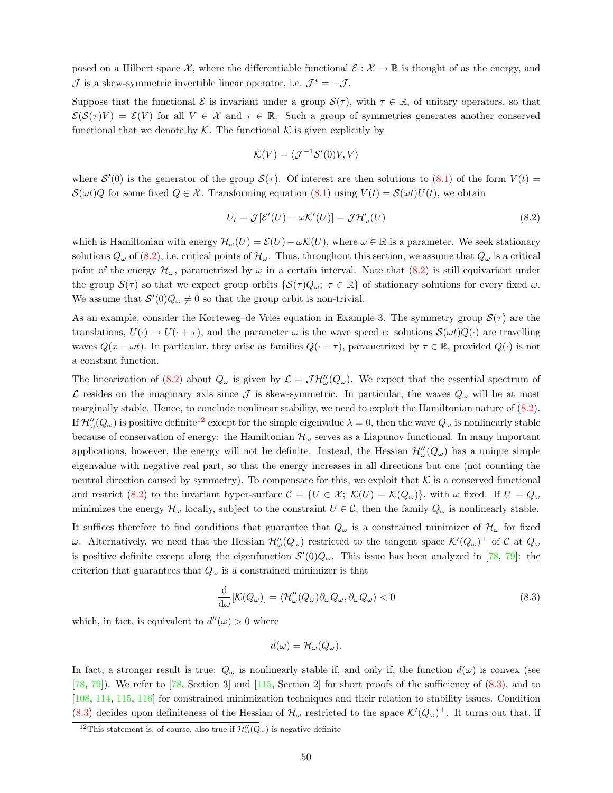posed on a Hilbert space X, where the differentiable functional  $\mathcal{E}: \mathcal{X} \to \mathbb{R}$  is thought of as the energy, and  $\mathcal J$  is a skew-symmetric invertible linear operator, i.e.  $\mathcal J^* = -\mathcal J$ .

Suppose that the functional  $\mathcal E$  is invariant under a group  $\mathcal S(\tau)$ , with  $\tau \in \mathbb R$ , of unitary operators, so that  $\mathcal{E}(\mathcal{S}(\tau)V) = \mathcal{E}(V)$  for all  $V \in \mathcal{X}$  and  $\tau \in \mathbb{R}$ . Such a group of symmetries generates another conserved functional that we denote by  $\mathcal K$ . The functional  $\mathcal K$  is given explicitly by

$$
\mathcal{K}(V) = \langle \mathcal{J}^{-1} \mathcal{S}'(0) V, V \rangle
$$

where $\mathcal{S}'(0)$  is the generator of the group  $\mathcal{S}(\tau)$ . Of interest are then solutions to  $(8.1)$  $(8.1)$  of the form  $V(t)$  $\mathcal{S}(\omega t)Q$  for some fixed  $Q \in \mathcal{X}$ . Transforming equation [\(8.1\)](#page-48-1) using  $V(t) = \mathcal{S}(\omega t)U(t)$ , we obtain

<span id="page-49-0"></span>
$$
U_t = \mathcal{J}[\mathcal{E}'(U) - \omega \mathcal{K}'(U)] = \mathcal{J} \mathcal{H}'_{\omega}(U)
$$
\n(8.2)

which is Hamiltonian with energy  $\mathcal{H}_{\omega}(U) = \mathcal{E}(U) - \omega \mathcal{K}(U)$ , where  $\omega \in \mathbb{R}$  is a parameter. We seek stationary solutions $Q_\omega$  of ([8.2\)](#page-49-0), i.e. critical points of  $\mathcal{H}_\omega$ . Thus, throughout this section, we assume that  $Q_\omega$  is a critical point of the energy  $\mathcal{H}_{\omega}$ , parametrized by  $\omega$  in a certain interval. Note that  $(8.2)$  is still equivariant under the group  $S(\tau)$  so that we expect group orbits  $\{S(\tau)Q_{\omega}; \tau \in \mathbb{R}\}\)$  of stationary solutions for every fixed  $\omega$ . We assume that  $S'(0)Q_{\omega}\neq 0$  so that the group orbit is non-trivial.

As an example, consider the Korteweg–de Vries equation in Example 3. The symmetry group  $\mathcal{S}(\tau)$  are the translations,  $U(\cdot) \mapsto U(\cdot + \tau)$ , and the parameter  $\omega$  is the wave speed c: solutions  $\mathcal{S}(\omega t)Q(\cdot)$  are travelling waves  $Q(x - \omega t)$ . In particular, they arise as families  $Q(\cdot + \tau)$ , parametrized by  $\tau \in \mathbb{R}$ , provided  $Q(\cdot)$  is not a constant function.

The linearization of [\(8.2\)](#page-49-0) about  $Q_{\omega}$  is given by  $\mathcal{L} = \mathcal{JH}''_{\omega}(Q_{\omega})$ . We expect that the essential spectrum of L resides on the imaginary axis since J is skew-symmetric. In particular, the waves  $Q_{\omega}$  will be at most marginally stable. Hence, to conclude nonlinear stability, we need to exploit the Hamiltonian nature of([8.2](#page-49-0)). If  $\mathcal{H}''_\omega(Q_\omega)$  is positive definite<sup>[12](#page-49-1)</sup> except for the simple eigenvalue  $\lambda = 0$ , then the wave  $Q_\omega$  is nonlinearly stable because of conservation of energy: the Hamiltonian  $\mathcal{H}_{\omega}$  serves as a Liapunov functional. In many important applications, however, the energy will not be definite. Instead, the Hessian  $\mathcal{H}''_{\omega}(Q_{\omega})$  has a unique simple eigenvalue with negative real part, so that the energy increases in all directions but one (not counting the neutral direction caused by symmetry). To compensate for this, we exploit that  $K$  is a conserved functional andrestrict ([8.2](#page-49-0)) to the invariant hyper-surface  $\mathcal{C} = \{U \in \mathcal{X}; \ \mathcal{K}(U) = \mathcal{K}(Q_{\omega})\}\,$ , with  $\omega$  fixed. If  $U = Q_{\omega}$ minimizes the energy  $\mathcal{H}_{\omega}$  locally, subject to the constraint  $U \in \mathcal{C}$ , then the family  $Q_{\omega}$  is nonlinearly stable.

It suffices therefore to find conditions that guarantee that  $Q_{\omega}$  is a constrained minimizer of  $\mathcal{H}_{\omega}$  for fixed ω. Alternatively, we need that the Hessian  $\mathcal{H}''_{\omega}(Q_{\omega})$  restricted to the tangent space  $\mathcal{K}'(Q_{\omega})^{\perp}$  of C at  $Q_{\omega}$ is positive definite except along the eigenfunction  $S'(0)Q_\omega$ . This issue has been analyzed in [\[78](#page-57-16), [79\]](#page-57-17): the criterion that guarantees that  $Q_{\omega}$  is a constrained minimizer is that

<span id="page-49-2"></span>
$$
\frac{\mathrm{d}}{\mathrm{d}\omega}[\mathcal{K}(Q_{\omega})] = \langle \mathcal{H}_{\omega}''(Q_{\omega})\partial_{\omega}Q_{\omega}, \partial_{\omega}Q_{\omega} \rangle < 0 \tag{8.3}
$$

which, in fact, is equivalent to  $d''(\omega) > 0$  where

$$
d(\omega) = \mathcal{H}_{\omega}(Q_{\omega}).
$$

In fact, a stronger result is true:  $Q_{\omega}$  is nonlinearly stable if, and only if, the function  $d(\omega)$  is convex (see [[78,](#page-57-16) [79](#page-57-17)]). We refer to [\[78](#page-57-16), Section 3] and[[115,](#page-58-18) Section 2] for short proofs of the sufficiency of([8.3](#page-49-2)), and to [[108,](#page-58-19) [114,](#page-58-20) [115](#page-58-18), [116](#page-58-21)] for constrained minimization techniques and their relation to stability issues. Condition ([8.3\)](#page-49-2) decides upon definiteness of the Hessian of  $\mathcal{H}_{\omega}$  restricted to the space  $\mathcal{K}'(Q_{\omega})^{\perp}$ . It turns out that, if

<span id="page-49-1"></span><sup>&</sup>lt;sup>12</sup>This statement is, of course, also true if  $\mathcal{H}''_{\omega}(Q_{\omega})$  is negative definite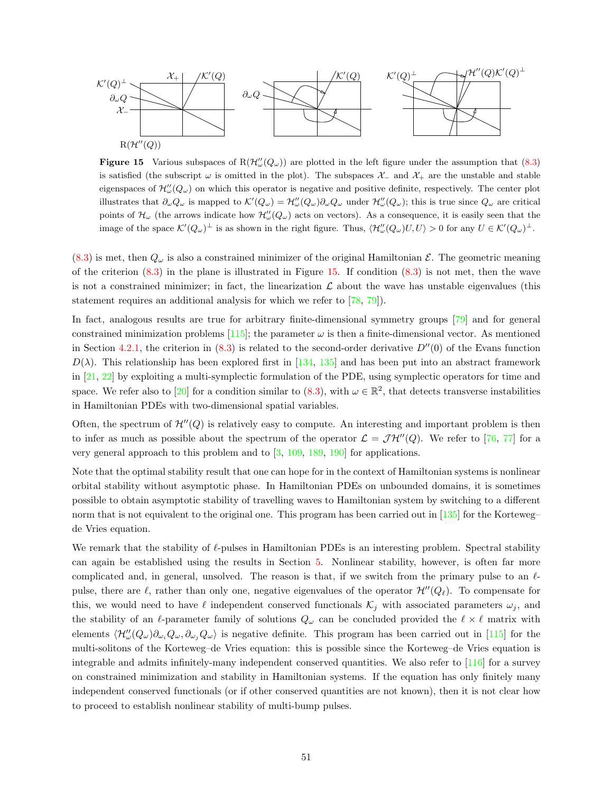

<span id="page-50-0"></span>**Figure15** Various subspaces of  $R(\mathcal{H}_{\omega}''(Q_{\omega}))$  are plotted in the left figure under the assumption that ([8.3](#page-49-2)) is satisfied (the subscript  $\omega$  is omitted in the plot). The subspaces  $\mathcal{X}_-$  and  $\mathcal{X}_+$  are the unstable and stable eigenspaces of  $\mathcal{H}''_{\omega}(Q_{\omega})$  on which this operator is negative and positive definite, respectively. The center plot illustrates that  $\partial_{\omega}Q_{\omega}$  is mapped to  $\mathcal{K}'(Q_{\omega}) = \mathcal{H}''_{\omega}(Q_{\omega})\partial_{\omega}Q_{\omega}$  under  $\mathcal{H}''_{\omega}(Q_{\omega})$ ; this is true since  $Q_{\omega}$  are critical points of  $\mathcal{H}_{\omega}$  (the arrows indicate how  $\mathcal{H}_{\omega}''(Q_{\omega})$  acts on vectors). As a consequence, it is easily seen that the image of the space  $\mathcal{K}'(Q_{\omega})^{\perp}$  is as shown in the right figure. Thus,  $\langle \mathcal{H}''_{\omega}(Q_{\omega})U, U \rangle > 0$  for any  $U \in \mathcal{K}'(Q_{\omega})^{\perp}$ .

 $(8.3)$  $(8.3)$  is met, then  $Q_{\omega}$  is also a constrained minimizer of the original Hamiltonian  $\mathcal{E}$ . The geometric meaning ofthe criterion  $(8.3)$  $(8.3)$  in the plane is illustrated in Figure [15](#page-50-0). If condition  $(8.3)$  is not met, then the wave is not a constrained minimizer; in fact, the linearization  $\mathcal L$  about the wave has unstable eigenvalues (this statement requires an additional analysis for which we refer to [\[78](#page-57-16), [79](#page-57-17)]).

In fact, analogous results are true for arbitrary finite-dimensional symmetry groups[[79\]](#page-57-17) and for general constrainedminimization problems [[115\]](#page-58-18); the parameter  $\omega$  is then a finite-dimensional vector. As mentioned in Section [4.2.1](#page-23-0),the criterion in  $(8.3)$  $(8.3)$  $(8.3)$  is related to the second-order derivative  $D''(0)$  of the Evans function  $D(\lambda)$ .This relationship has been explored first in [[134,](#page-59-5) [135](#page-59-6)] and has been put into an abstract framework in [\[21](#page-55-9), [22\]](#page-55-10) by exploiting a multi-symplectic formulation of the PDE, using symplectic operators for time and space. We refer also to [\[20](#page-55-25)] for a condition similar to [\(8.3\)](#page-49-2), with  $\omega \in \mathbb{R}^2$ , that detects transverse instabilities in Hamiltonian PDEs with two-dimensional spatial variables.

Often, the spectrum of  $\mathcal{H}^{\prime\prime}(Q)$  is relatively easy to compute. An interesting and important problem is then toinfer as much as possible about the spectrum of the operator  $\mathcal{L} = \mathcal{JH}''(Q)$ . We refer to [[76,](#page-57-18) [77\]](#page-57-19) for a very general approach to this problem and to[[3,](#page-54-1) [109,](#page-58-22) [189,](#page-61-17) [190\]](#page-61-18) for applications.

Note that the optimal stability result that one can hope for in the context of Hamiltonian systems is nonlinear orbital stability without asymptotic phase. In Hamiltonian PDEs on unbounded domains, it is sometimes possible to obtain asymptotic stability of travelling waves to Hamiltonian system by switching to a different norm that is not equivalent to the original one. This program has been carried out in [\[135](#page-59-6)] for the Korteweg– de Vries equation.

We remark that the stability of  $\ell$ -pulses in Hamiltonian PDEs is an interesting problem. Spectral stability can again be established using the results in Section [5](#page-28-0). Nonlinear stability, however, is often far more complicated and, in general, unsolved. The reason is that, if we switch from the primary pulse to an  $\ell$ pulse, there are  $\ell$ , rather than only one, negative eigenvalues of the operator  $\mathcal{H}''(Q_\ell)$ . To compensate for this, we would need to have  $\ell$  independent conserved functionals  $\mathcal{K}_j$  with associated parameters  $\omega_j$ , and the stability of an  $\ell$ -parameter family of solutions  $Q_\omega$  can be concluded provided the  $\ell \times \ell$  matrix with elements  $\langle \mathcal{H}_{\omega}''(Q_{\omega})\partial_{\omega_i}Q_{\omega}, \partial_{\omega_j}Q_{\omega}\rangle$  is negative definite. This program has been carried out in [\[115](#page-58-18)] for the multi-solitons of the Korteweg–de Vries equation: this is possible since the Korteweg–de Vries equation is integrable and admits infinitely-many independent conserved quantities. We also refer to [\[116](#page-58-21)] for a survey on constrained minimization and stability in Hamiltonian systems. If the equation has only finitely many independent conserved functionals (or if other conserved quantities are not known), then it is not clear how to proceed to establish nonlinear stability of multi-bump pulses.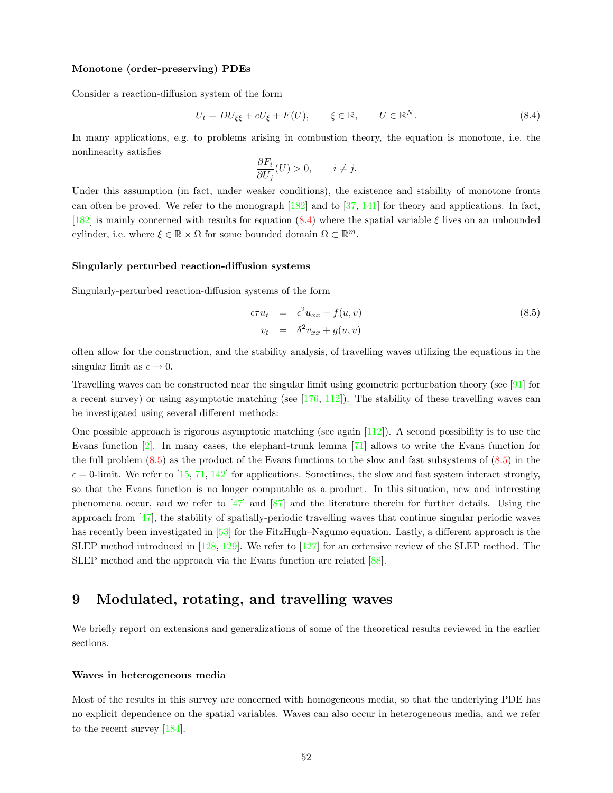#### Monotone (order-preserving) PDEs

Consider a reaction-diffusion system of the form

<span id="page-51-1"></span>
$$
U_t = DU_{\xi\xi} + cU_{\xi} + F(U), \qquad \xi \in \mathbb{R}, \qquad U \in \mathbb{R}^N. \tag{8.4}
$$

In many applications, e.g. to problems arising in combustion theory, the equation is monotone, i.e. the nonlinearity satisfies

$$
\frac{\partial F_i}{\partial U_j}(U) > 0, \qquad i \neq j.
$$

Under this assumption (in fact, under weaker conditions), the existence and stability of monotone fronts canoften be proved. We refer to the monograph  $[182]$  and to  $[37, 141]$  $[37, 141]$  $[37, 141]$  $[37, 141]$  for theory and applications. In fact, [[182\]](#page-61-0)is mainly concerned with results for equation ([8.4\)](#page-51-1) where the spatial variable  $\xi$  lives on an unbounded cylinder, i.e. where  $\xi \in \mathbb{R} \times \Omega$  for some bounded domain  $\Omega \subset \mathbb{R}^m$ .

#### Singularly perturbed reaction-diffusion systems

Singularly-perturbed reaction-diffusion systems of the form

<span id="page-51-2"></span>
$$
\epsilon \tau u_t = \epsilon^2 u_{xx} + f(u, v) \n v_t = \delta^2 v_{xx} + g(u, v)
$$
\n(8.5)

often allow for the construction, and the stability analysis, of travelling waves utilizing the equations in the singular limit as  $\epsilon \to 0$ .

Travelling waves can be constructed near the singular limit using geometric perturbation theory (see [\[91](#page-57-3)] for arecent survey) or using asymptotic matching (see  $[176, 112]$  $[176, 112]$  $[176, 112]$  $[176, 112]$ ). The stability of these travelling waves can be investigated using several different methods:

One possible approach is rigorous asymptotic matching (see again[[112\]](#page-58-7)). A second possibility is to use the Evans function[[2\]](#page-54-4). In many cases, the elephant-trunk lemma[[71\]](#page-57-10) allows to write the Evans function for the full problem [\(8.5](#page-51-2)) as the product of the Evans functions to the slow and fast subsystems of([8.5](#page-51-2)) in the  $\epsilon = 0$ -limit. We refer to [\[15](#page-54-6), [71,](#page-57-10) [142\]](#page-60-12) for applications. Sometimes, the slow and fast system interact strongly, so that the Evans function is no longer computable as a product. In this situation, new and interesting phenomenaoccur, and we refer to  $\left[47\right]$  and  $\left[87\right]$  and the literature therein for further details. Using the approach from [\[47](#page-56-2)], the stability of spatially-periodic travelling waves that continue singular periodic waves has recently been investigated in [\[53](#page-56-1)] for the FitzHugh–Nagumo equation. Lastly, a different approach is the SLEP method introduced in[[128,](#page-59-16) [129\]](#page-59-17). We refer to[[127\]](#page-59-15) for an extensive review of the SLEP method. The SLEP method and the approach via the Evans function are related[[88\]](#page-57-9).

# <span id="page-51-0"></span>9 Modulated, rotating, and travelling waves

We briefly report on extensions and generalizations of some of the theoretical results reviewed in the earlier sections.

#### Waves in heterogeneous media

Most of the results in this survey are concerned with homogeneous media, so that the underlying PDE has no explicit dependence on the spatial variables. Waves can also occur in heterogeneous media, and we refer to the recent survey [\[184](#page-61-5)].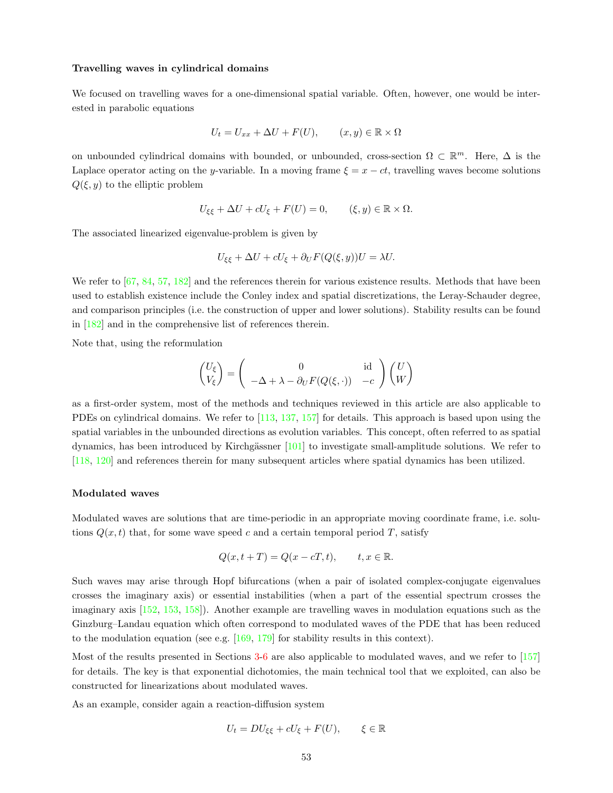#### Travelling waves in cylindrical domains

We focused on travelling waves for a one-dimensional spatial variable. Often, however, one would be interested in parabolic equations

$$
U_t = U_{xx} + \Delta U + F(U), \qquad (x, y) \in \mathbb{R} \times \Omega
$$

on unbounded cylindrical domains with bounded, or unbounded, cross-section  $\Omega \subset \mathbb{R}^m$ . Here,  $\Delta$  is the Laplace operator acting on the y-variable. In a moving frame  $\xi = x - ct$ , travelling waves become solutions  $Q(\xi, y)$  to the elliptic problem

$$
U_{\xi\xi} + \Delta U + cU_{\xi} + F(U) = 0, \qquad (\xi, y) \in \mathbb{R} \times \Omega.
$$

The associated linearized eigenvalue-problem is given by

$$
U_{\xi\xi} + \Delta U + cU_{\xi} + \partial_U F(Q(\xi, y))U = \lambda U.
$$

We refer to  $[67, 84, 57, 182]$  $[67, 84, 57, 182]$  $[67, 84, 57, 182]$  $[67, 84, 57, 182]$  $[67, 84, 57, 182]$  $[67, 84, 57, 182]$  $[67, 84, 57, 182]$  and the references therein for various existence results. Methods that have been used to establish existence include the Conley index and spatial discretizations, the Leray-Schauder degree, and comparison principles (i.e. the construction of upper and lower solutions). Stability results can be found in [\[182](#page-61-0)] and in the comprehensive list of references therein.

Note that, using the reformulation

$$
\begin{pmatrix} U_{\xi} \\ V_{\xi} \end{pmatrix} = \begin{pmatrix} 0 & \text{id} \\ -\Delta + \lambda - \partial_U F(Q(\xi, \cdot)) & -c \end{pmatrix} \begin{pmatrix} U \\ W \end{pmatrix}
$$

as a first-order system, most of the methods and techniques reviewed in this article are also applicable to PDEs on cylindrical domains. We refer to[[113,](#page-58-23) [137,](#page-59-7) [157](#page-60-6)] for details. This approach is based upon using the spatial variables in the unbounded directions as evolution variables. This concept, often referred to as spatial dynamics, has been introduced by Kirchgässner  $[101]$  to investigate small-amplitude solutions. We refer to [[118,](#page-59-10) [120\]](#page-59-24) and references therein for many subsequent articles where spatial dynamics has been utilized.

# Modulated waves

Modulated waves are solutions that are time-periodic in an appropriate moving coordinate frame, i.e. solutions  $Q(x, t)$  that, for some wave speed c and a certain temporal period T, satisfy

$$
Q(x, t+T) = Q(x - cT, t), \qquad t, x \in \mathbb{R}.
$$

Such waves may arise through Hopf bifurcations (when a pair of isolated complex-conjugate eigenvalues crosses the imaginary axis) or essential instabilities (when a part of the essential spectrum crosses the imaginary axis [\[152](#page-60-21), [153](#page-60-5), [158](#page-60-22)]). Another example are travelling waves in modulation equations such as the Ginzburg–Landau equation which often correspond to modulated waves of the PDE that has been reduced tothe modulation equation (see e.g.  $[169, 179]$  $[169, 179]$  $[169, 179]$  $[169, 179]$  for stability results in this context).

Most of the results presented in Sections [3](#page-7-0)-[6](#page-42-0) are also applicable to modulated waves, and we refer to [\[157](#page-60-6)] for details. The key is that exponential dichotomies, the main technical tool that we exploited, can also be constructed for linearizations about modulated waves.

As an example, consider again a reaction-diffusion system

$$
U_t = DU_{\xi\xi} + cU_{\xi} + F(U), \qquad \xi \in \mathbb{R}
$$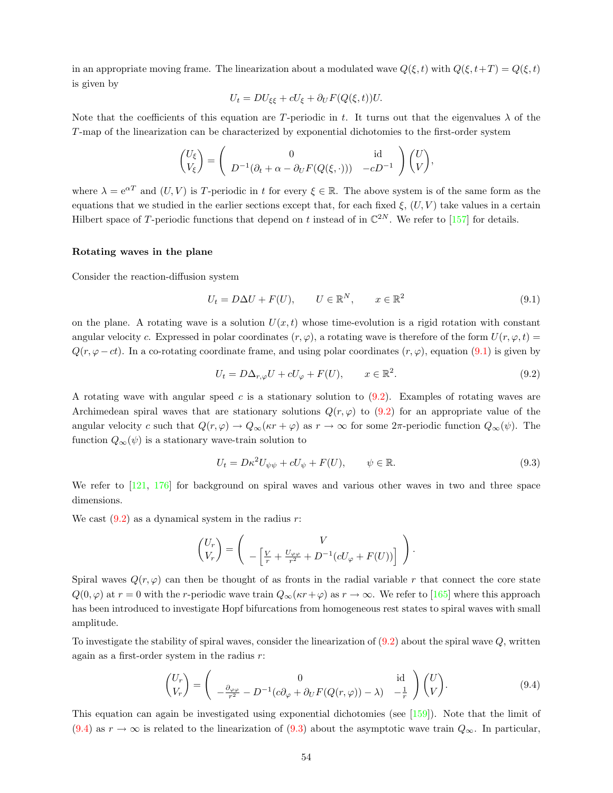in an appropriate moving frame. The linearization about a modulated wave  $Q(\xi, t)$  with  $Q(\xi, t+T) = Q(\xi, t)$ is given by

$$
U_t = DU_{\xi\xi} + cU_{\xi} + \partial_U F(Q(\xi, t))U.
$$

Note that the coefficients of this equation are T-periodic in t. It turns out that the eigenvalues  $\lambda$  of the T-map of the linearization can be characterized by exponential dichotomies to the first-order system

$$
\begin{pmatrix} U_{\xi} \\ V_{\xi} \end{pmatrix} = \begin{pmatrix} 0 & \text{id} \\ D^{-1}(\partial_t + \alpha - \partial_U F(Q(\xi, \cdot))) & -cD^{-1} \end{pmatrix} \begin{pmatrix} U \\ V \end{pmatrix},
$$

where  $\lambda = e^{\alpha T}$  and  $(U, V)$  is T-periodic in t for every  $\xi \in \mathbb{R}$ . The above system is of the same form as the equations that we studied in the earlier sections except that, for each fixed  $\xi$ ,  $(U, V)$  take values in a certain Hilbert space of T-periodic functions that depend on t instead of in  $\mathbb{C}^{2N}$ . We refer to [\[157](#page-60-6)] for details.

#### Rotating waves in the plane

Consider the reaction-diffusion system

<span id="page-53-0"></span>
$$
U_t = D\Delta U + F(U), \qquad U \in \mathbb{R}^N, \qquad x \in \mathbb{R}^2 \tag{9.1}
$$

on the plane. A rotating wave is a solution  $U(x, t)$  whose time-evolution is a rigid rotation with constant angular velocity c. Expressed in polar coordinates  $(r, \varphi)$ , a rotating wave is therefore of the form  $U(r, \varphi, t)$  =  $Q(r, \varphi - ct)$ . In a co-rotating coordinate frame, and using polar coordinates  $(r, \varphi)$ , equation [\(9.1](#page-53-0)) is given by

<span id="page-53-1"></span>
$$
U_t = D\Delta_{r,\varphi} U + cU_{\varphi} + F(U), \qquad x \in \mathbb{R}^2.
$$
\n(9.2)

Arotating wave with angular speed c is a stationary solution to  $(9.2)$  $(9.2)$ . Examples of rotating waves are Archimedeanspiral waves that are stationary solutions  $Q(r, \varphi)$  to ([9.2\)](#page-53-1) for an appropriate value of the angular velocity c such that  $Q(r, \varphi) \to Q_{\infty}(\kappa r + \varphi)$  as  $r \to \infty$  for some  $2\pi$ -periodic function  $Q_{\infty}(\psi)$ . The function  $Q_{\infty}(\psi)$  is a stationary wave-train solution to

<span id="page-53-3"></span>
$$
U_t = D\kappa^2 U_{\psi\psi} + cU_{\psi} + F(U), \qquad \psi \in \mathbb{R}.
$$
\n(9.3)

We refer to [\[121](#page-59-0), [176\]](#page-61-6) for background on spiral waves and various other waves in two and three space dimensions.

Wecast  $(9.2)$  $(9.2)$  $(9.2)$  as a dynamical system in the radius r:

$$
\begin{pmatrix} U_r \\ V_r \end{pmatrix} = \begin{pmatrix} V \\ -\left[\frac{V}{r} + \frac{U_{\varphi\varphi}}{r^2} + D^{-1}(cU_{\varphi} + F(U))\right] \end{pmatrix}.
$$

Spiral waves  $Q(r, \varphi)$  can then be thought of as fronts in the radial variable r that connect the core state  $Q(0, \varphi)$  $Q(0, \varphi)$  $Q(0, \varphi)$  at  $r = 0$  with the r-periodic wave train  $Q_{\infty}(\kappa r + \varphi)$  as  $r \to \infty$ . We refer to [[165\]](#page-60-23) where this approach has been introduced to investigate Hopf bifurcations from homogeneous rest states to spiral waves with small amplitude.

Toinvestigate the stability of spiral waves, consider the linearization of  $(9.2)$  $(9.2)$  $(9.2)$  about the spiral wave  $Q$ , written again as a first-order system in the radius  $r$ :

<span id="page-53-2"></span>
$$
\begin{pmatrix} U_r \\ V_r \end{pmatrix} = \begin{pmatrix} 0 & \text{id} \\ -\frac{\partial_{\varphi\varphi}}{r^2} - D^{-1}(c\partial_{\varphi} + \partial_U F(Q(r,\varphi)) - \lambda) & -\frac{1}{r} \end{pmatrix} \begin{pmatrix} U \\ V \end{pmatrix}.
$$
 (9.4)

This equation can again be investigated using exponential dichotomies (see [\[159](#page-60-11)]). Note that the limit of ([9.4\)](#page-53-2) as  $r \to \infty$  is related to the linearization of [\(9.3\)](#page-53-3) about the asymptotic wave train  $Q_{\infty}$ . In particular,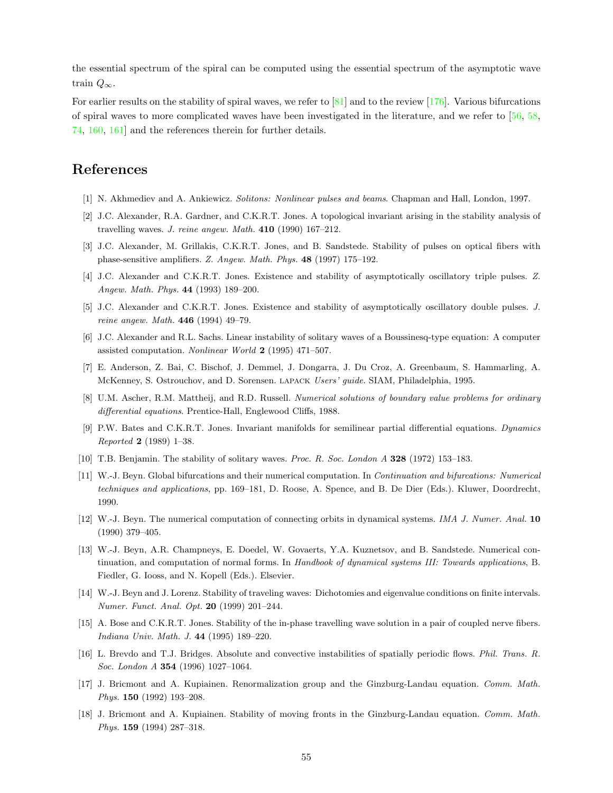the essential spectrum of the spiral can be computed using the essential spectrum of the asymptotic wave train  $Q_{\infty}$ .

Forearlier results on the stability of spiral waves, we refer to  $\lvert 81 \rvert$  and to the review  $\lvert 176 \rvert$ . Various bifurcations of spiral waves to more complicated waves have been investigated in the literature, and we refer to [\[56](#page-56-12), [58](#page-56-22), [74,](#page-57-23) [160,](#page-60-19) [161](#page-60-24)] and the references therein for further details.

# References

- <span id="page-54-0"></span>[1] N. Akhmediev and A. Ankiewicz. Solitons: Nonlinear pulses and beams. Chapman and Hall, London, 1997.
- <span id="page-54-4"></span>[2] J.C. Alexander, R.A. Gardner, and C.K.R.T. Jones. A topological invariant arising in the stability analysis of travelling waves. J. reine angew. Math. 410 (1990) 167–212.
- <span id="page-54-1"></span>[3] J.C. Alexander, M. Grillakis, C.K.R.T. Jones, and B. Sandstede. Stability of pulses on optical fibers with phase-sensitive amplifiers. Z. Angew. Math. Phys. 48 (1997) 175–192.
- <span id="page-54-7"></span>[4] J.C. Alexander and C.K.R.T. Jones. Existence and stability of asymptotically oscillatory triple pulses. Z. Angew. Math. Phys. 44 (1993) 189–200.
- <span id="page-54-8"></span>[5] J.C. Alexander and C.K.R.T. Jones. Existence and stability of asymptotically oscillatory double pulses. J. reine angew. Math. 446 (1994) 49–79.
- <span id="page-54-5"></span>[6] J.C. Alexander and R.L. Sachs. Linear instability of solitary waves of a Boussinesq-type equation: A computer assisted computation. Nonlinear World 2 (1995) 471–507.
- <span id="page-54-13"></span>[7] E. Anderson, Z. Bai, C. Bischof, J. Demmel, J. Dongarra, J. Du Croz, A. Greenbaum, S. Hammarling, A. McKenney, S. Ostrouchov, and D. Sorensen. lapack Users' guide. SIAM, Philadelphia, 1995.
- <span id="page-54-12"></span>[8] U.M. Ascher, R.M. Mattheij, and R.D. Russell. Numerical solutions of boundary value problems for ordinary differential equations. Prentice-Hall, Englewood Cliffs, 1988.
- <span id="page-54-15"></span>[9] P.W. Bates and C.K.R.T. Jones. Invariant manifolds for semilinear partial differential equations. Dynamics Reported 2 (1989) 1–38.
- <span id="page-54-10"></span><span id="page-54-2"></span>[10] T.B. Benjamin. The stability of solitary waves. Proc. R. Soc. London A 328 (1972) 153–183.
- [11] W.-J. Beyn. Global bifurcations and their numerical computation. In Continuation and bifurcations: Numerical techniques and applications, pp. 169–181, D. Roose, A. Spence, and B. De Dier (Eds.). Kluwer, Doordrecht, 1990.
- <span id="page-54-11"></span>[12] W.-J. Beyn. The numerical computation of connecting orbits in dynamical systems. *IMA J. Numer. Anal.* 10 (1990) 379–405.
- <span id="page-54-9"></span>[13] W.-J. Beyn, A.R. Champneys, E. Doedel, W. Govaerts, Y.A. Kuznetsov, and B. Sandstede. Numerical continuation, and computation of normal forms. In Handbook of dynamical systems III: Towards applications, B. Fiedler, G. Iooss, and N. Kopell (Eds.). Elsevier.
- <span id="page-54-14"></span>[14] W.-J. Beyn and J. Lorenz. Stability of traveling waves: Dichotomies and eigenvalue conditions on finite intervals. Numer. Funct. Anal. Opt. 20 (1999) 201–244.
- <span id="page-54-6"></span>[15] A. Bose and C.K.R.T. Jones. Stability of the in-phase travelling wave solution in a pair of coupled nerve fibers. Indiana Univ. Math. J. 44 (1995) 189–220.
- <span id="page-54-3"></span>[16] L. Brevdo and T.J. Bridges. Absolute and convective instabilities of spatially periodic flows. Phil. Trans. R. Soc. London A 354 (1996) 1027–1064.
- <span id="page-54-16"></span>[17] J. Bricmont and A. Kupiainen. Renormalization group and the Ginzburg-Landau equation. Comm. Math. Phys. 150 (1992) 193–208.
- <span id="page-54-17"></span>[18] J. Bricmont and A. Kupiainen. Stability of moving fronts in the Ginzburg-Landau equation. Comm. Math. Phys. 159 (1994) 287–318.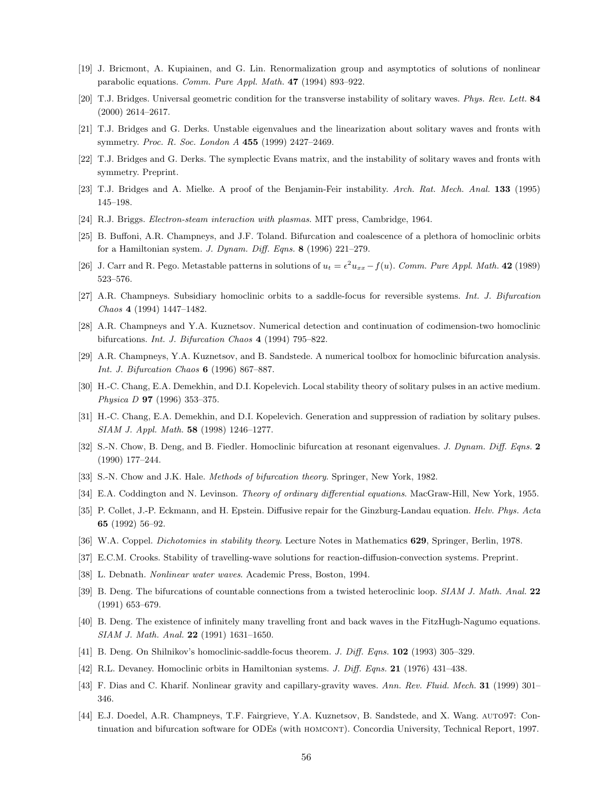- <span id="page-55-24"></span>[19] J. Bricmont, A. Kupiainen, and G. Lin. Renormalization group and asymptotics of solutions of nonlinear parabolic equations. Comm. Pure Appl. Math. 47 (1994) 893–922.
- <span id="page-55-25"></span>[20] T.J. Bridges. Universal geometric condition for the transverse instability of solitary waves. Phys. Rev. Lett. 84 (2000) 2614–2617.
- <span id="page-55-9"></span>[21] T.J. Bridges and G. Derks. Unstable eigenvalues and the linearization about solitary waves and fronts with symmetry. Proc. R. Soc. London A 455 (1999) 2427-2469.
- <span id="page-55-10"></span>[22] T.J. Bridges and G. Derks. The symplectic Evans matrix, and the instability of solitary waves and fronts with symmetry. Preprint.
- <span id="page-55-6"></span>[23] T.J. Bridges and A. Mielke. A proof of the Benjamin-Feir instability. Arch. Rat. Mech. Anal. 133 (1995) 145–198.
- <span id="page-55-5"></span>[24] R.J. Briggs. Electron-steam interaction with plasmas. MIT press, Cambridge, 1964.
- <span id="page-55-14"></span>[25] B. Buffoni, A.R. Champneys, and J.F. Toland. Bifurcation and coalescence of a plethora of homoclinic orbits for a Hamiltonian system. J. Dynam. Diff. Eqns. 8 (1996) 221–279.
- <span id="page-55-20"></span>[26] J. Carr and R. Pego. Metastable patterns in solutions of  $u_t = \epsilon^2 u_{xx} - f(u)$ . Comm. Pure Appl. Math. 42 (1989) 523–576.
- <span id="page-55-15"></span>[27] A.R. Champneys. Subsidiary homoclinic orbits to a saddle-focus for reversible systems. Int. J. Bifurcation Chaos 4 (1994) 1447–1482.
- <span id="page-55-13"></span>[28] A.R. Champneys and Y.A. Kuznetsov. Numerical detection and continuation of codimension-two homoclinic bifurcations. Int. J. Bifurcation Chaos 4 (1994) 795–822.
- <span id="page-55-22"></span>[29] A.R. Champneys, Y.A. Kuznetsov, and B. Sandstede. A numerical toolbox for homoclinic bifurcation analysis. Int. J. Bifurcation Chaos 6 (1996) 867–887.
- <span id="page-55-7"></span>[30] H.-C. Chang, E.A. Demekhin, and D.I. Kopelevich. Local stability theory of solitary pulses in an active medium. Physica D 97 (1996) 353–375.
- <span id="page-55-8"></span>[31] H.-C. Chang, E.A. Demekhin, and D.I. Kopelevich. Generation and suppression of radiation by solitary pulses. SIAM J. Appl. Math. 58 (1998) 1246–1277.
- <span id="page-55-17"></span>[32] S.-N. Chow, B. Deng, and B. Fiedler. Homoclinic bifurcation at resonant eigenvalues. J. Dynam. Diff. Eqns. 2 (1990) 177–244.
- <span id="page-55-11"></span><span id="page-55-2"></span>[33] S.-N. Chow and J.K. Hale. *Methods of bifurcation theory*. Springer, New York, 1982.
- [34] E.A. Coddington and N. Levinson. Theory of ordinary differential equations. MacGraw-Hill, New York, 1955.
- <span id="page-55-23"></span>[35] P. Collet, J.-P. Eckmann, and H. Epstein. Diffusive repair for the Ginzburg-Landau equation. Helv. Phys. Acta 65 (1992) 56–92.
- <span id="page-55-4"></span><span id="page-55-3"></span>[36] W.A. Coppel. *Dichotomies in stability theory*. Lecture Notes in Mathematics **629**, Springer, Berlin, 1978.
- <span id="page-55-0"></span>[37] E.C.M. Crooks. Stability of travelling-wave solutions for reaction-diffusion-convection systems. Preprint.
- <span id="page-55-18"></span>[38] L. Debnath. Nonlinear water waves. Academic Press, Boston, 1994.
- [39] B. Deng. The bifurcations of countable connections from a twisted heteroclinic loop. SIAM J. Math. Anal. 22 (1991) 653–679.
- <span id="page-55-19"></span>[40] B. Deng. The existence of infinitely many travelling front and back waves in the FitzHugh-Nagumo equations. SIAM J. Math. Anal. 22 (1991) 1631–1650.
- <span id="page-55-16"></span><span id="page-55-12"></span>[41] B. Deng. On Shilnikov's homoclinic-saddle-focus theorem. J. Diff. Eqns. 102 (1993) 305–329.
- [42] R.L. Devaney. Homoclinic orbits in Hamiltonian systems. J. Diff. Eqns. 21 (1976) 431-438.
- <span id="page-55-1"></span>[43] F. Dias and C. Kharif. Nonlinear gravity and capillary-gravity waves. Ann. Rev. Fluid. Mech. 31 (1999) 301– 346.
- <span id="page-55-21"></span>[44] E.J. Doedel, A.R. Champneys, T.F. Fairgrieve, Y.A. Kuznetsov, B. Sandstede, and X. Wang. auto97: Continuation and bifurcation software for ODEs (with HOMCONT). Concordia University, Technical Report, 1997.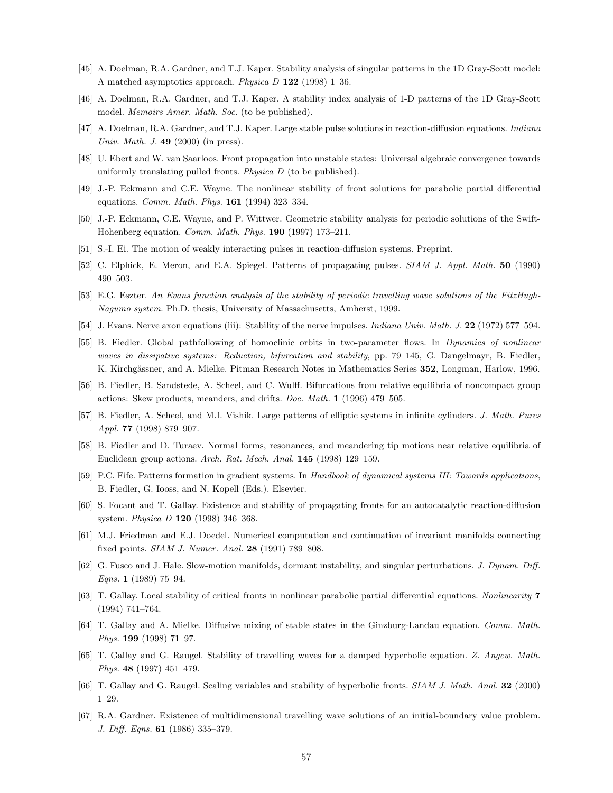- <span id="page-56-5"></span>[45] A. Doelman, R.A. Gardner, and T.J. Kaper. Stability analysis of singular patterns in the 1D Gray-Scott model: A matched asymptotics approach. Physica  $D$  122 (1998) 1–36.
- <span id="page-56-6"></span>[46] A. Doelman, R.A. Gardner, and T.J. Kaper. A stability index analysis of 1-D patterns of the 1D Gray-Scott model. Memoirs Amer. Math. Soc. (to be published).
- <span id="page-56-2"></span>[47] A. Doelman, R.A. Gardner, and T.J. Kaper. Large stable pulse solutions in reaction-diffusion equations. Indiana Univ. Math. J.  $49$  (2000) (in press).
- <span id="page-56-16"></span>[48] U. Ebert and W. van Saarloos. Front propagation into unstable states: Universal algebraic convergence towards uniformly translating pulled fronts. *Physica D* (to be published).
- <span id="page-56-14"></span>[49] J.-P. Eckmann and C.E. Wayne. The nonlinear stability of front solutions for parabolic partial differential equations. Comm. Math. Phys. 161 (1994) 323–334.
- <span id="page-56-13"></span>[50] J.-P. Eckmann, C.E. Wayne, and P. Wittwer. Geometric stability analysis for periodic solutions of the Swift-Hohenberg equation. Comm. Math. Phys. 190 (1997) 173–211.
- <span id="page-56-9"></span>[51] S.-I. Ei. The motion of weakly interacting pulses in reaction-diffusion systems. Preprint.
- <span id="page-56-8"></span>[52] C. Elphick, E. Meron, and E.A. Spiegel. Patterns of propagating pulses. SIAM J. Appl. Math. 50 (1990) 490–503.
- <span id="page-56-1"></span>[53] E.G. Eszter. An Evans function analysis of the stability of periodic travelling wave solutions of the FitzHugh-Nagumo system. Ph.D. thesis, University of Massachusetts, Amherst, 1999.
- <span id="page-56-4"></span>[54] J. Evans. Nerve axon equations (iii): Stability of the nerve impulses. *Indiana Univ. Math. J.* 22 (1972) 577–594.
- <span id="page-56-7"></span>[55] B. Fiedler. Global pathfollowing of homoclinic orbits in two-parameter flows. In Dynamics of nonlinear waves in dissipative systems: Reduction, bifurcation and stability, pp. 79–145, G. Dangelmayr, B. Fiedler, K. Kirchgässner, and A. Mielke. Pitman Research Notes in Mathematics Series 352, Longman, Harlow, 1996.
- <span id="page-56-12"></span>[56] B. Fiedler, B. Sandstede, A. Scheel, and C. Wulff. Bifurcations from relative equilibria of noncompact group actions: Skew products, meanders, and drifts. Doc. Math. 1 (1996) 479–505.
- <span id="page-56-21"></span>[57] B. Fiedler, A. Scheel, and M.I. Vishik. Large patterns of elliptic systems in infinite cylinders. J. Math. Pures Appl. 77 (1998) 879–907.
- <span id="page-56-22"></span>[58] B. Fiedler and D. Turaev. Normal forms, resonances, and meandering tip motions near relative equilibria of Euclidean group actions. Arch. Rat. Mech. Anal. 145 (1998) 129–159.
- <span id="page-56-0"></span>[59] P.C. Fife. Patterns formation in gradient systems. In Handbook of dynamical systems III: Towards applications, B. Fiedler, G. Iooss, and N. Kopell (Eds.). Elsevier.
- <span id="page-56-3"></span>[60] S. Focant and T. Gallay. Existence and stability of propagating fronts for an autocatalytic reaction-diffusion system. Physica D 120 (1998) 346–368.
- <span id="page-56-11"></span>[61] M.J. Friedman and E.J. Doedel. Numerical computation and continuation of invariant manifolds connecting fixed points. SIAM J. Numer. Anal. 28 (1991) 789-808.
- <span id="page-56-10"></span>[62] G. Fusco and J. Hale. Slow-motion manifolds, dormant instability, and singular perturbations. J. Dynam. Diff. Eqns. 1 (1989) 75–94.
- <span id="page-56-15"></span>[63] T. Gallay. Local stability of critical fronts in nonlinear parabolic partial differential equations. Nonlinearity 7 (1994) 741–764.
- <span id="page-56-17"></span>[64] T. Gallay and A. Mielke. Diffusive mixing of stable states in the Ginzburg-Landau equation. Comm. Math. Phys. 199 (1998) 71–97.
- <span id="page-56-18"></span>[65] T. Gallay and G. Raugel. Stability of travelling waves for a damped hyperbolic equation. Z. Angew. Math. Phys. 48 (1997) 451–479.
- <span id="page-56-19"></span>[66] T. Gallay and G. Raugel. Scaling variables and stability of hyperbolic fronts. SIAM J. Math. Anal. 32 (2000) 1–29.
- <span id="page-56-20"></span>[67] R.A. Gardner. Existence of multidimensional travelling wave solutions of an initial-boundary value problem. J. Diff. Eqns. 61 (1986) 335–379.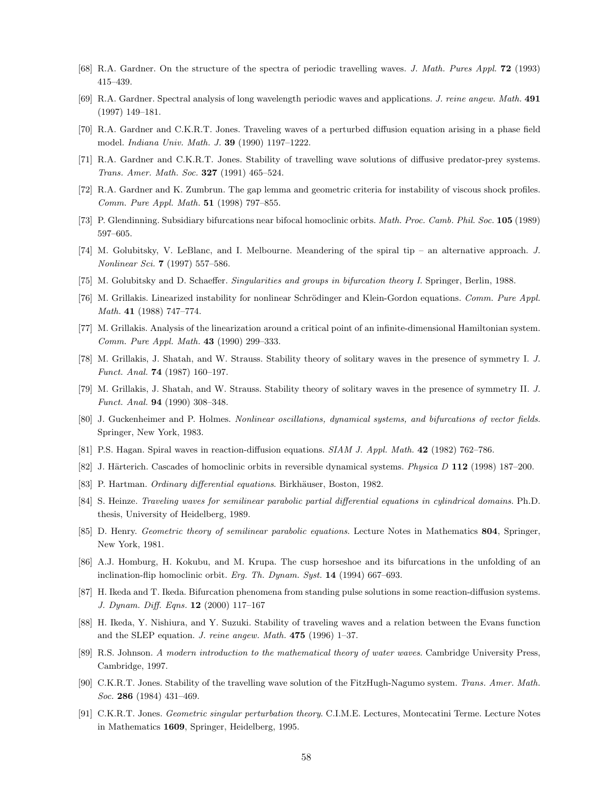- <span id="page-57-7"></span>[68] R.A. Gardner. On the structure of the spectra of periodic travelling waves. J. Math. Pures Appl. 72 (1993) 415–439.
- <span id="page-57-12"></span>[69] R.A. Gardner. Spectral analysis of long wavelength periodic waves and applications. J. reine angew. Math. 491 (1997) 149–181.
- <span id="page-57-8"></span>[70] R.A. Gardner and C.K.R.T. Jones. Traveling waves of a perturbed diffusion equation arising in a phase field model. Indiana Univ. Math. J. 39 (1990) 1197–1222.
- <span id="page-57-10"></span>[71] R.A. Gardner and C.K.R.T. Jones. Stability of travelling wave solutions of diffusive predator-prey systems. Trans. Amer. Math. Soc. 327 (1991) 465–524.
- <span id="page-57-11"></span>[72] R.A. Gardner and K. Zumbrun. The gap lemma and geometric criteria for instability of viscous shock profiles. Comm. Pure Appl. Math. 51 (1998) 797–855.
- <span id="page-57-13"></span>[73] P. Glendinning. Subsidiary bifurcations near bifocal homoclinic orbits. Math. Proc. Camb. Phil. Soc. 105 (1989) 597–605.
- <span id="page-57-23"></span>[74] M. Golubitsky, V. LeBlanc, and I. Melbourne. Meandering of the spiral tip – an alternative approach. J. Nonlinear Sci. 7 (1997) 557–586.
- <span id="page-57-5"></span>[75] M. Golubitsky and D. Schaeffer. Singularities and groups in bifurcation theory I. Springer, Berlin, 1988.
- <span id="page-57-18"></span>[76] M. Grillakis. Linearized instability for nonlinear Schrödinger and Klein-Gordon equations. Comm. Pure Appl. Math. 41 (1988) 747–774.
- <span id="page-57-19"></span>[77] M. Grillakis. Analysis of the linearization around a critical point of an infinite-dimensional Hamiltonian system. Comm. Pure Appl. Math. 43 (1990) 299–333.
- <span id="page-57-16"></span>[78] M. Grillakis, J. Shatah, and W. Strauss. Stability theory of solitary waves in the presence of symmetry I. J. Funct. Anal. 74 (1987) 160–197.
- <span id="page-57-17"></span>[79] M. Grillakis, J. Shatah, and W. Strauss. Stability theory of solitary waves in the presence of symmetry II. J. Funct. Anal. 94 (1990) 308–348.
- <span id="page-57-2"></span>[80] J. Guckenheimer and P. Holmes. Nonlinear oscillations, dynamical systems, and bifurcations of vector fields. Springer, New York, 1983.
- <span id="page-57-22"></span><span id="page-57-14"></span>[81] P.S. Hagan. Spiral waves in reaction-diffusion equations. SIAM J. Appl. Math. 42 (1982) 762–786.
- [82] J. Härterich. Cascades of homoclinic orbits in reversible dynamical systems. Physica D 112 (1998) 187–200.
- <span id="page-57-6"></span>[83] P. Hartman. Ordinary differential equations. Birkhäuser, Boston, 1982.
- <span id="page-57-21"></span>[84] S. Heinze. Traveling waves for semilinear parabolic partial differential equations in cylindrical domains. Ph.D. thesis, University of Heidelberg, 1989.
- <span id="page-57-1"></span>[85] D. Henry. Geometric theory of semilinear parabolic equations. Lecture Notes in Mathematics 804, Springer, New York, 1981.
- <span id="page-57-15"></span>[86] A.J. Homburg, H. Kokubu, and M. Krupa. The cusp horseshoe and its bifurcations in the unfolding of an inclination-flip homoclinic orbit. Erg. Th. Dynam. Syst. 14 (1994) 667–693.
- <span id="page-57-20"></span>[87] H. Ikeda and T. Ikeda. Bifurcation phenomena from standing pulse solutions in some reaction-diffusion systems. J. Dynam. Diff. Eqns. 12 (2000) 117–167
- <span id="page-57-9"></span>[88] H. Ikeda, Y. Nishiura, and Y. Suzuki. Stability of traveling waves and a relation between the Evans function and the SLEP equation. J. reine angew. Math. 475 (1996) 1–37.
- <span id="page-57-0"></span>[89] R.S. Johnson. A modern introduction to the mathematical theory of water waves. Cambridge University Press, Cambridge, 1997.
- <span id="page-57-4"></span>[90] C.K.R.T. Jones. Stability of the travelling wave solution of the FitzHugh-Nagumo system. Trans. Amer. Math. Soc. 286 (1984) 431-469.
- <span id="page-57-3"></span>[91] C.K.R.T. Jones. Geometric singular perturbation theory. C.I.M.E. Lectures, Montecatini Terme. Lecture Notes in Mathematics 1609, Springer, Heidelberg, 1995.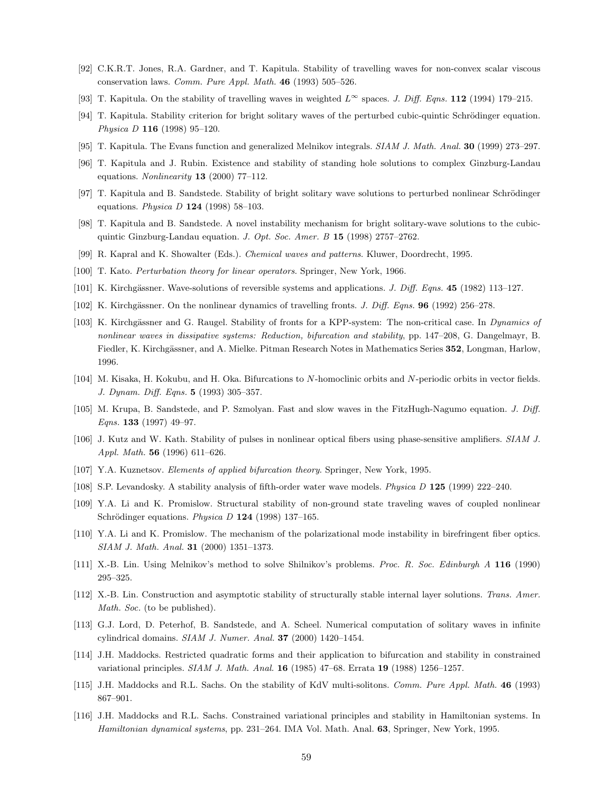- <span id="page-58-17"></span>[92] C.K.R.T. Jones, R.A. Gardner, and T. Kapitula. Stability of travelling waves for non-convex scalar viscous conservation laws. Comm. Pure Appl. Math. 46 (1993) 505–526.
- <span id="page-58-14"></span>[93] T. Kapitula. On the stability of travelling waves in weighted  $L^{\infty}$  spaces. J. Diff. Eqns. 112 (1994) 179–215.
- <span id="page-58-9"></span>[94] T. Kapitula. Stability criterion for bright solitary waves of the perturbed cubic-quintic Schrödinger equation. Physica D 116 (1998) 95–120.
- <span id="page-58-10"></span><span id="page-58-8"></span>[95] T. Kapitula. The Evans function and generalized Melnikov integrals. SIAM J. Math. Anal. 30 (1999) 273–297.
- [96] T. Kapitula and J. Rubin. Existence and stability of standing hole solutions to complex Ginzburg-Landau equations. Nonlinearity 13 (2000) 77-112.
- <span id="page-58-4"></span>[97] T. Kapitula and B. Sandstede. Stability of bright solitary wave solutions to perturbed nonlinear Schrödinger equations. *Physica D* **124** (1998) 58-103.
- <span id="page-58-5"></span>[98] T. Kapitula and B. Sandstede. A novel instability mechanism for bright solitary-wave solutions to the cubicquintic Ginzburg-Landau equation. J. Opt. Soc. Amer. B 15 (1998) 2757-2762.
- <span id="page-58-0"></span>[99] R. Kapral and K. Showalter (Eds.). Chemical waves and patterns. Kluwer, Doordrecht, 1995.
- <span id="page-58-24"></span><span id="page-58-6"></span>[100] T. Kato. Perturbation theory for linear operators. Springer, New York, 1966.
- [101] K. Kirchgässner. Wave-solutions of reversible systems and applications. J. Diff. Eqns. 45 (1982) 113–127.
- <span id="page-58-15"></span>[102] K. Kirchgässner. On the nonlinear dynamics of travelling fronts. J. Diff. Eqns. 96 (1992) 256–278.
- <span id="page-58-16"></span>[103] K. Kirchgässner and G. Raugel. Stability of fronts for a KPP-system: The non-critical case. In *Dynamics of* nonlinear waves in dissipative systems: Reduction, bifurcation and stability, pp. 147–208, G. Dangelmayr, B. Fiedler, K. Kirchgässner, and A. Mielke. Pitman Research Notes in Mathematics Series 352, Longman, Harlow, 1996.
- <span id="page-58-13"></span>[104] M. Kisaka, H. Kokubu, and H. Oka. Bifurcations to N-homoclinic orbits and N-periodic orbits in vector fields. J. Dynam. Diff. Eqns. 5 (1993) 305–357.
- <span id="page-58-2"></span>[105] M. Krupa, B. Sandstede, and P. Szmolyan. Fast and slow waves in the FitzHugh-Nagumo equation. J. Diff. Eqns. 133 (1997) 49–97.
- <span id="page-58-3"></span>[106] J. Kutz and W. Kath. Stability of pulses in nonlinear optical fibers using phase-sensitive amplifiers. SIAM J. Appl. Math. 56 (1996) 611–626.
- <span id="page-58-1"></span>[107] Y.A. Kuznetsov. Elements of applied bifurcation theory. Springer, New York, 1995.
- <span id="page-58-22"></span><span id="page-58-19"></span>[108] S.P. Levandosky. A stability analysis of fifth-order water wave models. Physica D 125 (1999) 222–240.
- [109] Y.A. Li and K. Promislow. Structural stability of non-ground state traveling waves of coupled nonlinear Schrödinger equations. Physica D  $124$  (1998) 137-165.
- <span id="page-58-11"></span>[110] Y.A. Li and K. Promislow. The mechanism of the polarizational mode instability in birefringent fiber optics. SIAM J. Math. Anal. 31 (2000) 1351–1373.
- <span id="page-58-12"></span>[111] X.-B. Lin. Using Melnikov's method to solve Shilnikov's problems. Proc. R. Soc. Edinburgh A 116 (1990) 295–325.
- <span id="page-58-7"></span>[112] X.-B. Lin. Construction and asymptotic stability of structurally stable internal layer solutions. Trans. Amer. Math. Soc. (to be published).
- <span id="page-58-23"></span>[113] G.J. Lord, D. Peterhof, B. Sandstede, and A. Scheel. Numerical computation of solitary waves in infinite cylindrical domains.  $SIAM$  J. Numer. Anal. 37 (2000) 1420-1454.
- <span id="page-58-20"></span>[114] J.H. Maddocks. Restricted quadratic forms and their application to bifurcation and stability in constrained variational principles. SIAM J. Math. Anal. 16 (1985) 47–68. Errata 19 (1988) 1256–1257.
- <span id="page-58-18"></span>[115] J.H. Maddocks and R.L. Sachs. On the stability of KdV multi-solitons. Comm. Pure Appl. Math. 46 (1993) 867–901.
- <span id="page-58-21"></span>[116] J.H. Maddocks and R.L. Sachs. Constrained variational principles and stability in Hamiltonian systems. In Hamiltonian dynamical systems, pp. 231–264. IMA Vol. Math. Anal. 63, Springer, New York, 1995.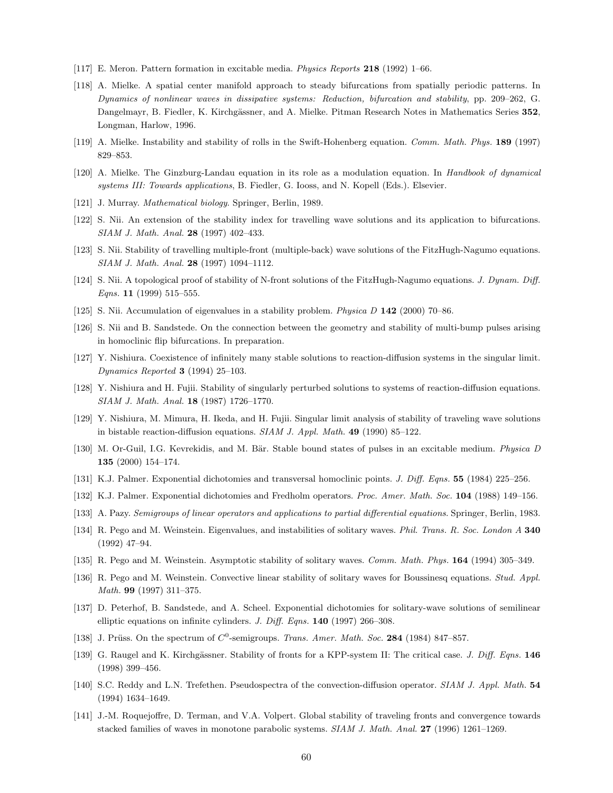- <span id="page-59-12"></span>[117] E. Meron. Pattern formation in excitable media. Physics Reports 218 (1992) 1–66.
- <span id="page-59-10"></span>[118] A. Mielke. A spatial center manifold approach to steady bifurcations from spatially periodic patterns. In Dynamics of nonlinear waves in dissipative systems: Reduction, bifurcation and stability, pp. 209–262, G. Dangelmayr, B. Fiedler, K. Kirchgässner, and A. Mielke. Pitman Research Notes in Mathematics Series 352, Longman, Harlow, 1996.
- <span id="page-59-11"></span>[119] A. Mielke. Instability and stability of rolls in the Swift-Hohenberg equation. Comm. Math. Phys. 189 (1997) 829–853.
- <span id="page-59-24"></span>[120] A. Mielke. The Ginzburg-Landau equation in its role as a modulation equation. In Handbook of dynamical systems III: Towards applications, B. Fiedler, G. Iooss, and N. Kopell (Eds.). Elsevier.
- <span id="page-59-0"></span>[121] J. Murray. Mathematical biology. Springer, Berlin, 1989.
- <span id="page-59-18"></span>[122] S. Nii. An extension of the stability index for travelling wave solutions and its application to bifurcations. SIAM J. Math. Anal. 28 (1997) 402–433.
- <span id="page-59-19"></span>[123] S. Nii. Stability of travelling multiple-front (multiple-back) wave solutions of the FitzHugh-Nagumo equations. SIAM J. Math. Anal. 28 (1997) 1094–1112.
- <span id="page-59-2"></span>[124] S. Nii. A topological proof of stability of N-front solutions of the FitzHugh-Nagumo equations. J. Dynam. Diff. Eqns. 11 (1999) 515-555.
- <span id="page-59-20"></span><span id="page-59-3"></span>[125] S. Nii. Accumulation of eigenvalues in a stability problem. Physica D 142 (2000) 70–86.
- [126] S. Nii and B. Sandstede. On the connection between the geometry and stability of multi-bump pulses arising in homoclinic flip bifurcations. In preparation.
- <span id="page-59-15"></span>[127] Y. Nishiura. Coexistence of infinitely many stable solutions to reaction-diffusion systems in the singular limit. Dynamics Reported 3 (1994) 25–103.
- <span id="page-59-16"></span>[128] Y. Nishiura and H. Fujii. Stability of singularly perturbed solutions to systems of reaction-diffusion equations. SIAM J. Math. Anal. 18 (1987) 1726–1770.
- <span id="page-59-17"></span>[129] Y. Nishiura, M. Mimura, H. Ikeda, and H. Fujii. Singular limit analysis of stability of traveling wave solutions in bistable reaction-diffusion equations. SIAM J. Appl. Math. 49 (1990) 85–122.
- <span id="page-59-21"></span>[130] M. Or-Guil, I.G. Kevrekidis, and M. Bär. Stable bound states of pulses in an excitable medium. *Physica D* 135 (2000) 154–174.
- <span id="page-59-8"></span>[131] K.J. Palmer. Exponential dichotomies and transversal homoclinic points. J. Diff. Eqns. 55 (1984) 225–256.
- <span id="page-59-9"></span>[132] K.J. Palmer. Exponential dichotomies and Fredholm operators. Proc. Amer. Math. Soc. 104 (1988) 149–156.
- <span id="page-59-1"></span>[133] A. Pazy. Semigroups of linear operators and applications to partial differential equations. Springer, Berlin, 1983.
- <span id="page-59-5"></span>[134] R. Pego and M. Weinstein. Eigenvalues, and instabilities of solitary waves. Phil. Trans. R. Soc. London A 340 (1992) 47–94.
- <span id="page-59-6"></span>[135] R. Pego and M. Weinstein. Asymptotic stability of solitary waves. Comm. Math. Phys. 164 (1994) 305–349.
- <span id="page-59-14"></span>[136] R. Pego and M. Weinstein. Convective linear stability of solitary waves for Boussinesq equations. Stud. Appl. Math. 99 (1997) 311–375.
- <span id="page-59-7"></span>[137] D. Peterhof, B. Sandstede, and A. Scheel. Exponential dichotomies for solitary-wave solutions of semilinear elliptic equations on infinite cylinders. J. Diff. Eqns. 140 (1997) 266-308.
- <span id="page-59-22"></span>[138] J. Prüss. On the spectrum of  $C^0$ -semigroups. Trans. Amer. Math. Soc. 284 (1984) 847–857.
- <span id="page-59-23"></span>[139] G. Raugel and K. Kirchgässner. Stability of fronts for a KPP-system II: The critical case. J. Diff. Eqns. 146 (1998) 399–456.
- <span id="page-59-13"></span>[140] S.C. Reddy and L.N. Trefethen. Pseudospectra of the convection-diffusion operator. SIAM J. Appl. Math. 54 (1994) 1634–1649.
- <span id="page-59-4"></span>[141] J.-M. Roquejoffre, D. Terman, and V.A. Volpert. Global stability of traveling fronts and convergence towards stacked families of waves in monotone parabolic systems. SIAM J. Math. Anal. 27 (1996) 1261–1269.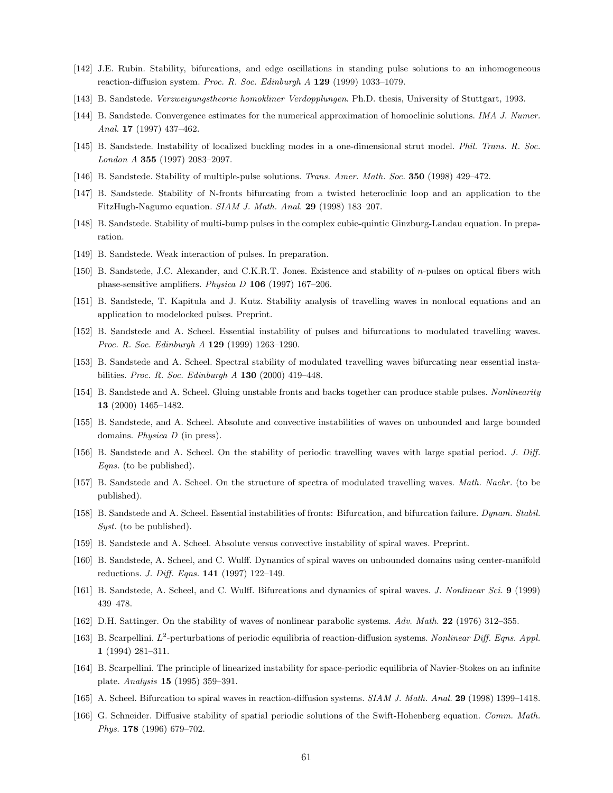- <span id="page-60-12"></span>[142] J.E. Rubin. Stability, bifurcations, and edge oscillations in standing pulse solutions to an inhomogeneous reaction-diffusion system. Proc. R. Soc. Edinburgh A 129 (1999) 1033–1079.
- <span id="page-60-4"></span>[143] B. Sandstede. Verzweigungstheorie homokliner Verdopplungen. Ph.D. thesis, University of Stuttgart, 1993.
- <span id="page-60-15"></span>[144] B. Sandstede. Convergence estimates for the numerical approximation of homoclinic solutions. IMA J. Numer. Anal. 17 (1997) 437–462.
- <span id="page-60-17"></span>[145] B. Sandstede. Instability of localized buckling modes in a one-dimensional strut model. Phil. Trans. R. Soc. London A 355 (1997) 2083–2097.
- <span id="page-60-13"></span><span id="page-60-1"></span>[146] B. Sandstede. Stability of multiple-pulse solutions. Trans. Amer. Math. Soc. 350 (1998) 429–472.
- [147] B. Sandstede. Stability of N-fronts bifurcating from a twisted heteroclinic loop and an application to the FitzHugh-Nagumo equation. SIAM J. Math. Anal. 29 (1998) 183–207.
- <span id="page-60-16"></span>[148] B. Sandstede. Stability of multi-bump pulses in the complex cubic-quintic Ginzburg-Landau equation. In preparation.
- <span id="page-60-18"></span>[149] B. Sandstede. Weak interaction of pulses. In preparation.
- <span id="page-60-3"></span>[150] B. Sandstede, J.C. Alexander, and C.K.R.T. Jones. Existence and stability of n-pulses on optical fibers with phase-sensitive amplifiers. Physica  $D$  106 (1997) 167–206.
- <span id="page-60-14"></span>[151] B. Sandstede, T. Kapitula and J. Kutz. Stability analysis of travelling waves in nonlocal equations and an application to modelocked pulses. Preprint.
- <span id="page-60-21"></span>[152] B. Sandstede and A. Scheel. Essential instability of pulses and bifurcations to modulated travelling waves. Proc. R. Soc. Edinburgh A 129 (1999) 1263–1290.
- <span id="page-60-5"></span>[153] B. Sandstede and A. Scheel. Spectral stability of modulated travelling waves bifurcating near essential instabilities. Proc. R. Soc. Edinburgh  $A$  130 (2000) 419-448.
- <span id="page-60-2"></span>[154] B. Sandstede and A. Scheel. Gluing unstable fronts and backs together can produce stable pulses. Nonlinearity 13 (2000) 1465–1482.
- <span id="page-60-10"></span>[155] B. Sandstede, and A. Scheel. Absolute and convective instabilities of waves on unbounded and large bounded domains. Physica D (in press).
- <span id="page-60-0"></span>[156] B. Sandstede and A. Scheel. On the stability of periodic travelling waves with large spatial period. J. Diff. Eqns. (to be published).
- <span id="page-60-6"></span>[157] B. Sandstede and A. Scheel. On the structure of spectra of modulated travelling waves. Math. Nachr. (to be published).
- <span id="page-60-22"></span>[158] B. Sandstede and A. Scheel. Essential instabilities of fronts: Bifurcation, and bifurcation failure. Dynam. Stabil. Syst. (to be published).
- <span id="page-60-11"></span>[159] B. Sandstede and A. Scheel. Absolute versus convective instability of spiral waves. Preprint.
- <span id="page-60-19"></span>[160] B. Sandstede, A. Scheel, and C. Wulff. Dynamics of spiral waves on unbounded domains using center-manifold reductions. J. Diff. Eqns. 141 (1997) 122–149.
- <span id="page-60-24"></span>[161] B. Sandstede, A. Scheel, and C. Wulff. Bifurcations and dynamics of spiral waves. J. Nonlinear Sci. 9 (1999) 439–478.
- <span id="page-60-9"></span>[162] D.H. Sattinger. On the stability of waves of nonlinear parabolic systems. Adv. Math. 22 (1976) 312–355.
- <span id="page-60-7"></span>[163] B. Scarpellini.  $L^2$ -perturbations of periodic equilibria of reaction-diffusion systems. Nonlinear Diff. Eqns. Appl. 1 (1994) 281–311.
- <span id="page-60-8"></span>[164] B. Scarpellini. The principle of linearized instability for space-periodic equilibria of Navier-Stokes on an infinite plate. Analysis 15 (1995) 359–391.
- <span id="page-60-23"></span>[165] A. Scheel. Bifurcation to spiral waves in reaction-diffusion systems. SIAM J. Math. Anal. 29 (1998) 1399–1418.
- <span id="page-60-20"></span>[166] G. Schneider. Diffusive stability of spatial periodic solutions of the Swift-Hohenberg equation. Comm. Math. Phys. 178 (1996) 679–702.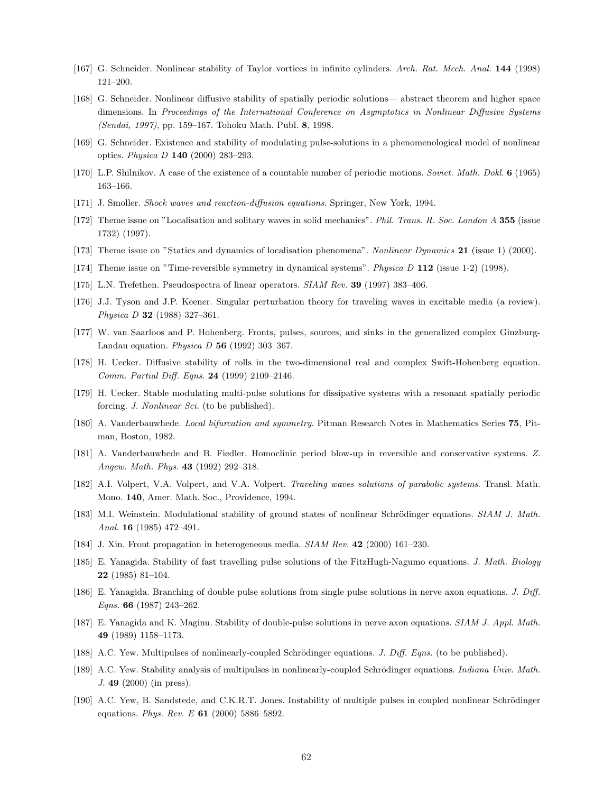- <span id="page-61-20"></span>[167] G. Schneider. Nonlinear stability of Taylor vortices in infinite cylinders. Arch. Rat. Mech. Anal. 144 (1998) 121–200.
- <span id="page-61-19"></span>[168] G. Schneider. Nonlinear diffusive stability of spatially periodic solutions— abstract theorem and higher space dimensions. In Proceedings of the International Conference on Asymptotics in Nonlinear Diffusive Systems (Sendai, 1997), pp. 159–167. Tohoku Math. Publ. 8, 1998.
- <span id="page-61-22"></span>[169] G. Schneider. Existence and stability of modulating pulse-solutions in a phenomenological model of nonlinear optics. Physica D 140 (2000) 283–293.
- <span id="page-61-14"></span>[170] L.P. Shilnikov. A case of the existence of a countable number of periodic motions. Soviet. Math. Dokl. 6 (1965) 163–166.
- <span id="page-61-1"></span>[171] J. Smoller. Shock waves and reaction-diffusion equations. Springer, New York, 1994.
- <span id="page-61-2"></span>[172] Theme issue on "Localisation and solitary waves in solid mechanics". Phil. Trans. R. Soc. London A 355 (issue 1732) (1997).
- <span id="page-61-4"></span><span id="page-61-3"></span>[173] Theme issue on "Statics and dynamics of localisation phenomena". Nonlinear Dynamics 21 (issue 1) (2000).
- [174] Theme issue on "Time-reversible symmetry in dynamical systems". Physica D 112 (issue 1-2) (1998).
- <span id="page-61-11"></span>[175] L.N. Trefethen. Pseudospectra of linear operators. SIAM Rev. 39 (1997) 383–406.
- <span id="page-61-6"></span>[176] J.J. Tyson and J.P. Keener. Singular perturbation theory for traveling waves in excitable media (a review). Physica D 32 (1988) 327–361.
- <span id="page-61-9"></span>[177] W. van Saarloos and P. Hohenberg. Fronts, pulses, sources, and sinks in the generalized complex Ginzburg-Landau equation. Physica  $D$  56 (1992) 303-367.
- <span id="page-61-21"></span>[178] H. Uecker. Diffusive stability of rolls in the two-dimensional real and complex Swift-Hohenberg equation. Comm. Partial Diff. Eqns. 24 (1999) 2109–2146.
- <span id="page-61-23"></span>[179] H. Uecker. Stable modulating multi-pulse solutions for dissipative systems with a resonant spatially periodic forcing. J. Nonlinear Sci. (to be published).
- <span id="page-61-10"></span>[180] A. Vanderbauwhede. Local bifurcation and symmetry. Pitman Research Notes in Mathematics Series 75, Pitman, Boston, 1982.
- <span id="page-61-13"></span>[181] A. Vanderbauwhede and B. Fiedler. Homoclinic period blow-up in reversible and conservative systems. Z. Angew. Math. Phys. **43** (1992) 292-318.
- <span id="page-61-0"></span>[182] A.I. Volpert, V.A. Volpert, and V.A. Volpert. Traveling waves solutions of parabolic systems. Transl. Math. Mono. 140, Amer. Math. Soc., Providence, 1994.
- <span id="page-61-8"></span>[183] M.I. Weinstein. Modulational stability of ground states of nonlinear Schrödinger equations. SIAM J. Math. Anal. 16 (1985) 472–491.
- <span id="page-61-5"></span>[184] J. Xin. Front propagation in heterogeneous media. SIAM Rev. 42 (2000) 161–230.
- <span id="page-61-7"></span>[185] E. Yanagida. Stability of fast travelling pulse solutions of the FitzHugh-Nagumo equations. J. Math. Biology 22 (1985) 81–104.
- <span id="page-61-15"></span>[186] E. Yanagida. Branching of double pulse solutions from single pulse solutions in nerve axon equations. J. Diff. Eqns. 66 (1987) 243–262.
- <span id="page-61-12"></span>[187] E. Yanagida and K. Maginu. Stability of double-pulse solutions in nerve axon equations. SIAM J. Appl. Math. 49 (1989) 1158–1173.
- <span id="page-61-16"></span>[188] A.C. Yew. Multipulses of nonlinearly-coupled Schrödinger equations. J. Diff. Eqns. (to be published).
- <span id="page-61-17"></span>[189] A.C. Yew. Stability analysis of multipulses in nonlinearly-coupled Schrödinger equations. Indiana Univ. Math. J. 49 (2000) (in press).
- <span id="page-61-18"></span>[190] A.C. Yew, B. Sandstede, and C.K.R.T. Jones. Instability of multiple pulses in coupled nonlinear Schrödinger equations. Phys. Rev. E  $61$  (2000) 5886-5892.